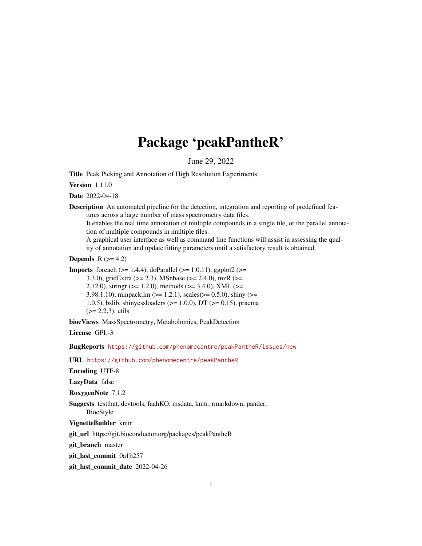# Package 'peakPantheR'

June 29, 2022

<span id="page-0-0"></span>Title Peak Picking and Annotation of High Resolution Experiments

Version 1.11.0

Date 2022-04-18

Description An automated pipeline for the detection, integration and reporting of predefined features across a large number of mass spectrometry data files.

It enables the real time annotation of multiple compounds in a single file, or the parallel annotation of multiple compounds in multiple files.

A graphical user interface as well as command line functions will assist in assessing the quality of annotation and update fitting parameters until a satisfactory result is obtained.

**Depends**  $R$  ( $>= 4.2$ )

**Imports** foreach  $(>= 1.4.4)$ , doParallel  $(>= 1.0.11)$ , ggplot2  $(>= 1.0.11)$ 3.3.0), gridExtra (>= 2.3), MSnbase (>= 2.4.0), mzR (>= 2.12.0), stringr ( $>= 1.2.0$ ), methods ( $>= 3.4.0$ ), XML ( $>=$ 3.98.1.10), minpack.lm ( $>= 1.2.1$ ), scales( $>= 0.5.0$ ), shiny ( $>= 1.2.1$ ) 1.0.5), bslib, shinycssloaders (>= 1.0.0), DT (>= 0.15), pracma  $(>= 2.2.3)$ , utils

biocViews MassSpectrometry, Metabolomics, PeakDetection

License GPL-3

BugReports <https://github.com/phenomecentre/peakPantheR/issues/new>

URL <https://github.com/phenomecentre/peakPantheR>

Encoding UTF-8

LazyData false

RoxygenNote 7.1.2

Suggests testthat, devtools, faahKO, msdata, knitr, rmarkdown, pander, BiocStyle

VignetteBuilder knitr

git\_url https://git.bioconductor.org/packages/peakPantheR

git\_branch master

git\_last\_commit 0a1b257

git\_last\_commit\_date 2022-04-26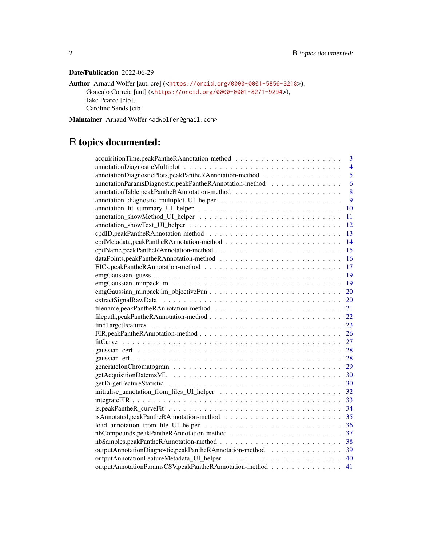# Date/Publication 2022-06-29

```
Author Arnaud Wolfer [aut, cre] (<https://orcid.org/0000-0001-5856-3218>),
     Goncalo Correia [aut] (<https://orcid.org/0000-0001-8271-9294>),
     Jake Pearce [ctb],
     Caroline Sands [ctb]
```
Maintainer Arnaud Wolfer <adwolfer@gmail.com>

# R topics documented:

| 3                                                                                                                     |
|-----------------------------------------------------------------------------------------------------------------------|
| $\overline{4}$                                                                                                        |
| annotationDiagnosticPlots,peakPantheRAnnotation-method<br>5                                                           |
| annotationParamsDiagnostic,peakPantheRAnnotation-method<br>6                                                          |
| 8                                                                                                                     |
| 9                                                                                                                     |
| 10                                                                                                                    |
| 11                                                                                                                    |
| 12                                                                                                                    |
| 13                                                                                                                    |
| 14                                                                                                                    |
| 15                                                                                                                    |
| 16                                                                                                                    |
| $EICs, peakPant the RAnnotation-method \dots \dots \dots \dots \dots \dots \dots \dots \dots \dots \dots \dots$<br>17 |
| 19                                                                                                                    |
| 19                                                                                                                    |
| $emgGaussian\_minpack.lm\_objectiveFun \ldots \ldots \ldots \ldots \ldots \ldots \ldots \ldots$<br>20                 |
| 20                                                                                                                    |
| 21                                                                                                                    |
| 22                                                                                                                    |
| 23                                                                                                                    |
| 26                                                                                                                    |
| 27                                                                                                                    |
| 28                                                                                                                    |
| 28                                                                                                                    |
| 29                                                                                                                    |
| 30                                                                                                                    |
| 30                                                                                                                    |
| 32                                                                                                                    |
| 33                                                                                                                    |
| 34                                                                                                                    |
| 35                                                                                                                    |
| 36                                                                                                                    |
| 37                                                                                                                    |
| 38                                                                                                                    |
| outputAnnotationDiagnostic,peakPantheRAnnotation-method<br>39                                                         |
| 40                                                                                                                    |
| outputAnnotationParamsCSV,peakPantheRAnnotation-method<br>41                                                          |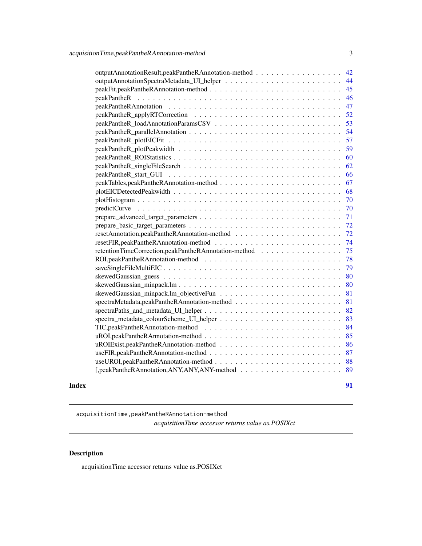<span id="page-2-0"></span>

| outputAnnotationResult,peakPantheRAnnotation-method<br>42  |
|------------------------------------------------------------|
| 44                                                         |
| 45                                                         |
| 46                                                         |
| 47                                                         |
| 52                                                         |
| 53                                                         |
| 54                                                         |
| 57                                                         |
| 59                                                         |
| 60                                                         |
| 62                                                         |
| 66                                                         |
| 67                                                         |
| 68                                                         |
| 70                                                         |
| 70                                                         |
| 71                                                         |
| 72                                                         |
| 72                                                         |
| 74                                                         |
| retentionTimeCorrection,peakPantheRAnnotation-method<br>75 |
| 78                                                         |
| 79                                                         |
| 80                                                         |
| 80                                                         |
| 81                                                         |
| 81                                                         |
| 82                                                         |
| 83                                                         |
| 84                                                         |
| 85                                                         |
| 86                                                         |
| 87                                                         |
| 88                                                         |
| 89                                                         |
|                                                            |

#### **Index** [91](#page-90-0)

acquisitionTime,peakPantheRAnnotation-method *acquisitionTime accessor returns value as.POSIXct*

# Description

acquisitionTime accessor returns value as.POSIXct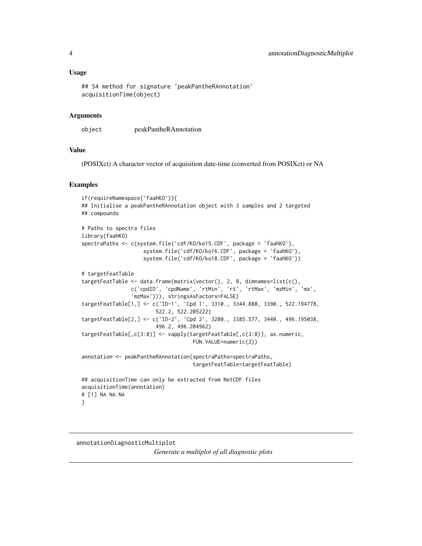#### <span id="page-3-0"></span>Usage

```
## S4 method for signature 'peakPantheRAnnotation'
acquisitionTime(object)
```
#### Arguments

object peakPantheRAnnotation

#### Value

(POSIXct) A character vector of acquisition date-time (converted from POSIXct) or NA

#### Examples

```
if(requireNamespace('faahKO')){
## Initialise a peakPantheRAnnotation object with 3 samples and 2 targeted
## compounds
# Paths to spectra files
library(faahKO)
spectraPaths <- c(system.file('cdf/KO/ko15.CDF', package = 'faahKO'),
                    system.file('cdf/KO/ko16.CDF', package = 'faahKO'),
                    system.file('cdf/KO/ko18.CDF', package = 'faahKO'))
# targetFeatTable
targetFeatTable <- data.frame(matrix(vector(), 2, 8, dimnames=list(c(),
                c('cpdID', 'cpdName', 'rtMin', 'rt', 'rtMax', 'mzMin', 'mz',
                'mzMax'))), stringsAsFactors=FALSE)
targetFeatTable[1,] <- c('ID-1', 'Cpd 1', 3310., 3344.888, 3390., 522.194778,
                        522.2, 522.205222)
targetFeatTable[2,] <- c('ID-2', 'Cpd 2', 3280., 3385.577, 3440., 496.195038,
                        496.2, 496.204962)
targetFeatTable[,c(3:8)] <- vapply(targetFeatTable[,c(3:8)], as.numeric,
                                    FUN.VALUE=numeric(2))
annotation <- peakPantheRAnnotation(spectraPaths=spectraPaths,
                                    targetFeatTable=targetFeatTable)
## acquisitionTime can only be extracted from NetCDF files
acquisitionTime(annotation)
# [1] NA NA NA
}
```
annotationDiagnosticMultiplot *Generate a multiplot of all diagnostic plots*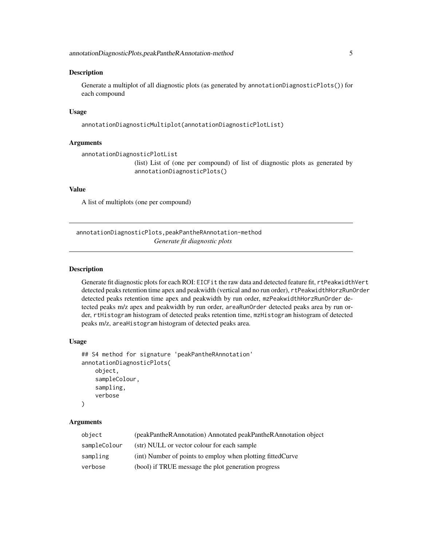#### <span id="page-4-0"></span>Description

Generate a multiplot of all diagnostic plots (as generated by annotationDiagnosticPlots()) for each compound

#### Usage

annotationDiagnosticMultiplot(annotationDiagnosticPlotList)

#### **Arguments**

```
annotationDiagnosticPlotList
                 (list) List of (one per compound) of list of diagnostic plots as generated by
                 annotationDiagnosticPlots()
```
#### Value

A list of multiplots (one per compound)

annotationDiagnosticPlots,peakPantheRAnnotation-method *Generate fit diagnostic plots*

# Description

Generate fit diagnostic plots for each ROI: EICFit the raw data and detected feature fit, rtPeakwidthVert detected peaks retention time apex and peakwidth (vertical and no run order), rtPeakwidthHorzRunOrder detected peaks retention time apex and peakwidth by run order, mzPeakwidthHorzRunOrder detected peaks m/z apex and peakwidth by run order, areaRunOrder detected peaks area by run order, rtHistogram histogram of detected peaks retention time, mzHistogram histogram of detected peaks m/z, areaHistogram histogram of detected peaks area.

#### Usage

```
## S4 method for signature 'peakPantheRAnnotation'
annotationDiagnosticPlots(
    object,
    sampleColour,
    sampling,
    verbose
)
```
#### Arguments

| object       | (peakPantheRAnnotation) Annotated peakPantheRAnnotation object |
|--------------|----------------------------------------------------------------|
| sampleColour | (str) NULL or vector colour for each sample                    |
| sampling     | (int) Number of points to employ when plotting fitted Curve    |
| verbose      | (bool) if TRUE message the plot generation progress            |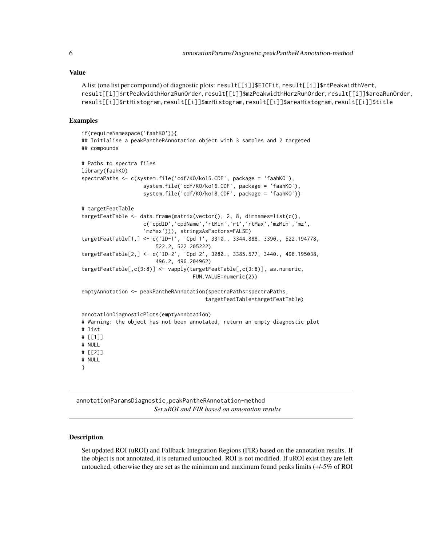#### <span id="page-5-0"></span>Value

```
A list (one list per compound) of diagnostic plots: result[[i]]$EICFit, result[[i]]$rtPeakwidthVert,
result[[i]]$rtPeakwidthHorzRunOrder, result[[i]]$mzPeakwidthHorzRunOrder, result[[i]]$areaRunOrder,
result[[i]]$rtHistogram, result[[i]]$mzHistogram, result[[i]]$areaHistogram, result[[i]]$title
```
#### Examples

```
if(requireNamespace('faahKO')){
## Initialise a peakPantheRAnnotation object with 3 samples and 2 targeted
## compounds
# Paths to spectra files
library(faahKO)
spectraPaths <- c(system.file('cdf/KO/ko15.CDF', package = 'faahKO'),
                    system.file('cdf/KO/ko16.CDF', package = 'faahKO'),
                    system.file('cdf/KO/ko18.CDF', package = 'faahKO'))
# targetFeatTable
targetFeatTable <- data.frame(matrix(vector(), 2, 8, dimnames=list(c(),
                    c('cpdID','cpdName','rtMin','rt','rtMax','mzMin','mz',
                    'mzMax'))), stringsAsFactors=FALSE)
targetFeatTable[1,] <- c('ID-1', 'Cpd 1', 3310., 3344.888, 3390., 522.194778,
                        522.2, 522.205222)
targetFeatTable[2,] <- c('ID-2', 'Cpd 2', 3280., 3385.577, 3440., 496.195038,
                        496.2, 496.204962)
targetFeatTable[,c(3:8)] <- vapply(targetFeatTable[,c(3:8)], as.numeric,
                                    FUN.VALUE=numeric(2))
emptyAnnotation <- peakPantheRAnnotation(spectraPaths=spectraPaths,
                                        targetFeatTable=targetFeatTable)
annotationDiagnosticPlots(emptyAnnotation)
# Warning: the object has not been annotated, return an empty diagnostic plot
# list
# [[1]]
# NULL
# [[2]]
# NULL
}
```
annotationParamsDiagnostic,peakPantheRAnnotation-method *Set uROI and FIR based on annotation results*

# Description

Set updated ROI (uROI) and Fallback Integration Regions (FIR) based on the annotation results. If the object is not annotated, it is returned untouched. ROI is not modified. If uROI exist they are left untouched, otherwise they are set as the minimum and maximum found peaks limits (+/-5% of ROI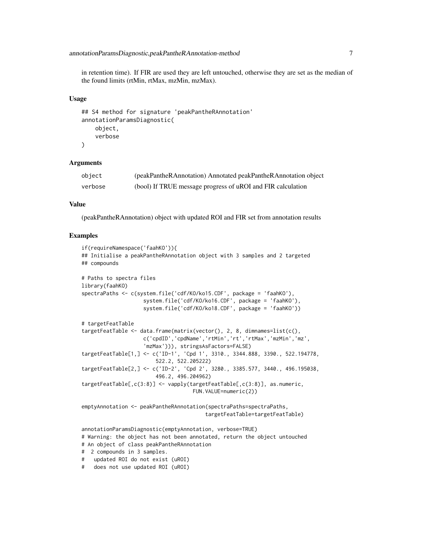in retention time). If FIR are used they are left untouched, otherwise they are set as the median of the found limits (rtMin, rtMax, mzMin, mzMax).

#### Usage

```
## S4 method for signature 'peakPantheRAnnotation'
annotationParamsDiagnostic(
    object,
    verbose
\lambda
```
#### Arguments

| object  | (peakPantheRAnnotation) Annotated peakPantheRAnnotation object |
|---------|----------------------------------------------------------------|
| verbose | (bool) If TRUE message progress of uROI and FIR calculation    |

# Value

(peakPantheRAnnotation) object with updated ROI and FIR set from annotation results

#### Examples

```
if(requireNamespace('faahKO')){
## Initialise a peakPantheRAnnotation object with 3 samples and 2 targeted
## compounds
# Paths to spectra files
library(faahKO)
spectraPaths <- c(system.file('cdf/KO/ko15.CDF', package = 'faahKO'),
                    system.file('cdf/KO/ko16.CDF', package = 'faahKO'),
                    system.file('cdf/KO/ko18.CDF', package = 'faahKO'))
# targetFeatTable
targetFeatTable <- data.frame(matrix(vector(), 2, 8, dimnames=list(c(),
                    c('cpdID','cpdName','rtMin','rt','rtMax','mzMin','mz',
                    'mzMax'))), stringsAsFactors=FALSE)
targetFeatTable[1,] <- c('ID-1', 'Cpd 1', 3310., 3344.888, 3390., 522.194778,
                        522.2, 522.205222)
targetFeatTable[2,] <- c('ID-2', 'Cpd 2', 3280., 3385.577, 3440., 496.195038,
                        496.2, 496.204962)
targetFeatTable[,c(3:8)] <- vapply(targetFeatTable[,c(3:8)], as.numeric,
                                    FUN.VALUE=numeric(2))
emptyAnnotation <- peakPantheRAnnotation(spectraPaths=spectraPaths,
                                        targetFeatTable=targetFeatTable)
```
annotationParamsDiagnostic(emptyAnnotation, verbose=TRUE) # Warning: the object has not been annotated, return the object untouched # An object of class peakPantheRAnnotation # 2 compounds in 3 samples. # updated ROI do not exist (uROI) # does not use updated ROI (uROI)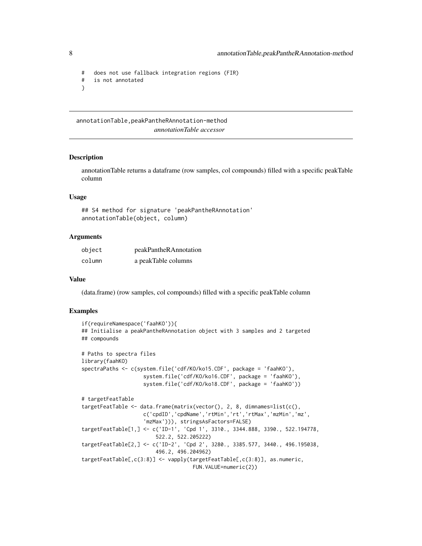```
# does not use fallback integration regions (FIR)
# is not annotated
}
```
annotationTable,peakPantheRAnnotation-method *annotationTable accessor*

#### Description

annotationTable returns a dataframe (row samples, col compounds) filled with a specific peakTable column

#### Usage

## S4 method for signature 'peakPantheRAnnotation' annotationTable(object, column)

#### Arguments

| object | peakPantheRAnnotation |
|--------|-----------------------|
| column | a peakTable columns   |

#### Value

(data.frame) (row samples, col compounds) filled with a specific peakTable column

#### Examples

```
if(requireNamespace('faahKO')){
## Initialise a peakPantheRAnnotation object with 3 samples and 2 targeted
## compounds
# Paths to spectra files
library(faahKO)
spectraPaths <- c(system.file('cdf/KO/ko15.CDF', package = 'faahKO'),
                    system.file('cdf/KO/ko16.CDF', package = 'faahKO'),
                    system.file('cdf/KO/ko18.CDF', package = 'faahKO'))
# targetFeatTable
targetFeatTable <- data.frame(matrix(vector(), 2, 8, dimnames=list(c(),
                    c('cpdID','cpdName','rtMin','rt','rtMax','mzMin','mz',
                    'mzMax'))), stringsAsFactors=FALSE)
targetFeatTable[1,] <- c('ID-1', 'Cpd 1', 3310., 3344.888, 3390., 522.194778,
                        522.2, 522.205222)
targetFeatTable[2,] <- c('ID-2', 'Cpd 2', 3280., 3385.577, 3440., 496.195038,
                        496.2, 496.204962)
targetFeatTable[,c(3:8)] <- vapply(targetFeatTable[,c(3:8)], as.numeric,
                                    FUN.VALUE=numeric(2))
```
<span id="page-7-0"></span>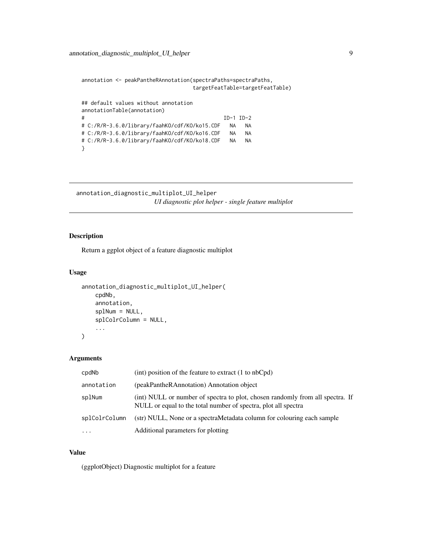```
annotation <- peakPantheRAnnotation(spectraPaths=spectraPaths,
                               targetFeatTable=targetFeatTable)
## default values without annotation
annotationTable(annotation)
# ID-1 ID-2
# C:/R/R-3.6.0/library/faahKO/cdf/KO/ko15.CDF NA NA
# C:/R/R-3.6.0/library/faahKO/cdf/KO/ko16.CDF NA NA
# C:/R/R-3.6.0/library/faahKO/cdf/KO/ko18.CDF NA NA
}
```
annotation\_diagnostic\_multiplot\_UI\_helper *UI diagnostic plot helper - single feature multiplot*

# Description

Return a ggplot object of a feature diagnostic multiplot

# Usage

```
annotation_diagnostic_multiplot_UI_helper(
   cpdNb,
    annotation,
   splNum = NULL,
    splColrColumn = NULL,
    ...
)
```
#### Arguments

| cpdNb             | (int) position of the feature to extract $(1 \text{ to } nbCpd)$                                                                                |
|-------------------|-------------------------------------------------------------------------------------------------------------------------------------------------|
| annotation        | (peakPantheRAnnotation) Annotation object                                                                                                       |
| splNum            | (int) NULL or number of spectra to plot, chosen randomly from all spectra. If<br>NULL or equal to the total number of spectra, plot all spectra |
| splColrColumn     | (str) NULL, None or a spectraMetadata column for colouring each sample                                                                          |
| $\cdot\cdot\cdot$ | Additional parameters for plotting                                                                                                              |

#### Value

(ggplotObject) Diagnostic multiplot for a feature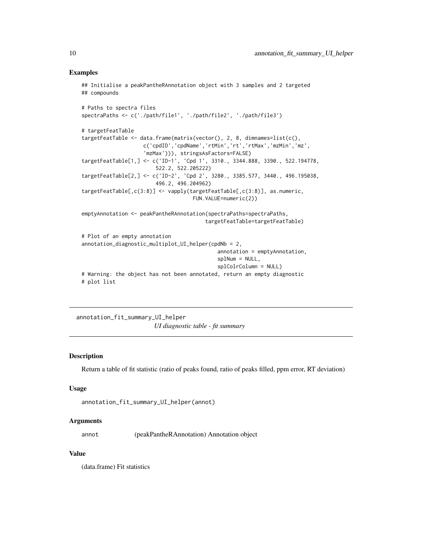```
## Initialise a peakPantheRAnnotation object with 3 samples and 2 targeted
## compounds
# Paths to spectra files
spectraPaths <- c('./path/file1', './path/file2', './path/file3')
# targetFeatTable
targetFeatTable <- data.frame(matrix(vector(), 2, 8, dimnames=list(c(),
                    c('cpdID','cpdName','rtMin','rt','rtMax','mzMin','mz',
                    'mzMax'))), stringsAsFactors=FALSE)
targetFeatTable[1,] <- c('ID-1', 'Cpd 1', 3310., 3344.888, 3390., 522.194778,
                        522.2, 522.205222)
targetFeatTable[2,] <- c('ID-2', 'Cpd 2', 3280., 3385.577, 3440., 496.195038,
                        496.2, 496.204962)
targetFeatTable[,c(3:8)] <- vapply(targetFeatTable[,c(3:8)], as.numeric,
                                    FUN.VALUE=numeric(2))
emptyAnnotation <- peakPantheRAnnotation(spectraPaths=spectraPaths,
                                        targetFeatTable=targetFeatTable)
# Plot of an empty annotation
annotation_diagnostic_multiplot_UI_helper(cpdNb = 2,
                                            annotation = emptyAnnotation,
                                            splNum = NULL,
                                            splColrColumn = NULL)
# Warning: the object has not been annotated, return an empty diagnostic
# plot list
```
annotation\_fit\_summary\_UI\_helper *UI diagnostic table - fit summary*

# **Description**

Return a table of fit statistic (ratio of peaks found, ratio of peaks filled, ppm error, RT deviation)

#### Usage

```
annotation_fit_summary_UI_helper(annot)
```
#### Arguments

annot (peakPantheRAnnotation) Annotation object

#### Value

(data.frame) Fit statistics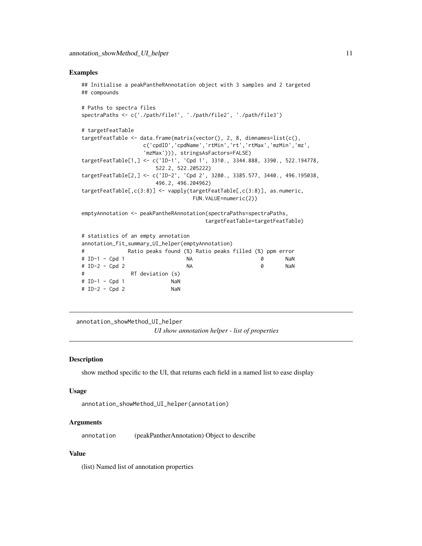```
## Initialise a peakPantheRAnnotation object with 3 samples and 2 targeted
## compounds
# Paths to spectra files
spectraPaths <- c('./path/file1', './path/file2', './path/file3')
# targetFeatTable
targetFeatTable <- data.frame(matrix(vector(), 2, 8, dimnames=list(c(),
                 c('cpdID','cpdName','rtMin','rt','rtMax','mzMin','mz',
                 'mzMax'))), stringsAsFactors=FALSE)
targetFeatTable[1,] <- c('ID-1', 'Cpd 1', 3310., 3344.888, 3390., 522.194778,
                     522.2, 522.205222)
targetFeatTable[2,] <- c('ID-2', 'Cpd 2', 3280., 3385.577, 3440., 496.195038,
                     496.2, 496.204962)
targetFeatTable[,c(3:8)] <- vapply(targetFeatTable[,c(3:8)], as.numeric,
                               FUN.VALUE=numeric(2))
emptyAnnotation <- peakPantheRAnnotation(spectraPaths=spectraPaths,
                                   targetFeatTable=targetFeatTable)
# statistics of an empty annotation
annotation_fit_summary_UI_helper(emptyAnnotation)
# Ratio peaks found (%) Ratio peaks filled (%) ppm error
# ID-1 - Cpd 1 NA 0 NaN
# ID-2 - Cpd 2 NA 0 NaN
# RT deviation (s)
# ID-1 - Cpd 1 NaN
# ID-2 - Cpd 2 NaN
```
annotation\_showMethod\_UI\_helper

*UI show annotation helper - list of properties*

#### Description

show method specific to the UI, that returns each field in a named list to ease display

#### Usage

```
annotation_showMethod_UI_helper(annotation)
```
# Arguments

annotation (peakPantherAnnotation) Object to describe

#### Value

(list) Named list of annotation properties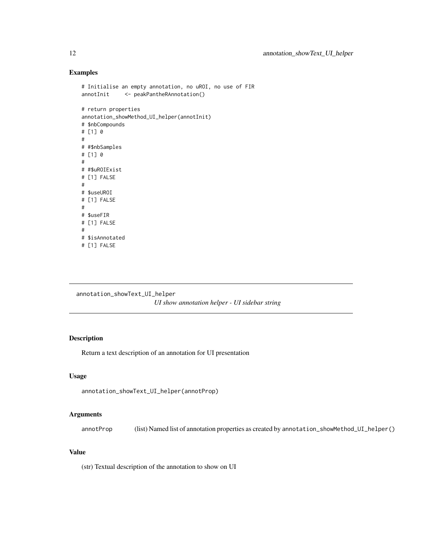```
# Initialise an empty annotation, no uROI, no use of FIR
annotInit <- peakPantheRAnnotation()
# return properties
annotation_showMethod_UI_helper(annotInit)
# $nbCompounds
# [1] 0
#
# #$nbSamples
# [1] 0
#
# #$uROIExist
# [1] FALSE
#
# $useUROI
# [1] FALSE
#
# $useFIR
# [1] FALSE
#
# $isAnnotated
```

```
# [1] FALSE
```
annotation\_showText\_UI\_helper *UI show annotation helper - UI sidebar string*

# Description

Return a text description of an annotation for UI presentation

#### Usage

annotation\_showText\_UI\_helper(annotProp)

# Arguments

annotProp (list) Named list of annotation properties as created by annotation\_showMethod\_UI\_helper()

# Value

(str) Textual description of the annotation to show on UI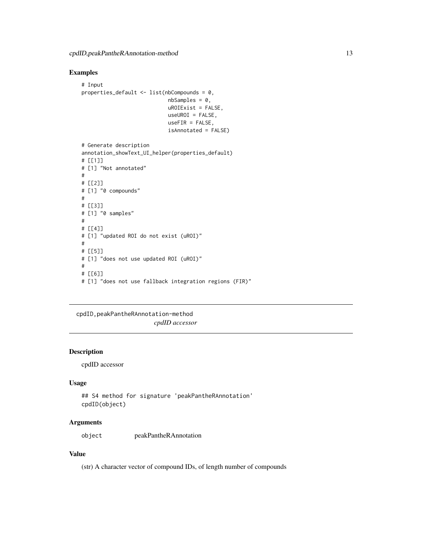```
# Input
properties_default <- list(nbCompounds = 0,
                            nbSamples = 0,
                            uROIExist = FALSE,
                            useUROI = FALSE,
                            useFIR = FALSE,
                             isAnnotated = FALSE)
# Generate description
annotation_showText_UI_helper(properties_default)
# [[1]]
# [1] "Not annotated"
#
# [[2]]
# [1] "0 compounds"
#
# [[3]]
# [1] "0 samples"
#
# [[4]]
# [1] "updated ROI do not exist (uROI)"
#
# [[5]]
# [1] "does not use updated ROI (uROI)"
#
# [[6]]
# [1] "does not use fallback integration regions (FIR)"
```
# cpdID,peakPantheRAnnotation-method

*cpdID accessor*

## Description

cpdID accessor

# Usage

```
## S4 method for signature 'peakPantheRAnnotation'
cpdID(object)
```
# Arguments

object peakPantheRAnnotation

## Value

(str) A character vector of compound IDs, of length number of compounds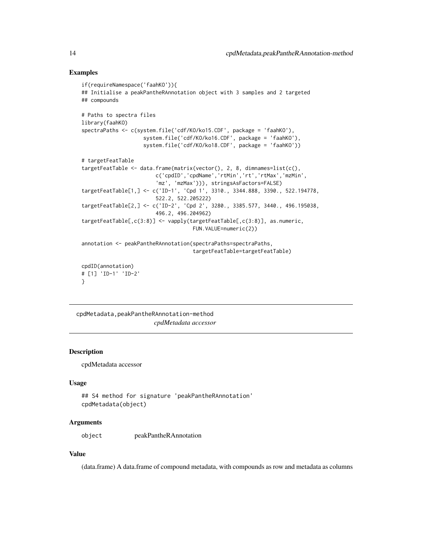```
if(requireNamespace('faahKO')){
## Initialise a peakPantheRAnnotation object with 3 samples and 2 targeted
## compounds
# Paths to spectra files
library(faahKO)
spectraPaths <- c(system.file('cdf/KO/ko15.CDF', package = 'faahKO'),
                    system.file('cdf/KO/ko16.CDF', package = 'faahKO'),
                    system.file('cdf/KO/ko18.CDF', package = 'faahKO'))
# targetFeatTable
targetFeatTable <- data.frame(matrix(vector(), 2, 8, dimnames=list(c(),
                        c('cpdID','cpdName','rtMin','rt','rtMax','mzMin',
                        'mz', 'mzMax'))), stringsAsFactors=FALSE)
targetFeatTable[1,] <- c('ID-1', 'Cpd 1', 3310., 3344.888, 3390., 522.194778,
                        522.2, 522.205222)
targetFeatTable[2,] <- c('ID-2', 'Cpd 2', 3280., 3385.577, 3440., 496.195038,
                        496.2, 496.204962)
targetFeatTable[,c(3:8)] <- vapply(targetFeatTable[,c(3:8)], as.numeric,
                                    FUN.VALUE=numeric(2))
annotation <- peakPantheRAnnotation(spectraPaths=spectraPaths,
                                    targetFeatTable=targetFeatTable)
cpdID(annotation)
# [1] 'ID-1' 'ID-2'
}
```
cpdMetadata,peakPantheRAnnotation-method *cpdMetadata accessor*

# Description

cpdMetadata accessor

#### Usage

```
## S4 method for signature 'peakPantheRAnnotation'
cpdMetadata(object)
```
# Arguments

object peakPantheRAnnotation

#### Value

(data.frame) A data.frame of compound metadata, with compounds as row and metadata as columns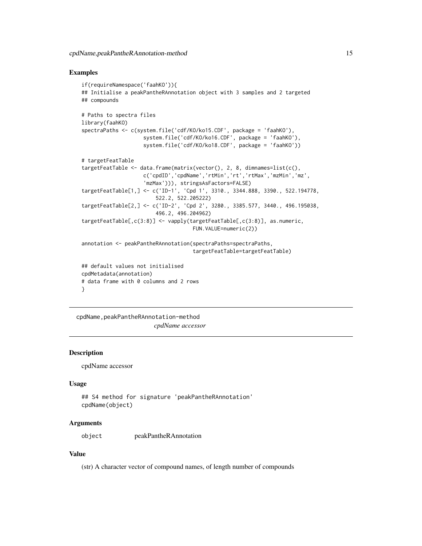```
if(requireNamespace('faahKO')){
## Initialise a peakPantheRAnnotation object with 3 samples and 2 targeted
## compounds
# Paths to spectra files
library(faahKO)
spectraPaths <- c(system.file('cdf/KO/ko15.CDF', package = 'faahKO'),
                    system.file('cdf/KO/ko16.CDF', package = 'faahKO'),
                    system.file('cdf/KO/ko18.CDF', package = 'faahKO'))
# targetFeatTable
targetFeatTable <- data.frame(matrix(vector(), 2, 8, dimnames=list(c(),
                    c('cpdID','cpdName','rtMin','rt','rtMax','mzMin','mz',
                    'mzMax'))), stringsAsFactors=FALSE)
targetFeatTable[1,] <- c('ID-1', 'Cpd 1', 3310., 3344.888, 3390., 522.194778,
                        522.2, 522.205222)
targetFeatTable[2,] <- c('ID-2', 'Cpd 2', 3280., 3385.577, 3440., 496.195038,
                        496.2, 496.204962)
targetFeatTable[,c(3:8)] <- vapply(targetFeatTable[,c(3:8)], as.numeric,
                                    FUN.VALUE=numeric(2))
annotation <- peakPantheRAnnotation(spectraPaths=spectraPaths,
                                    targetFeatTable=targetFeatTable)
## default values not initialised
cpdMetadata(annotation)
# data frame with 0 columns and 2 rows
}
```
cpdName,peakPantheRAnnotation-method *cpdName accessor*

#### Description

cpdName accessor

#### Usage

```
## S4 method for signature 'peakPantheRAnnotation'
cpdName(object)
```
#### Arguments

object peakPantheRAnnotation

#### Value

(str) A character vector of compound names, of length number of compounds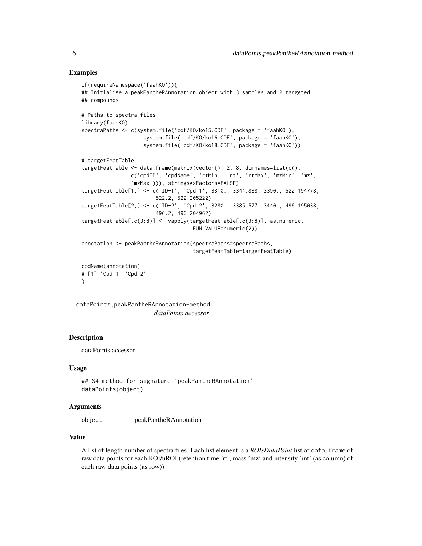```
if(requireNamespace('faahKO')){
## Initialise a peakPantheRAnnotation object with 3 samples and 2 targeted
## compounds
# Paths to spectra files
library(faahKO)
spectraPaths <- c(system.file('cdf/KO/ko15.CDF', package = 'faahKO'),
                    system.file('cdf/KO/ko16.CDF', package = 'faahKO'),
                    system.file('cdf/KO/ko18.CDF', package = 'faahKO'))
# targetFeatTable
targetFeatTable <- data.frame(matrix(vector(), 2, 8, dimnames=list(c(),
                c('cpdID', 'cpdName', 'rtMin', 'rt', 'rtMax', 'mzMin', 'mz',
                'mzMax'))), stringsAsFactors=FALSE)
targetFeatTable[1,] <- c('ID-1', 'Cpd 1', 3310., 3344.888, 3390., 522.194778,
                        522.2, 522.205222)
targetFeatTable[2,] <- c('ID-2', 'Cpd 2', 3280., 3385.577, 3440., 496.195038,
                        496.2, 496.204962)
targetFeatTable[,c(3:8)] <- vapply(targetFeatTable[,c(3:8)], as.numeric,
                                    FUN.VALUE=numeric(2))
annotation <- peakPantheRAnnotation(spectraPaths=spectraPaths,
                                    targetFeatTable=targetFeatTable)
cpdName(annotation)
# [1] 'Cpd 1' 'Cpd 2'
}
```
dataPoints,peakPantheRAnnotation-method *dataPoints accessor*

# **Description**

dataPoints accessor

#### Usage

```
## S4 method for signature 'peakPantheRAnnotation'
dataPoints(object)
```
# Arguments

object peakPantheRAnnotation

## Value

A list of length number of spectra files. Each list element is a *ROIsDataPoint* list of data.frame of raw data points for each ROI/uROI (retention time 'rt', mass 'mz' and intensity 'int' (as column) of each raw data points (as row))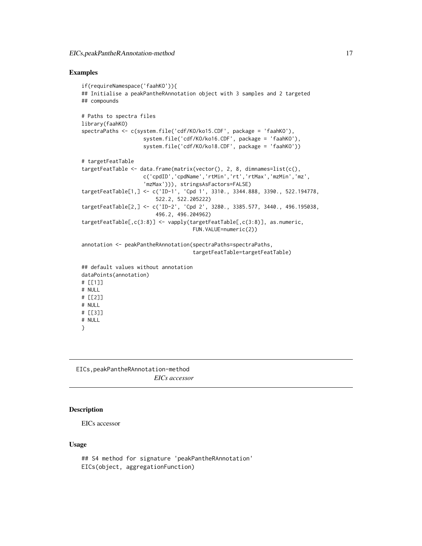```
if(requireNamespace('faahKO')){
## Initialise a peakPantheRAnnotation object with 3 samples and 2 targeted
## compounds
# Paths to spectra files
library(faahKO)
spectraPaths <- c(system.file('cdf/KO/ko15.CDF', package = 'faahKO'),
                    system.file('cdf/KO/ko16.CDF', package = 'faahKO'),
                    system.file('cdf/KO/ko18.CDF', package = 'faahKO'))
# targetFeatTable
targetFeatTable <- data.frame(matrix(vector(), 2, 8, dimnames=list(c(),
                    c('cpdID','cpdName','rtMin','rt','rtMax','mzMin','mz',
                    'mzMax'))), stringsAsFactors=FALSE)
targetFeatTable[1,] <- c('ID-1', 'Cpd 1', 3310., 3344.888, 3390., 522.194778,
                        522.2, 522.205222)
targetFeatTable[2,] <- c('ID-2', 'Cpd 2', 3280., 3385.577, 3440., 496.195038,
                        496.2, 496.204962)
targetFeatTable[,c(3:8)] <- vapply(targetFeatTable[,c(3:8)], as.numeric,
                                    FUN.VALUE=numeric(2))
annotation <- peakPantheRAnnotation(spectraPaths=spectraPaths,
                                    targetFeatTable=targetFeatTable)
## default values without annotation
dataPoints(annotation)
# [[1]]
# NULL
# [[2]]
# NULL
# [[3]]
# NULL
}
```
EICs,peakPantheRAnnotation-method *EICs accessor*

# Description

EICs accessor

#### Usage

```
## S4 method for signature 'peakPantheRAnnotation'
EICs(object, aggregationFunction)
```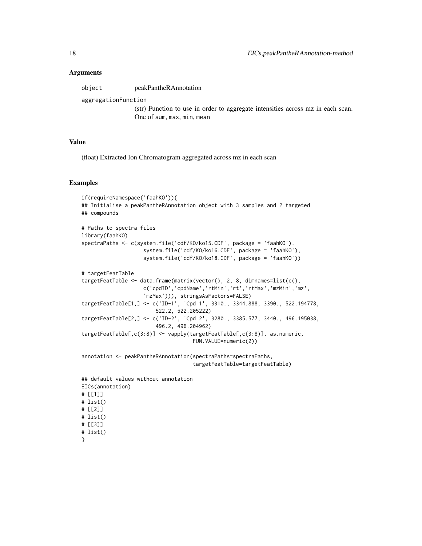#### Arguments

object peakPantheRAnnotation

aggregationFunction

(str) Function to use in order to aggregate intensities across mz in each scan. One of sum, max, min, mean

#### Value

(float) Extracted Ion Chromatogram aggregated across mz in each scan

# Examples

```
if(requireNamespace('faahKO')){
## Initialise a peakPantheRAnnotation object with 3 samples and 2 targeted
## compounds
# Paths to spectra files
library(faahKO)
spectraPaths <- c(system.file('cdf/KO/ko15.CDF', package = 'faahKO'),
                    system.file('cdf/KO/ko16.CDF', package = 'faahKO'),
                    system.file('cdf/KO/ko18.CDF', package = 'faahKO'))
# targetFeatTable
targetFeatTable <- data.frame(matrix(vector(), 2, 8, dimnames=list(c(),
                    c('cpdID','cpdName','rtMin','rt','rtMax','mzMin','mz',
                    'mzMax'))), stringsAsFactors=FALSE)
targetFeatTable[1,] <- c('ID-1', 'Cpd 1', 3310., 3344.888, 3390., 522.194778,
                        522.2, 522.205222)
targetFeatTable[2,] <- c('ID-2', 'Cpd 2', 3280., 3385.577, 3440., 496.195038,
                        496.2, 496.204962)
targetFeatTable[,c(3:8)] <- vapply(targetFeatTable[,c(3:8)], as.numeric,
                                    FUN.VALUE=numeric(2))
annotation <- peakPantheRAnnotation(spectraPaths=spectraPaths,
                                    targetFeatTable=targetFeatTable)
## default values without annotation
EICs(annotation)
# [[1]]
```

```
# list()
# [[2]]
# list()
# [[3]]
# list()
```

```
}
```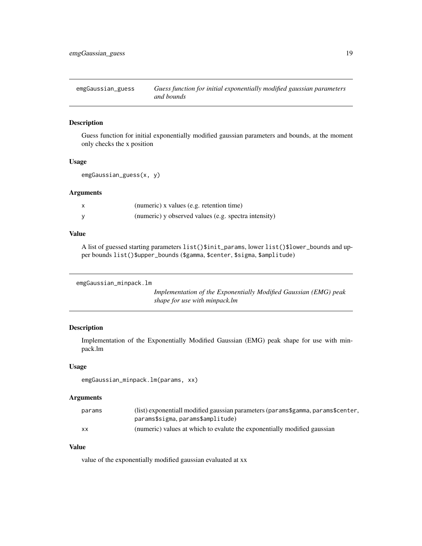<span id="page-18-0"></span>emgGaussian\_guess *Guess function for initial exponentially modified gaussian parameters and bounds*

#### Description

Guess function for initial exponentially modified gaussian parameters and bounds, at the moment only checks the x position

#### Usage

```
emgGaussian_guess(x, y)
```
# Arguments

| x | (numeric) x values (e.g. retention time)             |
|---|------------------------------------------------------|
|   | (numeric) y observed values (e.g. spectra intensity) |

# Value

A list of guessed starting parameters list()\$init\_params, lower list()\$lower\_bounds and upper bounds list()\$upper\_bounds (\$gamma, \$center, \$sigma, \$amplitude)

```
emgGaussian_minpack.lm
```
*Implementation of the Exponentially Modified Gaussian (EMG) peak shape for use with minpack.lm*

# Description

Implementation of the Exponentially Modified Gaussian (EMG) peak shape for use with minpack.lm

#### Usage

```
emgGaussian_minpack.lm(params, xx)
```
# Arguments

| params | (list) exponentiall modified gaussian parameters (params\$gamma, params\$center, |
|--------|----------------------------------------------------------------------------------|
|        | params\$sigma, params\$amplitude)                                                |
| xх     | (numeric) values at which to evalute the exponentially modified gaussian         |

# Value

value of the exponentially modified gaussian evaluated at xx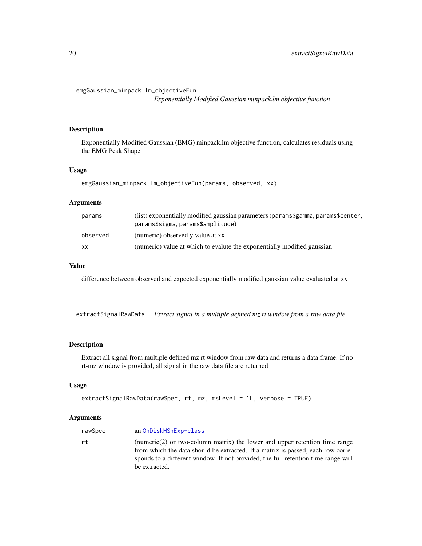<span id="page-19-0"></span>emgGaussian\_minpack.lm\_objectiveFun

*Exponentially Modified Gaussian minpack.lm objective function*

# Description

Exponentially Modified Gaussian (EMG) minpack.lm objective function, calculates residuals using the EMG Peak Shape

# Usage

```
emgGaussian_minpack.lm_objectiveFun(params, observed, xx)
```
## Arguments

| params    | (list) exponentially modified gaussian parameters (params\$gamma, params\$center,<br>params\$sigma, params\$amplitude) |
|-----------|------------------------------------------------------------------------------------------------------------------------|
| observed  | (numeric) observed y value at xx                                                                                       |
| <b>XX</b> | (numeric) value at which to evalute the exponentially modified gaussian                                                |

# Value

difference between observed and expected exponentially modified gaussian value evaluated at xx

extractSignalRawData *Extract signal in a multiple defined mz rt window from a raw data file*

#### Description

Extract all signal from multiple defined mz rt window from raw data and returns a data.frame. If no rt-mz window is provided, all signal in the raw data file are returned

# Usage

```
extractSignalRawData(rawSpec, rt, mz, msLevel = 1L, verbose = TRUE)
```
#### Arguments

| rawSpec | an OnDiskMSnExp-class                                                                                                                                                                                                                                                    |
|---------|--------------------------------------------------------------------------------------------------------------------------------------------------------------------------------------------------------------------------------------------------------------------------|
| rt.     | (numeric $(2)$ ) or two-column matrix) the lower and upper retention time range<br>from which the data should be extracted. If a matrix is passed, each row corre-<br>sponds to a different window. If not provided, the full retention time range will<br>be extracted. |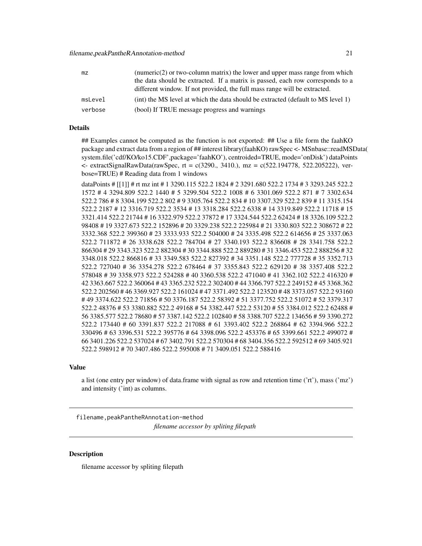<span id="page-20-0"></span>

| mz      | (numeric $(2)$ or two-column matrix) the lower and upper mass range from which   |
|---------|----------------------------------------------------------------------------------|
|         | the data should be extracted. If a matrix is passed, each row corresponds to a   |
|         | different window. If not provided, the full mass range will be extracted.        |
| msLevel | (int) the MS level at which the data should be extracted (default to MS level 1) |
| verbose | (bool) If TRUE message progress and warnings                                     |

#### Details

## Examples cannot be computed as the function is not exported: ## Use a file form the faahKO package and extract data from a region of ## interest library(faahKO) rawSpec <- MSnbase::readMSData( system.file('cdf/KO/ko15.CDF',package='faahKO'), centroided=TRUE, mode='onDisk') dataPoints  $\leq$  extractSignalRawData(rawSpec, rt = c(3290., 3410.), mz = c(522.194778, 522.205222), verbose=TRUE) # Reading data from 1 windows

dataPoints # [[1]] # rt mz int # 1 3290.115 522.2 1824 # 2 3291.680 522.2 1734 # 3 3293.245 522.2 1572 # 4 3294.809 522.2 1440 # 5 3299.504 522.2 1008 # 6 3301.069 522.2 871 # 7 3302.634 522.2 786 # 8 3304.199 522.2 802 # 9 3305.764 522.2 834 # 10 3307.329 522.2 839 # 11 3315.154 522.2 2187 # 12 3316.719 522.2 3534 # 13 3318.284 522.2 6338 # 14 3319.849 522.2 11718 # 15 3321.414 522.2 21744 # 16 3322.979 522.2 37872 # 17 3324.544 522.2 62424 # 18 3326.109 522.2 98408 # 19 3327.673 522.2 152896 # 20 3329.238 522.2 225984 # 21 3330.803 522.2 308672 # 22 3332.368 522.2 399360 # 23 3333.933 522.2 504000 # 24 3335.498 522.2 614656 # 25 3337.063 522.2 711872 # 26 3338.628 522.2 784704 # 27 3340.193 522.2 836608 # 28 3341.758 522.2 866304 # 29 3343.323 522.2 882304 # 30 3344.888 522.2 889280 # 31 3346.453 522.2 888256 # 32 3348.018 522.2 866816 # 33 3349.583 522.2 827392 # 34 3351.148 522.2 777728 # 35 3352.713 522.2 727040 # 36 3354.278 522.2 678464 # 37 3355.843 522.2 629120 # 38 3357.408 522.2 578048 # 39 3358.973 522.2 524288 # 40 3360.538 522.2 471040 # 41 3362.102 522.2 416320 # 42 3363.667 522.2 360064 # 43 3365.232 522.2 302400 # 44 3366.797 522.2 249152 # 45 3368.362 522.2 202560 # 46 3369.927 522.2 161024 # 47 3371.492 522.2 123520 # 48 3373.057 522.2 93160 # 49 3374.622 522.2 71856 # 50 3376.187 522.2 58392 # 51 3377.752 522.2 51072 # 52 3379.317 522.2 48376 # 53 3380.882 522.2 49168 # 54 3382.447 522.2 53120 # 55 3384.012 522.2 62488 # 56 3385.577 522.2 78680 # 57 3387.142 522.2 102840 # 58 3388.707 522.2 134656 # 59 3390.272 522.2 173440 # 60 3391.837 522.2 217088 # 61 3393.402 522.2 268864 # 62 3394.966 522.2 330496 # 63 3396.531 522.2 395776 # 64 3398.096 522.2 453376 # 65 3399.661 522.2 499072 # 66 3401.226 522.2 537024 # 67 3402.791 522.2 570304 # 68 3404.356 522.2 592512 # 69 3405.921 522.2 598912 # 70 3407.486 522.2 595008 # 71 3409.051 522.2 588416

#### Value

a list (one entry per window) of data.frame with signal as row and retention time ('rt'), mass ('mz') and intensity ('int) as columns.

filename,peakPantheRAnnotation-method *filename accessor by spliting filepath*

## **Description**

filename accessor by spliting filepath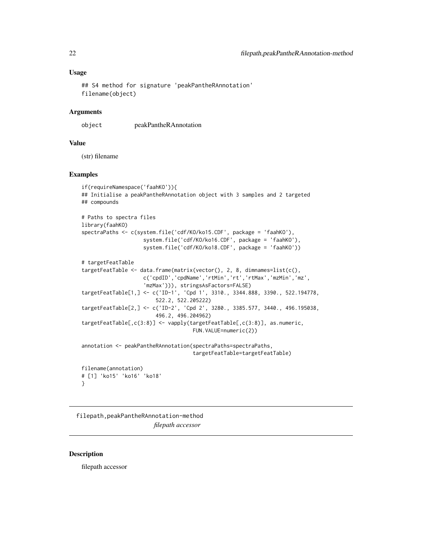### <span id="page-21-0"></span>Usage

```
## S4 method for signature 'peakPantheRAnnotation'
filename(object)
```
#### Arguments

object peakPantheRAnnotation

#### Value

(str) filename

### Examples

```
if(requireNamespace('faahKO')){
## Initialise a peakPantheRAnnotation object with 3 samples and 2 targeted
## compounds
# Paths to spectra files
library(faahKO)
spectraPaths <- c(system.file('cdf/KO/ko15.CDF', package = 'faahKO'),
                    system.file('cdf/KO/ko16.CDF', package = 'faahKO'),
                    system.file('cdf/KO/ko18.CDF', package = 'faahKO'))
# targetFeatTable
targetFeatTable <- data.frame(matrix(vector(), 2, 8, dimnames=list(c(),
                    c('cpdID','cpdName','rtMin','rt','rtMax','mzMin','mz',
                    'mzMax'))), stringsAsFactors=FALSE)
targetFeatTable[1,] <- c('ID-1', 'Cpd 1', 3310., 3344.888, 3390., 522.194778,
                        522.2, 522.205222)
targetFeatTable[2,] <- c('ID-2', 'Cpd 2', 3280., 3385.577, 3440., 496.195038,
                        496.2, 496.204962)
targetFeatTable[,c(3:8)] <- vapply(targetFeatTable[,c(3:8)], as.numeric,
                                    FUN.VALUE=numeric(2))
annotation <- peakPantheRAnnotation(spectraPaths=spectraPaths,
                                    targetFeatTable=targetFeatTable)
filename(annotation)
# [1] 'ko15' 'ko16' 'ko18'
```
filepath,peakPantheRAnnotation-method *filepath accessor*

#### Description

}

filepath accessor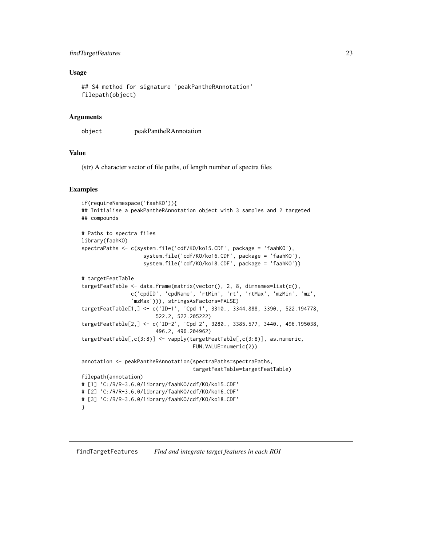# <span id="page-22-0"></span>findTargetFeatures 23

#### Usage

```
## S4 method for signature 'peakPantheRAnnotation'
filepath(object)
```
#### **Arguments**

```
object peakPantheRAnnotation
```
#### Value

(str) A character vector of file paths, of length number of spectra files

#### Examples

```
if(requireNamespace('faahKO')){
## Initialise a peakPantheRAnnotation object with 3 samples and 2 targeted
## compounds
# Paths to spectra files
library(faahKO)
spectraPaths <- c(system.file('cdf/KO/ko15.CDF', package = 'faahKO'),
                    system.file('cdf/KO/ko16.CDF', package = 'faahKO'),
                    system.file('cdf/KO/ko18.CDF', package = 'faahKO'))
# targetFeatTable
targetFeatTable <- data.frame(matrix(vector(), 2, 8, dimnames=list(c(),
                c('cpdID', 'cpdName', 'rtMin', 'rt', 'rtMax', 'mzMin', 'mz',
                'mzMax'))), stringsAsFactors=FALSE)
targetFeatTable[1,] <- c('ID-1', 'Cpd 1', 3310., 3344.888, 3390., 522.194778,
                        522.2, 522.205222)
targetFeatTable[2,] <- c('ID-2', 'Cpd 2', 3280., 3385.577, 3440., 496.195038,
                        496.2, 496.204962)
targetFeatTable[,c(3:8)] <- vapply(targetFeatTable[,c(3:8)], as.numeric,
                                    FUN.VALUE=numeric(2))
annotation <- peakPantheRAnnotation(spectraPaths=spectraPaths,
                                    targetFeatTable=targetFeatTable)
filepath(annotation)
# [1] 'C:/R/R-3.6.0/library/faahKO/cdf/KO/ko15.CDF'
# [2] 'C:/R/R-3.6.0/library/faahKO/cdf/KO/ko16.CDF'
# [3] 'C:/R/R-3.6.0/library/faahKO/cdf/KO/ko18.CDF'
}
```
<span id="page-22-1"></span>findTargetFeatures *Find and integrate target features in each ROI*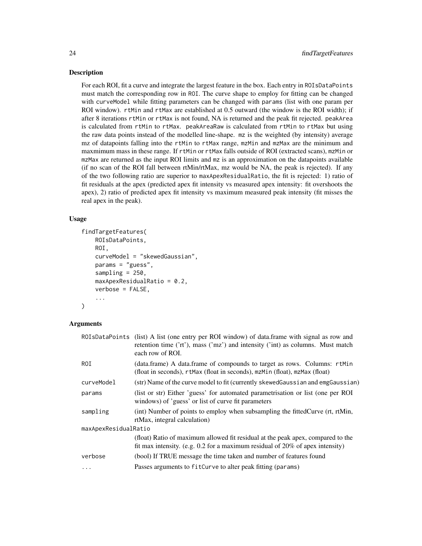#### Description

For each ROI, fit a curve and integrate the largest feature in the box. Each entry in ROIsDataPoints must match the corresponding row in ROI. The curve shape to employ for fitting can be changed with curveModel while fitting parameters can be changed with params (list with one param per ROI window). rtMin and rtMax are established at 0.5 outward (the window is the ROI width); if after 8 iterations rtMin or rtMax is not found, NA is returned and the peak fit rejected. peakArea is calculated from rtMin to rtMax. peakAreaRaw is calculated from rtMin to rtMax but using the raw data points instead of the modelled line-shape. mz is the weighted (by intensity) average mz of datapoints falling into the rtMin to rtMax range, mzMin and mzMax are the minimum and maxmimum mass in these range. If rtMin or rtMax falls outside of ROI (extracted scans), mzMin or mzMax are returned as the input ROI limits and mz is an approximation on the datapoints available (if no scan of the ROI fall between rtMin/rtMax, mz would be NA, the peak is rejected). If any of the two following ratio are superior to maxApexResidualRatio, the fit is rejected: 1) ratio of fit residuals at the apex (predicted apex fit intensity vs measured apex intensity: fit overshoots the apex), 2) ratio of predicted apex fit intensity vs maximum measured peak intensity (fit misses the real apex in the peak).

#### Usage

```
findTargetFeatures(
    ROIsDataPoints,
    ROI,
    curveModel = "skewedGaussian",
    params = "guess",
    sampling = 250,
    maxApexResidualRatio = 0.2,
    verbose = FALSE,
    ...
)
```
#### Arguments

|                      | ROIsDataPoints (list) A list (one entry per ROI window) of data.frame with signal as row and<br>retention time ('rt'), mass ('mz') and intensity ('int) as columns. Must match<br>each row of ROI. |  |
|----------------------|----------------------------------------------------------------------------------------------------------------------------------------------------------------------------------------------------|--|
| ROI                  | (data.frame) A data.frame of compounds to target as rows. Columns: rtMin<br>(float in seconds), rtMax (float in seconds), mzMin (float), mzMax (float)                                             |  |
| curveModel           | (str) Name of the curve model to fit (currently skewed Gaussian and emgGaussian)                                                                                                                   |  |
| params               | (list or str) Either 'guess' for automated parametrisation or list (one per ROI<br>windows) of 'guess' or list of curve fit parameters                                                             |  |
| sampling             | (int) Number of points to employ when subsampling the fittedCurve (rt, rtMin,<br>rtMax, integral calculation)                                                                                      |  |
| maxApexResidualRatio |                                                                                                                                                                                                    |  |
|                      | (float) Ratio of maximum allowed fit residual at the peak apex, compared to the<br>fit max intensity. (e.g. $0.2$ for a maximum residual of $20\%$ of apex intensity)                              |  |
| verbose              | (bool) If TRUE message the time taken and number of features found                                                                                                                                 |  |
| $\ddotsc$            | Passes arguments to fitCurve to alter peak fitting (params)                                                                                                                                        |  |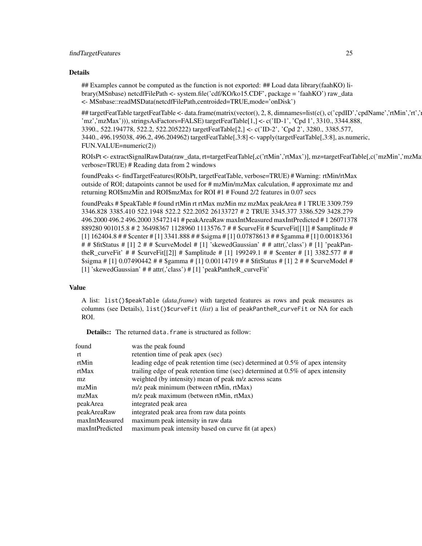#### Details

## Examples cannot be computed as the function is not exported: ## Load data library(faahKO) library(MSnbase) netcdfFilePath <- system.file('cdf/KO/ko15.CDF', package = 'faahKO') raw\_data <- MSnbase::readMSData(netcdfFilePath,centroided=TRUE,mode='onDisk')

## targetFeatTable targetFeatTable <- data.frame(matrix(vector(), 2, 8, dimnames=list(c(), c('cpdID','cpdName','rtMin','rt',' 'mz','mzMax'))), stringsAsFactors=FALSE) targetFeatTable[1,] <- c('ID-1', 'Cpd 1', 3310., 3344.888, 3390., 522.194778, 522.2, 522.205222) targetFeatTable[2,] <- c('ID-2', 'Cpd 2', 3280., 3385.577, 3440., 496.195038, 496.2, 496.204962) targetFeatTable[,3:8] <- vapply(targetFeatTable[,3:8], as.numeric, FUN.VALUE=numeric(2))

ROIsPt <- extractSignalRawData(raw\_data, rt=targetFeatTable[,c('rtMin','rtMax')], mz=targetFeatTable[,c('mzMin','mzMax')], verbose=TRUE) # Reading data from 2 windows

foundPeaks <- findTargetFeatures(ROIsPt, targetFeatTable, verbose=TRUE) # Warning: rtMin/rtMax outside of ROI; datapoints cannot be used for # mzMin/mzMax calculation, # approximate mz and returning ROI\$mzMin and ROI\$mzMax for ROI #1 # Found 2/2 features in 0.07 secs

foundPeaks # \$peakTable # found rtMin rt rtMax mzMin mz mzMax peakArea # 1 TRUE 3309.759 3346.828 3385.410 522.1948 522.2 522.2052 26133727 # 2 TRUE 3345.377 3386.529 3428.279 496.2000 496.2 496.2000 35472141 # peakAreaRaw maxIntMeasured maxIntPredicted # 1 26071378 889280 901015.8 # 2 36498367 1128960 1113576.7 # # \$curveFit # \$curveFit[[1]] # \$amplitude # [1] 162404.8 # # \$center # [1] 3341.888 # # \$sigma # [1] 0.07878613 # # \$gamma # [1] 0.00183361 # # \$fitStatus # [1] 2 # # \$curveModel # [1] 'skewedGaussian' # # attr(,'class') # [1] 'peakPantheR\_curveFit' #  $\#$  \$curveFit[[2]] # \$amplitude # [1] 199249.1 #  $\#$  \$center # [1] 3382.577 #  $\#$ \$sigma # [1] 0.07490442 # # \$gamma # [1] 0.00114719 # # \$fitStatus # [1] 2 # # \$curveModel # [1] 'skewedGaussian' # # attr(,'class') # [1] 'peakPantheR\_curveFit'

#### Value

A list: list()\$peakTable (*data.frame*) with targeted features as rows and peak measures as columns (see Details), list()\$curveFit (*list*) a list of peakPantheR\_curveFit or NA for each ROI.

**Details::** The returned data.frame is structured as follow:

| found           | was the peak found                                                                 |
|-----------------|------------------------------------------------------------------------------------|
| rt              | retention time of peak apex (sec)                                                  |
| rtMin           | leading edge of peak retention time (sec) determined at 0.5% of apex intensity     |
| rtMax           | trailing edge of peak retention time (sec) determined at $0.5\%$ of apex intensity |
| mz.             | weighted (by intensity) mean of peak m/z across scans                              |
| mzMin           | m/z peak minimum (between rtMin, rtMax)                                            |
| mzMax           | m/z peak maximum (between rtMin, rtMax)                                            |
| peakArea        | integrated peak area                                                               |
| peakAreaRaw     | integrated peak area from raw data points                                          |
| maxIntMeasured  | maximum peak intensity in raw data                                                 |
| maxIntPredicted | maximum peak intensity based on curve fit (at apex)                                |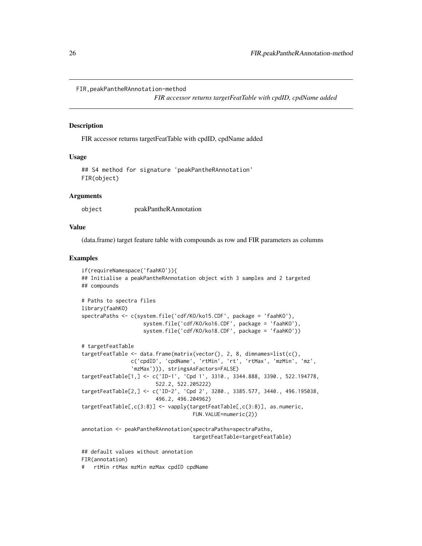```
FIR,peakPantheRAnnotation-method
```
*FIR accessor returns targetFeatTable with cpdID, cpdName added*

#### Description

FIR accessor returns targetFeatTable with cpdID, cpdName added

#### Usage

```
## S4 method for signature 'peakPantheRAnnotation'
FIR(object)
```
#### Arguments

object peakPantheRAnnotation

#### Value

(data.frame) target feature table with compounds as row and FIR parameters as columns

#### Examples

```
if(requireNamespace('faahKO')){
## Initialise a peakPantheRAnnotation object with 3 samples and 2 targeted
## compounds
# Paths to spectra files
library(faahKO)
spectraPaths <- c(system.file('cdf/KO/ko15.CDF', package = 'faahKO'),
                    system.file('cdf/KO/ko16.CDF', package = 'faahKO'),
                    system.file('cdf/KO/ko18.CDF', package = 'faahKO'))
# targetFeatTable
targetFeatTable <- data.frame(matrix(vector(), 2, 8, dimnames=list(c(),
                c('cpdID', 'cpdName', 'rtMin', 'rt', 'rtMax', 'mzMin', 'mz',
                'mzMax'))), stringsAsFactors=FALSE)
targetFeatTable[1,] <- c('ID-1', 'Cpd 1', 3310., 3344.888, 3390., 522.194778,
                        522.2, 522.205222)
targetFeatTable[2,] <- c('ID-2', 'Cpd 2', 3280., 3385.577, 3440., 496.195038,
                        496.2, 496.204962)
targetFeatTable[,c(3:8)] <- vapply(targetFeatTable[,c(3:8)], as.numeric,
                                    FUN.VALUE=numeric(2))
annotation <- peakPantheRAnnotation(spectraPaths=spectraPaths,
                                    targetFeatTable=targetFeatTable)
## default values without annotation
FIR(annotation)
```
# rtMin rtMax mzMin mzMax cpdID cpdName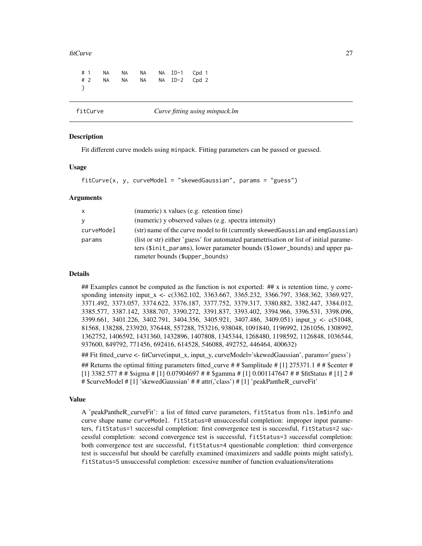#### <span id="page-26-0"></span>fitCurve 27

|  |  |  | #1 NA NA NA NAID-1 Cpd 1  |  |
|--|--|--|---------------------------|--|
|  |  |  | #2 NA NA NA NA ID-2 Cpd 2 |  |
|  |  |  |                           |  |
|  |  |  |                           |  |

fitCurve *Curve fitting using minpack.lm*

### Description

Fit different curve models using minpack. Fitting parameters can be passed or guessed.

#### Usage

```
fitCurve(x, y, curveModel = "skewedGaussian", params = "guess")
```
#### Arguments

| X          | (numeric) x values (e.g. retention time)                                                                                                                                                                |
|------------|---------------------------------------------------------------------------------------------------------------------------------------------------------------------------------------------------------|
| <b>V</b>   | (numeric) y observed values (e.g. spectra intensity)                                                                                                                                                    |
| curveModel | (str) name of the curve model to fit (currently skewed Gaussian and emgGaussian)                                                                                                                        |
| params     | (list or str) either 'guess' for automated parametrisation or list of initial parame-<br>ters (\$init_params), lower parameter bounds (\$lower_bounds) and upper pa-<br>rameter bounds (\$upper_bounds) |

#### Details

## Examples cannot be computed as the function is not exported: ## x is retention time, y corresponding intensity input\_x <- c(3362.102, 3363.667, 3365.232, 3366.797, 3368.362, 3369.927, 3371.492, 3373.057, 3374.622, 3376.187, 3377.752, 3379.317, 3380.882, 3382.447, 3384.012, 3385.577, 3387.142, 3388.707, 3390.272, 3391.837, 3393.402, 3394.966, 3396.531, 3398.096, 3399.661, 3401.226, 3402.791, 3404.356, 3405.921, 3407.486, 3409.051) input\_y <- c(51048, 81568, 138288, 233920, 376448, 557288, 753216, 938048, 1091840, 1196992, 1261056, 1308992, 1362752, 1406592, 1431360, 1432896, 1407808, 1345344, 1268480, 1198592, 1126848, 1036544, 937600, 849792, 771456, 692416, 614528, 546088, 492752, 446464, 400632)

## Fit fitted\_curve <- fitCurve(input\_x, input\_y, curveModel='skewedGaussian', params='guess')

## Returns the optimal fitting parameters fitted\_curve # # \$amplitude # [1] 275371.1 # # \$center # [1] 3382.577 # # \$sigma # [1] 0.07904697 # # \$gamma # [1] 0.001147647 # # \$fitStatus # [1] 2 # # \$curveModel # [1] 'skewedGaussian' # # attr(,'class') # [1] 'peakPantheR\_curveFit'

# Value

A 'peakPantheR\_curveFit': a list of fitted curve parameters, fitStatus from nls.lm\$info and curve shape name curveModel. fitStatus=0 unsuccessful completion: improper input parameters, fitStatus=1 successful completion: first convergence test is successful, fitStatus=2 successful completion: second convergence test is successful, fitStatus=3 successful completion: both convergence test are successful, fitStatus=4 questionable completion: third convergence test is successful but should be carefully examined (maximizers and saddle points might satisfy), fitStatus=5 unsuccessful completion: excessive number of function evaluations/iterations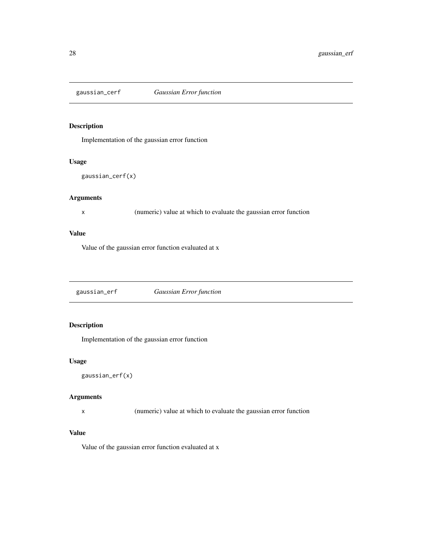<span id="page-27-0"></span>

# Description

Implementation of the gaussian error function

#### Usage

```
gaussian_cerf(x)
```
# Arguments

x (numeric) value at which to evaluate the gaussian error function

#### Value

Value of the gaussian error function evaluated at x

gaussian\_erf *Gaussian Error function*

# Description

Implementation of the gaussian error function

# Usage

```
gaussian_erf(x)
```
# Arguments

x (numeric) value at which to evaluate the gaussian error function

#### Value

Value of the gaussian error function evaluated at x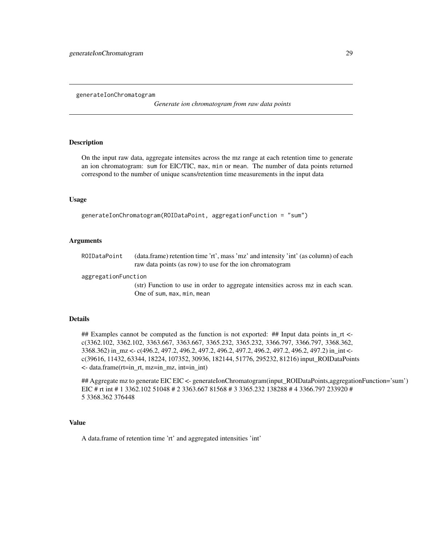<span id="page-28-0"></span>generateIonChromatogram

*Generate ion chromatogram from raw data points*

#### Description

On the input raw data, aggregate intensites across the mz range at each retention time to generate an ion chromatogram: sum for EIC/TIC, max, min or mean. The number of data points returned correspond to the number of unique scans/retention time measurements in the input data

#### Usage

generateIonChromatogram(ROIDataPoint, aggregationFunction = "sum")

#### Arguments

| ROIDataPoint | (data.frame) retention time 'rt', mass 'mz' and intensity 'int' (as column) of each |
|--------------|-------------------------------------------------------------------------------------|
|              | raw data points (as row) to use for the ion chromatogram                            |

aggregationFunction

(str) Function to use in order to aggregate intensities across mz in each scan. One of sum, max, min, mean

#### Details

## Examples cannot be computed as the function is not exported: ## Input data points in  $\tau$  <c(3362.102, 3362.102, 3363.667, 3363.667, 3365.232, 3365.232, 3366.797, 3366.797, 3368.362, 3368.362) in\_mz <- c(496.2, 497.2, 496.2, 497.2, 496.2, 497.2, 496.2, 497.2, 496.2, 497.2) in\_int < c(39616, 11432, 63344, 18224, 107352, 30936, 182144, 51776, 295232, 81216) input\_ROIDataPoints <- data.frame(rt=in\_rt, mz=in\_mz, int=in\_int)

## Aggregate mz to generate EIC EIC <- generateIonChromatogram(input\_ROIDataPoints,aggregationFunction='sum') EIC # rt int # 1 3362.102 51048 # 2 3363.667 81568 # 3 3365.232 138288 # 4 3366.797 233920 # 5 3368.362 376448

# Value

A data.frame of retention time 'rt' and aggregated intensities 'int'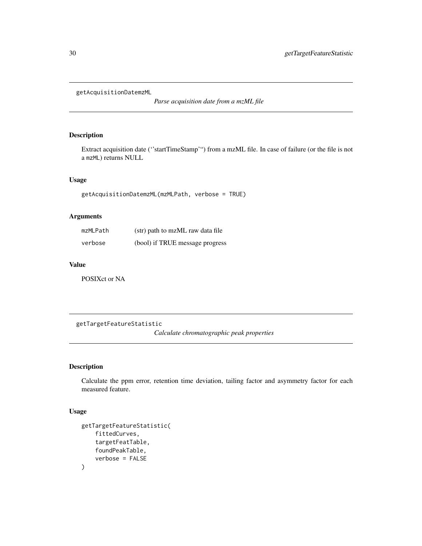<span id="page-29-0"></span>getAcquisitionDatemzML

*Parse acquisition date from a mzML file*

# Description

Extract acquisition date (''startTimeStamp'") from a mzML file. In case of failure (or the file is not a mzML) returns NULL

# Usage

getAcquisitionDatemzML(mzMLPath, verbose = TRUE)

# Arguments

| mzMLPath | (str) path to mzML raw data file |
|----------|----------------------------------|
| verbose  | (bool) if TRUE message progress  |

# Value

POSIXct or NA

getTargetFeatureStatistic

*Calculate chromatographic peak properties*

# Description

Calculate the ppm error, retention time deviation, tailing factor and asymmetry factor for each measured feature.

## Usage

```
getTargetFeatureStatistic(
    fittedCurves,
    targetFeatTable,
    foundPeakTable,
    verbose = FALSE
\mathcal{L}
```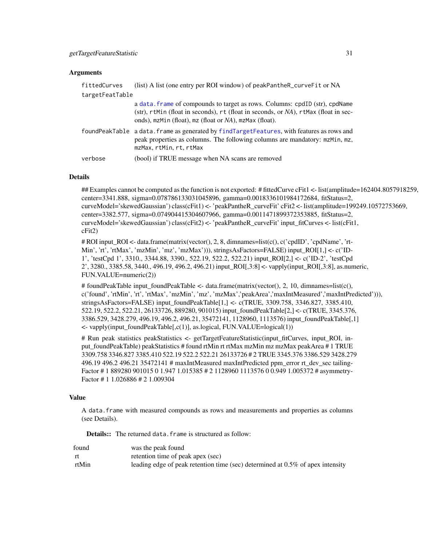#### Arguments

| fittedCurves    | (list) A list (one entry per ROI window) of peakPantheR_curveFit or NA                                                                                                                                                       |
|-----------------|------------------------------------------------------------------------------------------------------------------------------------------------------------------------------------------------------------------------------|
| targetFeatTable |                                                                                                                                                                                                                              |
|                 | a data. frame of compounds to target as rows. Columns: cpdID (str), cpdName<br>(str), rtMin (float in seconds), rt (float in seconds, or NA), rtMax (float in sec-<br>onds), mzMin (float), mz (float or NA), mzMax (float). |
|                 | foundPeakTable a data. frame as generated by findTargetFeatures, with features as rows and<br>peak properties as columns. The following columns are mandatory: mzMin, mz,<br>mzMax, rtMin, rt, rtMax                         |
| verbose         | (bool) if TRUE message when NA scans are removed                                                                                                                                                                             |

#### Details

## Examples cannot be computed as the function is not exported: # fittedCurve cFit1 <- list(amplitude=162404.8057918259, center=3341.888, sigma=0.078786133031045896, gamma=0.0018336101984172684, fitStatus=2, curveModel='skewedGaussian') class(cFit1) <- 'peakPantheR\_curveFit' cFit2 <- list(amplitude=199249.10572753669, center=3382.577, sigma=0.074904415304607966, gamma=0.0011471899372353885, fitStatus=2, curveModel='skewedGaussian') class(cFit2) <- 'peakPantheR\_curveFit' input\_fitCurves <- list(cFit1, cFit2)

# ROI input\_ROI <- data.frame(matrix(vector(), 2, 8, dimnames=list(c(), c('cpdID', 'cpdName', 'rt-Min', 'rt', 'rtMax', 'mzMin', 'mz', 'mzMax'))), stringsAsFactors=FALSE) input\_ROI[1,] <- c('ID-1', 'testCpd 1', 3310., 3344.88, 3390., 522.19, 522.2, 522.21) input\_ROI[2,] <- c('ID-2', 'testCpd  $2'$ , 3280., 3385.58, 3440., 496.19, 496.2, 496.21) input ROI[,3:8] <- vapply(input ROI[,3:8], as.numeric, FUN.VALUE=numeric(2))

# foundPeakTable input foundPeakTable  $\lt$ - data.frame(matrix(vector(), 2, 10, dimnames=list(c(), c('found', 'rtMin', 'rt', 'rtMax', 'mzMin', 'mz', 'mzMax','peakArea','maxIntMeasured','maxIntPredicted'))), stringsAsFactors=FALSE) input\_foundPeakTable[1,] <- c(TRUE, 3309.758, 3346.827, 3385.410, 522.19, 522.2, 522.21, 26133726, 889280, 901015) input\_foundPeakTable[2,] <- c(TRUE, 3345.376, 3386.529, 3428.279, 496.19, 496.2, 496.21, 35472141, 1128960, 1113576) input\_foundPeakTable[,1]  $\le$ - vapply(input foundPeakTable[,c(1)], as.logical, FUN.VALUE=logical(1))

# Run peak statistics peakStatistics <- getTargetFeatureStatistic(input\_fitCurves, input\_ROI, input\_foundPeakTable) peakStatistics # found rtMin rt rtMax mzMin mz mzMax peakArea # 1 TRUE 3309.758 3346.827 3385.410 522.19 522.2 522.21 26133726 # 2 TRUE 3345.376 3386.529 3428.279 496.19 496.2 496.21 35472141 # maxIntMeasured maxIntPredicted ppm\_error rt\_dev\_sec tailing-Factor # 1 889280 901015 0 1.947 1.015385 # 2 1128960 1113576 0 0.949 1.005372 # asymmetry-Factor # 1 1.026886 # 2 1.009304

# Value

A data.frame with measured compounds as rows and measurements and properties as columns (see Details).

**Details::** The returned data. frame is structured as follow:

| found | was the peak found                                                                |
|-------|-----------------------------------------------------------------------------------|
| -rt   | retention time of peak apex (sec)                                                 |
| rtMin | leading edge of peak retention time (sec) determined at $0.5\%$ of apex intensity |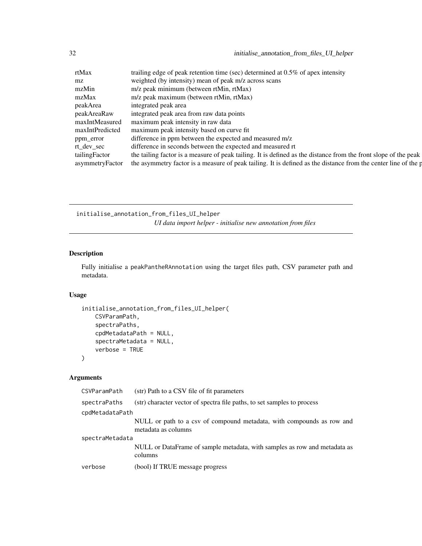<span id="page-31-0"></span>32 initialise\_annotation\_from\_files\_UI\_helper

| rtMax         | trailing edge of peak retention time (sec) determined at 0.5% of apex intensity                                                 |
|---------------|---------------------------------------------------------------------------------------------------------------------------------|
| mz            | weighted (by intensity) mean of peak m/z across scans                                                                           |
| mzMin         | m/z peak minimum (between rtMin, rtMax)                                                                                         |
| mzMax         | m/z peak maximum (between rtMin, rtMax)                                                                                         |
| peakArea      | integrated peak area                                                                                                            |
| peakAreaRaw   | integrated peak area from raw data points                                                                                       |
|               | maxIntMeasured maximum peak intensity in raw data                                                                               |
|               | maxIntPredicted maximum peak intensity based on curve fit                                                                       |
| ppm_error     | difference in ppm between the expected and measured m/z                                                                         |
| rt_dev_sec    | difference in seconds between the expected and measured rt                                                                      |
| tailingFactor | the tailing factor is a measure of peak tailing. It is defined as the distance from the front slope of the peak                 |
|               | asymmetry Factor the asymmetry factor is a measure of peak tailing. It is defined as the distance from the center line of the p |

initialise\_annotation\_from\_files\_UI\_helper *UI data import helper - initialise new annotation from files*

# Description

Fully initialise a peakPantheRAnnotation using the target files path, CSV parameter path and metadata.

# Usage

```
initialise_annotation_from_files_UI_helper(
    CSVParamPath,
    spectraPaths,
    cpdMetadataPath = NULL,
    spectraMetadata = NULL,
    verbose = TRUE
\mathcal{L}
```
# Arguments

| CSVParamPath    | (str) Path to a CSV file of fit parameters                                                   |  |
|-----------------|----------------------------------------------------------------------------------------------|--|
| spectraPaths    | (str) character vector of spectra file paths, to set samples to process                      |  |
| cpdMetadataPath |                                                                                              |  |
|                 | NULL or path to a csv of compound metadata, with compounds as row and<br>metadata as columns |  |
| spectraMetadata |                                                                                              |  |
|                 | NULL or DataFrame of sample metadata, with samples as row and metadata as<br>columns         |  |
| verbose         | (bool) If TRUE message progress                                                              |  |
|                 |                                                                                              |  |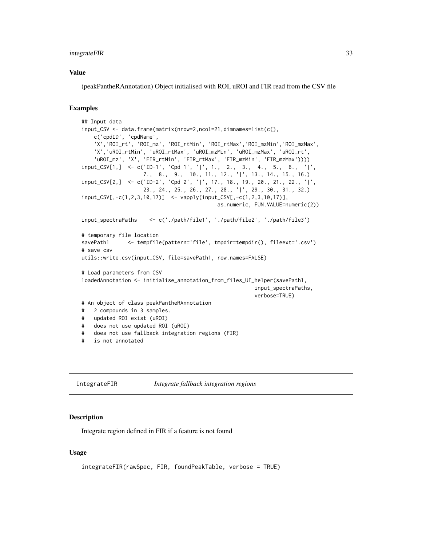# <span id="page-32-0"></span>integrateFIR 33

#### Value

(peakPantheRAnnotation) Object initialised with ROI, uROI and FIR read from the CSV file

#### Examples

```
## Input data
input_CSV <- data.frame(matrix(nrow=2,ncol=21,dimnames=list(c(),
   c('cpdID', 'cpdName',
    'X','ROI_rt', 'ROI_mz', 'ROI_rtMin', 'ROI_rtMax','ROI_mzMin','ROI_mzMax',
    'X','uROI_rtMin', 'uROI_rtMax', 'uROI_mzMin', 'uROI_mzMax', 'uROI_rt',
    'uROI_mz', 'X', 'FIR_rtMin', 'FIR_rtMax', 'FIR_mzMin', 'FIR_mzMax'))))
input_CSV[1,] <- c('ID-1', 'Cpd 1', '|', 1., 2., 3., 4., 5., 6., '|',
                   7., 8., 9., 10., 11., 12., '|', 13., 14., 15., 16.)
input_CSV[2,] <- c('ID-2', 'Cpd 2', '|', 17., 18., 19., 20., 21., 22., '|',
                   23., 24., 25., 26., 27., 28., '|', 29., 30., 31., 32.)
input_CSV[,-c(1,2,3,10,17)] <- vapply(input_CSV[,-c(1,2,3,10,17)],
                                           as.numeric, FUN.VALUE=numeric(2))
input_spectraPaths <- c('./path/file1', './path/file2', './path/file3')
# temporary file location
savePath1 <- tempfile(pattern='file', tmpdir=tempdir(), fileext='.csv')
# save csv
utils::write.csv(input_CSV, file=savePath1, row.names=FALSE)
# Load parameters from CSV
loadedAnnotation <- initialise_annotation_from_files_UI_helper(savePath1,
                                                       input_spectraPaths,
                                                       verbose=TRUE)
# An object of class peakPantheRAnnotation
# 2 compounds in 3 samples.
# updated ROI exist (uROI)
# does not use updated ROI (uROI)
# does not use fallback integration regions (FIR)
# is not annotated
```
integrateFIR *Integrate fallback integration regions*

#### Description

Integrate region defined in FIR if a feature is not found

#### Usage

```
integrateFIR(rawSpec, FIR, foundPeakTable, verbose = TRUE)
```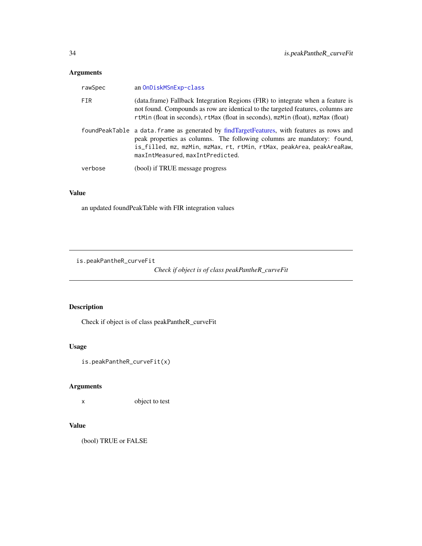# <span id="page-33-0"></span>Arguments

| rawSpec | an OnDiskMSnExp-class                                                                                                                                                                                                                                                             |
|---------|-----------------------------------------------------------------------------------------------------------------------------------------------------------------------------------------------------------------------------------------------------------------------------------|
| FIR     | (data.frame) Fallback Integration Regions (FIR) to integrate when a feature is<br>not found. Compounds as row are identical to the targeted features, columns are<br>rtMin (float in seconds), rtMax (float in seconds), mzMin (float), mzMax (float)                             |
|         | foundPeakTable a data. frame as generated by findTargetFeatures, with features as rows and<br>peak properties as columns. The following columns are mandatory: found,<br>is_filled, mz, mzMin, mzMax, rt, rtMin, rtMax, peakArea, peakAreaRaw,<br>maxIntMeasured.maxIntPredicted. |
| verbose | (bool) if TRUE message progress                                                                                                                                                                                                                                                   |

# Value

an updated foundPeakTable with FIR integration values

is.peakPantheR\_curveFit

*Check if object is of class peakPantheR\_curveFit*

# Description

Check if object is of class peakPantheR\_curveFit

# Usage

is.peakPantheR\_curveFit(x)

# Arguments

x object to test

# Value

(bool) TRUE or FALSE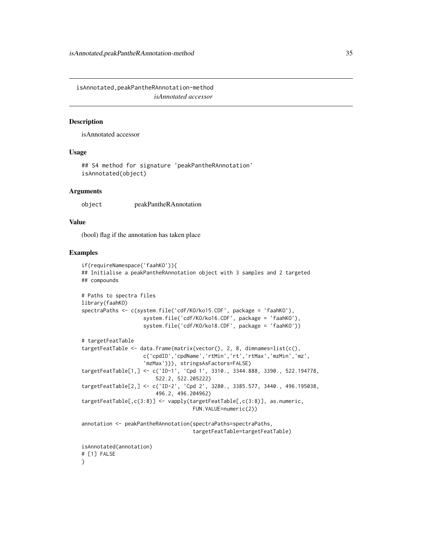<span id="page-34-0"></span>isAnnotated,peakPantheRAnnotation-method *isAnnotated accessor*

#### Description

isAnnotated accessor

#### Usage

## S4 method for signature 'peakPantheRAnnotation' isAnnotated(object)

#### Arguments

object peakPantheRAnnotation

#### Value

(bool) flag if the annotation has taken place

#### Examples

```
if(requireNamespace('faahKO')){
## Initialise a peakPantheRAnnotation object with 3 samples and 2 targeted
## compounds
# Paths to spectra files
library(faahKO)
spectraPaths <- c(system.file('cdf/KO/ko15.CDF', package = 'faahKO'),
                    system.file('cdf/KO/ko16.CDF', package = 'faahKO'),
                    system.file('cdf/KO/ko18.CDF', package = 'faahKO'))
# targetFeatTable
targetFeatTable <- data.frame(matrix(vector(), 2, 8, dimnames=list(c(),
                    c('cpdID','cpdName','rtMin','rt','rtMax','mzMin','mz',
                    'mzMax'))), stringsAsFactors=FALSE)
targetFeatTable[1,] <- c('ID-1', 'Cpd 1', 3310., 3344.888, 3390., 522.194778,
                        522.2, 522.205222)
targetFeatTable[2,] <- c('ID-2', 'Cpd 2', 3280., 3385.577, 3440., 496.195038,
                        496.2, 496.204962)
targetFeatTable[,c(3:8)] <- vapply(targetFeatTable[,c(3:8)], as.numeric,
                                    FUN.VALUE=numeric(2))
annotation <- peakPantheRAnnotation(spectraPaths=spectraPaths,
                                    targetFeatTable=targetFeatTable)
isAnnotated(annotation)
# [1] FALSE
}
```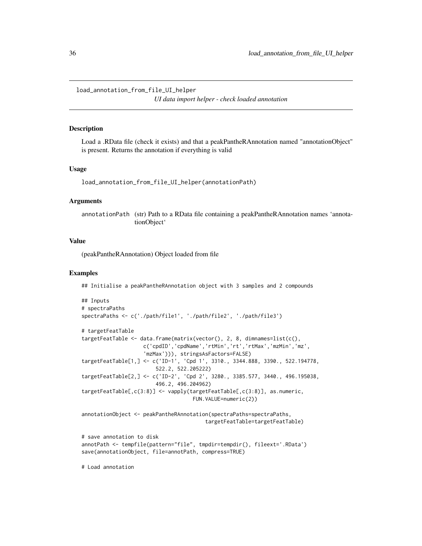<span id="page-35-0"></span>load\_annotation\_from\_file\_UI\_helper

*UI data import helper - check loaded annotation*

#### Description

Load a .RData file (check it exists) and that a peakPantheRAnnotation named "annotationObject" is present. Returns the annotation if everything is valid

#### Usage

load\_annotation\_from\_file\_UI\_helper(annotationPath)

# Arguments

annotationPath (str) Path to a RData file containing a peakPantheRAnnotation names 'annotationObject'

#### Value

(peakPantheRAnnotation) Object loaded from file

### Examples

## Initialise a peakPantheRAnnotation object with 3 samples and 2 compounds

```
## Inputs
# spectraPaths
spectraPaths <- c('./path/file1', './path/file2', './path/file3')
# targetFeatTable
targetFeatTable <- data.frame(matrix(vector(), 2, 8, dimnames=list(c(),
                    c('cpdID','cpdName','rtMin','rt','rtMax','mzMin','mz',
                    'mzMax'))), stringsAsFactors=FALSE)
targetFeatTable[1,] <- c('ID-1', 'Cpd 1', 3310., 3344.888, 3390., 522.194778,
                        522.2, 522.205222)
targetFeatTable[2,] <- c('ID-2', 'Cpd 2', 3280., 3385.577, 3440., 496.195038,
                        496.2, 496.204962)
targetFeatTable[,c(3:8)] <- vapply(targetFeatTable[,c(3:8)], as.numeric,
                                    FUN.VALUE=numeric(2))
annotationObject <- peakPantheRAnnotation(spectraPaths=spectraPaths,
                                        targetFeatTable=targetFeatTable)
# save annotation to disk
annotPath <- tempfile(pattern="file", tmpdir=tempdir(), fileext='.RData')
save(annotationObject, file=annotPath, compress=TRUE)
```
# Load annotation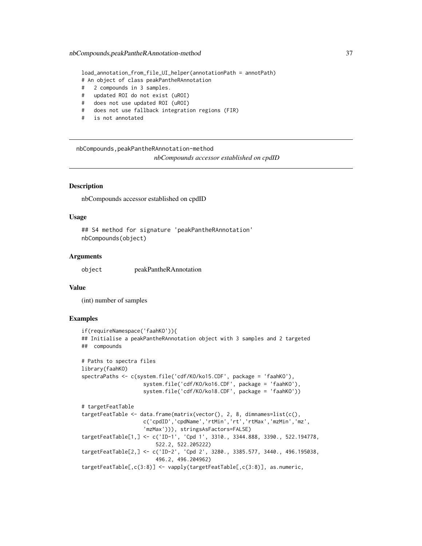load\_annotation\_from\_file\_UI\_helper(annotationPath = annotPath) # An object of class peakPantheRAnnotation # 2 compounds in 3 samples. # updated ROI do not exist (uROI) # does not use updated ROI (uROI) # does not use fallback integration regions (FIR) # is not annotated

nbCompounds,peakPantheRAnnotation-method *nbCompounds accessor established on cpdID*

# **Description**

nbCompounds accessor established on cpdID

## Usage

```
## S4 method for signature 'peakPantheRAnnotation'
nbCompounds(object)
```
#### Arguments

object peakPantheRAnnotation

#### Value

(int) number of samples

```
if(requireNamespace('faahKO')){
## Initialise a peakPantheRAnnotation object with 3 samples and 2 targeted
## compounds
# Paths to spectra files
library(faahKO)
spectraPaths <- c(system.file('cdf/KO/ko15.CDF', package = 'faahKO'),
                    system.file('cdf/KO/ko16.CDF', package = 'faahKO'),
                    system.file('cdf/KO/ko18.CDF', package = 'faahKO'))
# targetFeatTable
targetFeatTable <- data.frame(matrix(vector(), 2, 8, dimnames=list(c(),
                    c('cpdID','cpdName','rtMin','rt','rtMax','mzMin','mz',
                    'mzMax'))), stringsAsFactors=FALSE)
targetFeatTable[1,] <- c('ID-1', 'Cpd 1', 3310., 3344.888, 3390., 522.194778,
                        522.2, 522.205222)
targetFeatTable[2,] <- c('ID-2', 'Cpd 2', 3280., 3385.577, 3440., 496.195038,
                        496.2, 496.204962)
targetFeatTable[,c(3:8)] <- vapply(targetFeatTable[,c(3:8)], as.numeric,
```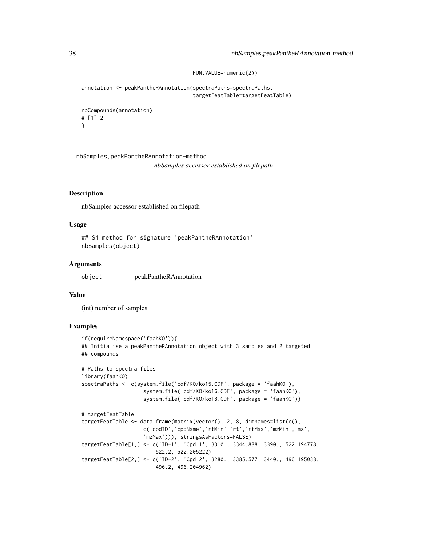```
FUN.VALUE=numeric(2))
```
annotation <- peakPantheRAnnotation(spectraPaths=spectraPaths, targetFeatTable=targetFeatTable)

```
nbCompounds(annotation)
# [1] 2
}
```
nbSamples,peakPantheRAnnotation-method *nbSamples accessor established on filepath*

## **Description**

nbSamples accessor established on filepath

# Usage

```
## S4 method for signature 'peakPantheRAnnotation'
nbSamples(object)
```
## Arguments

object peakPantheRAnnotation

## Value

(int) number of samples

```
if(requireNamespace('faahKO')){
## Initialise a peakPantheRAnnotation object with 3 samples and 2 targeted
## compounds
# Paths to spectra files
library(faahKO)
spectraPaths <- c(system.file('cdf/KO/ko15.CDF', package = 'faahKO'),
                    system.file('cdf/KO/ko16.CDF', package = 'faahKO'),
                    system.file('cdf/KO/ko18.CDF', package = 'faahKO'))
# targetFeatTable
targetFeatTable <- data.frame(matrix(vector(), 2, 8, dimnames=list(c(),
                    c('cpdID','cpdName','rtMin','rt','rtMax','mzMin','mz',
                    'mzMax'))), stringsAsFactors=FALSE)
targetFeatTable[1,] <- c('ID-1', 'Cpd 1', 3310., 3344.888, 3390., 522.194778,
                       522.2, 522.205222)
targetFeatTable[2,] <- c('ID-2', 'Cpd 2', 3280., 3385.577, 3440., 496.195038,
                        496.2, 496.204962)
```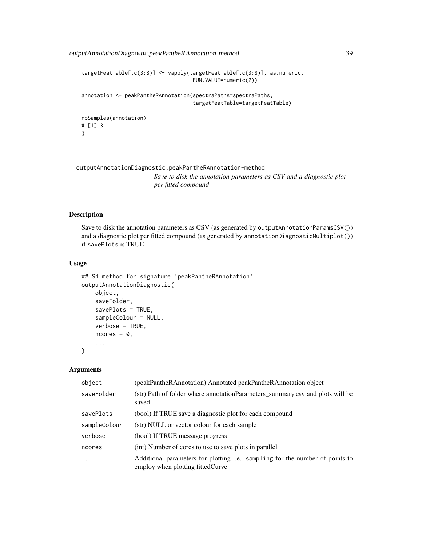outputAnnotationDiagnostic,peakPantheRAnnotation-method 39

```
targetFeatTable[,c(3:8)] <- vapply(targetFeatTable[,c(3:8)], as.numeric,
                                    FUN.VALUE=numeric(2))
annotation <- peakPantheRAnnotation(spectraPaths=spectraPaths,
                                    targetFeatTable=targetFeatTable)
nbSamples(annotation)
# [1] 3
}
```
outputAnnotationDiagnostic,peakPantheRAnnotation-method *Save to disk the annotation parameters as CSV and a diagnostic plot per fitted compound*

## Description

Save to disk the annotation parameters as CSV (as generated by outputAnnotationParamsCSV()) and a diagnostic plot per fitted compound (as generated by annotationDiagnosticMultiplot()) if savePlots is TRUE

## Usage

```
## S4 method for signature 'peakPantheRAnnotation'
outputAnnotationDiagnostic(
   object,
    saveFolder,
    savePlots = TRUE,
    sampleColour = NULL,
    verbose = TRUE,
   ncores = 0,
    ...
```
)

## Arguments

| object       | (peakPantheRAnnotation) Annotated peakPantheRAnnotation object                                                    |
|--------------|-------------------------------------------------------------------------------------------------------------------|
| saveFolder   | (str) Path of folder where annotation Parameters summary csv and plots will be<br>saved                           |
| savePlots    | (bool) If TRUE save a diagnostic plot for each compound                                                           |
| sampleColour | (str) NULL or vector colour for each sample                                                                       |
| verbose      | (bool) If TRUE message progress                                                                                   |
| ncores       | (int) Number of cores to use to save plots in parallel                                                            |
| $\ddotsc$    | Additional parameters for plotting i.e. sampling for the number of points to<br>employ when plotting fitted Curve |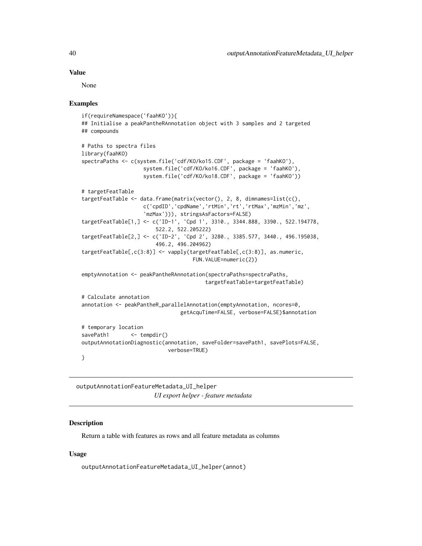## Value

None

## Examples

```
if(requireNamespace('faahKO')){
## Initialise a peakPantheRAnnotation object with 3 samples and 2 targeted
## compounds
# Paths to spectra files
library(faahKO)
spectraPaths <- c(system.file('cdf/KO/ko15.CDF', package = 'faahKO'),
                    system.file('cdf/KO/ko16.CDF', package = 'faahKO'),
                    system.file('cdf/KO/ko18.CDF', package = 'faahKO'))
# targetFeatTable
targetFeatTable <- data.frame(matrix(vector(), 2, 8, dimnames=list(c(),
                    c('cpdID','cpdName','rtMin','rt','rtMax','mzMin','mz',
                    'mzMax'))), stringsAsFactors=FALSE)
targetFeatTable[1,] <- c('ID-1', 'Cpd 1', 3310., 3344.888, 3390., 522.194778,
                        522.2, 522.205222)
targetFeatTable[2,] <- c('ID-2', 'Cpd 2', 3280., 3385.577, 3440., 496.195038,
                        496.2, 496.204962)
targetFeatTable[,c(3:8)] <- vapply(targetFeatTable[,c(3:8)], as.numeric,
                                    FUN.VALUE=numeric(2))
emptyAnnotation <- peakPantheRAnnotation(spectraPaths=spectraPaths,
                                        targetFeatTable=targetFeatTable)
# Calculate annotation
annotation <- peakPantheR_parallelAnnotation(emptyAnnotation, ncores=0,
                                getAcquTime=FALSE, verbose=FALSE)$annotation
# temporary location
savePath1 <- tempdir()
outputAnnotationDiagnostic(annotation, saveFolder=savePath1, savePlots=FALSE,
                            verbose=TRUE)
}
```
outputAnnotationFeatureMetadata\_UI\_helper *UI export helper - feature metadata*

## Description

Return a table with features as rows and all feature metadata as columns

## Usage

outputAnnotationFeatureMetadata\_UI\_helper(annot)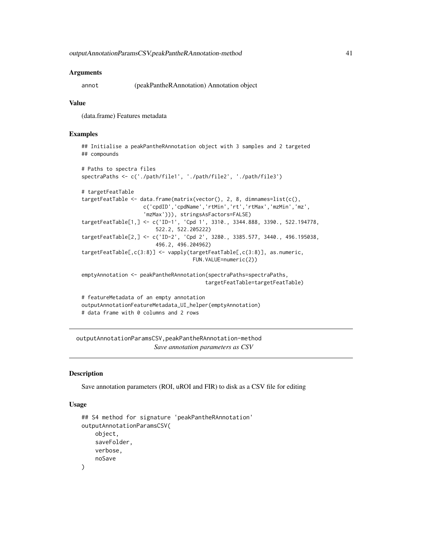#### Arguments

annot (peakPantheRAnnotation) Annotation object

#### Value

(data.frame) Features metadata

## Examples

```
## Initialise a peakPantheRAnnotation object with 3 samples and 2 targeted
## compounds
# Paths to spectra files
spectraPaths <- c('./path/file1', './path/file2', './path/file3')
# targetFeatTable
targetFeatTable <- data.frame(matrix(vector(), 2, 8, dimnames=list(c(),
                    c('cpdID','cpdName','rtMin','rt','rtMax','mzMin','mz',
                    'mzMax'))), stringsAsFactors=FALSE)
targetFeatTable[1,] <- c('ID-1', 'Cpd 1', 3310., 3344.888, 3390., 522.194778,
                        522.2, 522.205222)
targetFeatTable[2,] <- c('ID-2', 'Cpd 2', 3280., 3385.577, 3440., 496.195038,
                        496.2, 496.204962)
targetFeatTable[,c(3:8)] <- vapply(targetFeatTable[,c(3:8)], as.numeric,
                                    FUN.VALUE=numeric(2))
emptyAnnotation <- peakPantheRAnnotation(spectraPaths=spectraPaths,
                                        targetFeatTable=targetFeatTable)
# featureMetadata of an empty annotation
outputAnnotationFeatureMetadata_UI_helper(emptyAnnotation)
# data frame with 0 columns and 2 rows
```
outputAnnotationParamsCSV,peakPantheRAnnotation-method *Save annotation parameters as CSV*

## **Description**

Save annotation parameters (ROI, uROI and FIR) to disk as a CSV file for editing

#### Usage

```
## S4 method for signature 'peakPantheRAnnotation'
outputAnnotationParamsCSV(
    object,
    saveFolder,
    verbose,
    noSave
)
```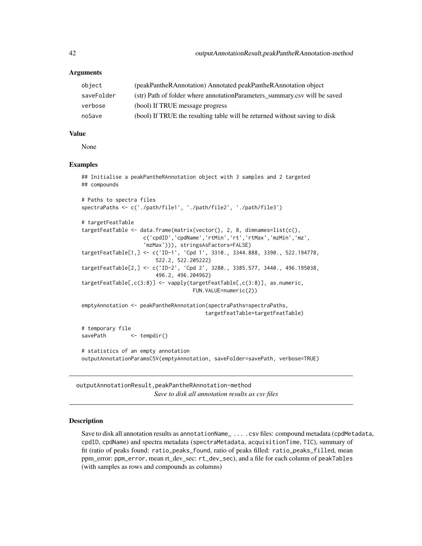## **Arguments**

| object     | (peakPantheRAnnotation) Annotated peakPantheRAnnotation object             |
|------------|----------------------------------------------------------------------------|
| saveFolder | (str) Path of folder where annotation Parameters summary.csy will be saved |
| verbose    | (bool) If TRUE message progress                                            |
| noSave     | (bool) If TRUE the resulting table will be returned without saving to disk |

# Value

None

## Examples

```
## Initialise a peakPantheRAnnotation object with 3 samples and 2 targeted
## compounds
# Paths to spectra files
spectraPaths <- c('./path/file1', './path/file2', './path/file3')
# targetFeatTable
targetFeatTable <- data.frame(matrix(vector(), 2, 8, dimnames=list(c(),
                    c('cpdID','cpdName','rtMin','rt','rtMax','mzMin','mz',
                    'mzMax'))), stringsAsFactors=FALSE)
targetFeatTable[1,] <- c('ID-1', 'Cpd 1', 3310., 3344.888, 3390., 522.194778,
                        522.2, 522.205222)
targetFeatTable[2,] <- c('ID-2', 'Cpd 2', 3280., 3385.577, 3440., 496.195038,
                        496.2, 496.204962)
targetFeatTable[,c(3:8)] <- vapply(targetFeatTable[,c(3:8)], as.numeric,
                                    FUN.VALUE=numeric(2))
emptyAnnotation <- peakPantheRAnnotation(spectraPaths=spectraPaths,
                                        targetFeatTable=targetFeatTable)
# temporary file
savePath <- tempdir()
# statistics of an empty annotation
outputAnnotationParamsCSV(emptyAnnotation, saveFolder=savePath, verbose=TRUE)
```
outputAnnotationResult,peakPantheRAnnotation-method *Save to disk all annotation results as csv files*

#### Description

Save to disk all annotation results as annotationName\_ ... .csv files: compound metadata (cpdMetadata, cpdID, cpdName) and spectra metadata (spectraMetadata, acquisitionTime, TIC), summary of fit (ratio of peaks found: ratio\_peaks\_found, ratio of peaks filled: ratio\_peaks\_filled, mean ppm\_error: ppm\_error, mean rt\_dev\_sec: rt\_dev\_sec), and a file for each column of peakTables (with samples as rows and compounds as columns)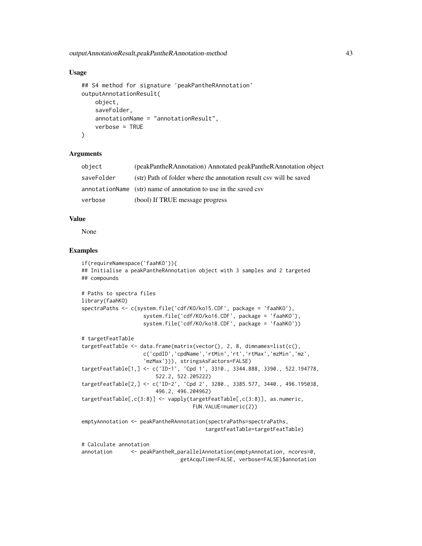## Usage

```
## S4 method for signature 'peakPantheRAnnotation'
outputAnnotationResult(
    object,
    saveFolder,
    annotationName = "annotationResult",
    verbose = TRUE
)
```
#### **Arguments**

| object     | (peakPantheRAnnotation) Annotated peakPantheRAnnotation object     |
|------------|--------------------------------------------------------------------|
| saveFolder | (str) Path of folder where the annotation result csv will be saved |
|            | annotationName (str) name of annotation to use in the saved csv    |
| verbose    | (bool) If TRUE message progress                                    |

## Value

None

## Examples

```
if(requireNamespace('faahKO')){
## Initialise a peakPantheRAnnotation object with 3 samples and 2 targeted
## compounds
# Paths to spectra files
library(faahKO)
spectraPaths <- c(system.file('cdf/KO/ko15.CDF', package = 'faahKO'),
                    system.file('cdf/KO/ko16.CDF', package = 'faahKO'),
                    system.file('cdf/KO/ko18.CDF', package = 'faahKO'))
# targetFeatTable
targetFeatTable <- data.frame(matrix(vector(), 2, 8, dimnames=list(c(),
                    c('cpdID','cpdName','rtMin','rt','rtMax','mzMin','mz',
                    'mzMax'))), stringsAsFactors=FALSE)
targetFeatTable[1,] <- c('ID-1', 'Cpd 1', 3310., 3344.888, 3390., 522.194778,
                        522.2, 522.205222)
targetFeatTable[2,] <- c('ID-2', 'Cpd 2', 3280., 3385.577, 3440., 496.195038,
                        496.2, 496.204962)
targetFeatTable[,c(3:8)] <- vapply(targetFeatTable[,c(3:8)], as.numeric,
                                    FUN.VALUE=numeric(2))
emptyAnnotation <- peakPantheRAnnotation(spectraPaths=spectraPaths,
                                        targetFeatTable=targetFeatTable)
```
# Calculate annotation annotation <- peakPantheR\_parallelAnnotation(emptyAnnotation, ncores=0, getAcquTime=FALSE, verbose=FALSE)\$annotation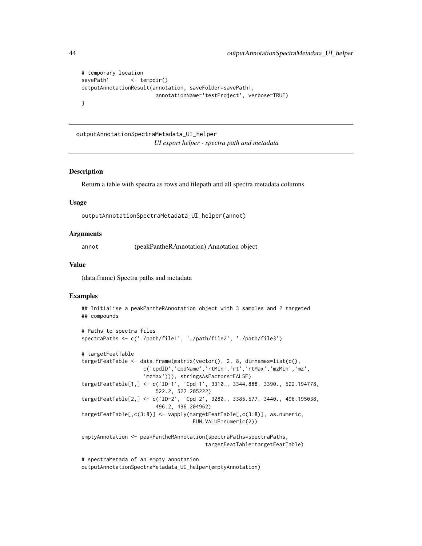```
# temporary location
savePath1 <- tempdir()
outputAnnotationResult(annotation, saveFolder=savePath1,
                       annotationName='testProject', verbose=TRUE)
}
```
outputAnnotationSpectraMetadata\_UI\_helper *UI export helper - spectra path and metadata*

## **Description**

Return a table with spectra as rows and filepath and all spectra metadata columns

#### Usage

outputAnnotationSpectraMetadata\_UI\_helper(annot)

#### Arguments

annot (peakPantheRAnnotation) Annotation object

## Value

(data.frame) Spectra paths and metadata

## Examples

```
## Initialise a peakPantheRAnnotation object with 3 samples and 2 targeted
## compounds
```

```
# Paths to spectra files
spectraPaths <- c('./path/file1', './path/file2', './path/file3')
```

```
# targetFeatTable
targetFeatTable <- data.frame(matrix(vector(), 2, 8, dimnames=list(c(),
                    c('cpdID','cpdName','rtMin','rt','rtMax','mzMin','mz',
                    'mzMax'))), stringsAsFactors=FALSE)
targetFeatTable[1,] <- c('ID-1', 'Cpd 1', 3310., 3344.888, 3390., 522.194778,
                        522.2, 522.205222)
targetFeatTable[2,] <- c('ID-2', 'Cpd 2', 3280., 3385.577, 3440., 496.195038,
                        496.2, 496.204962)
targetFeatTable[,c(3:8)] <- vapply(targetFeatTable[,c(3:8)], as.numeric,
                                    FUN.VALUE=numeric(2))
```
emptyAnnotation <- peakPantheRAnnotation(spectraPaths=spectraPaths, targetFeatTable=targetFeatTable)

# spectraMetada of an empty annotation outputAnnotationSpectraMetadata\_UI\_helper(emptyAnnotation)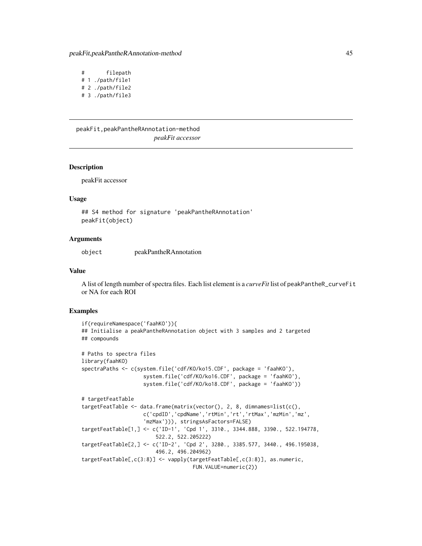# filepath # 1 ./path/file1 # 2 ./path/file2 # 3 ./path/file3

peakFit,peakPantheRAnnotation-method *peakFit accessor*

#### Description

peakFit accessor

#### Usage

## S4 method for signature 'peakPantheRAnnotation' peakFit(object)

## Arguments

object peakPantheRAnnotation

#### Value

A list of length number of spectra files. Each list element is a *curveFit* list of peakPantheR\_curveFit or NA for each ROI

```
if(requireNamespace('faahKO')){
## Initialise a peakPantheRAnnotation object with 3 samples and 2 targeted
## compounds
# Paths to spectra files
library(faahKO)
spectraPaths <- c(system.file('cdf/KO/ko15.CDF', package = 'faahKO'),
                    system.file('cdf/KO/ko16.CDF', package = 'faahKO'),
                    system.file('cdf/KO/ko18.CDF', package = 'faahKO'))
# targetFeatTable
targetFeatTable <- data.frame(matrix(vector(), 2, 8, dimnames=list(c(),
                    c('cpdID','cpdName','rtMin','rt','rtMax','mzMin','mz',
                    'mzMax'))), stringsAsFactors=FALSE)
targetFeatTable[1,] <- c('ID-1', 'Cpd 1', 3310., 3344.888, 3390., 522.194778,
                        522.2, 522.205222)
targetFeatTable[2,] <- c('ID-2', 'Cpd 2', 3280., 3385.577, 3440., 496.195038,
                        496.2, 496.204962)
targetFeatTable[,c(3:8)] <- vapply(targetFeatTable[,c(3:8)], as.numeric,
                                    FUN.VALUE=numeric(2))
```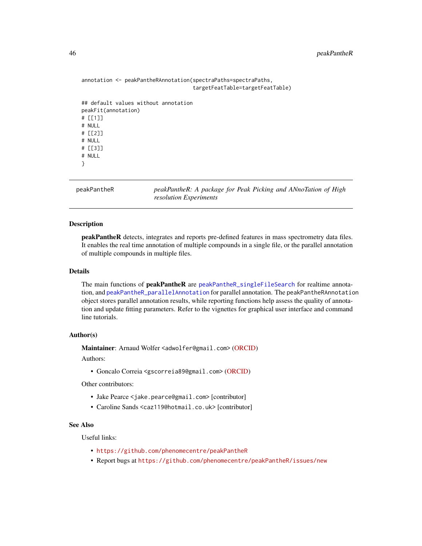## 46 peakPantheR

```
annotation <- peakPantheRAnnotation(spectraPaths=spectraPaths,
                                     targetFeatTable=targetFeatTable)
## default values without annotation
peakFit(annotation)
# [[1]]
# NULL
# [[2]]
# NULL
# [[3]]
# NULL
}
```
peakPantheR *peakPantheR: A package for Peak Picking and ANnoTation of High resolution Experiments*

# Description

peakPantheR detects, integrates and reports pre-defined features in mass spectrometry data files. It enables the real time annotation of multiple compounds in a single file, or the parallel annotation of multiple compounds in multiple files.

#### Details

The main functions of **peakPantheR** are [peakPantheR\\_singleFileSearch](#page-61-0) for realtime annotation, and [peakPantheR\\_parallelAnnotation](#page-53-0) for parallel annotation. The peakPantheRAnnotation object stores parallel annotation results, while reporting functions help assess the quality of annotation and update fitting parameters. Refer to the vignettes for graphical user interface and command line tutorials.

#### Author(s)

Maintainer: Arnaud Wolfer <adwolfer@gmail.com> [\(ORCID\)](https://orcid.org/0000-0001-5856-3218)

Authors:

• Goncalo Correia <gscorreia89@gmail.com> [\(ORCID\)](https://orcid.org/0000-0001-8271-9294)

Other contributors:

- Jake Pearce <jake.pearce@gmail.com> [contributor]
- Caroline Sands <caz119@hotmail.co.uk> [contributor]

# See Also

Useful links:

- <https://github.com/phenomecentre/peakPantheR>
- Report bugs at <https://github.com/phenomecentre/peakPantheR/issues/new>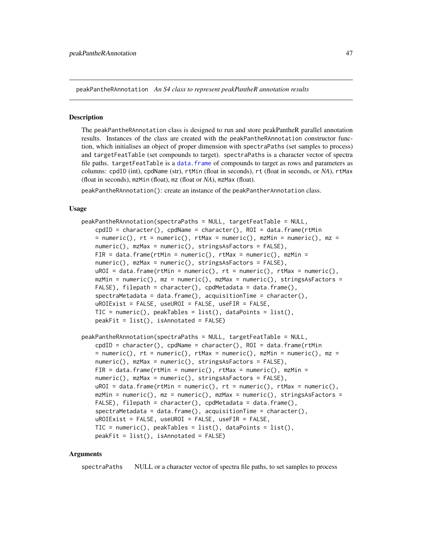<span id="page-46-0"></span>peakPantheRAnnotation *An S4 class to represent peakPantheR annotation results*

#### Description

The peakPantheRAnnotation class is designed to run and store peakPantheR parallel annotation results. Instances of the class are created with the peakPantheRAnnotation constructor function, which initialises an object of proper dimension with spectraPaths (set samples to process) and targetFeatTable (set compounds to target). spectraPaths is a character vector of spectra file paths. targetFeatTable is a data. frame of compounds to target as rows and parameters as columns: cpdID (int), cpdName (str), rtMin (float in seconds), rt (float in seconds, or *NA*), rtMax (float in seconds), mzMin (float), mz (float or *NA*), mzMax (float).

peakPantheRAnnotation(): create an instance of the peakPantherAnnotation class.

#### Usage

```
peakPantheRAnnotation(spectraPaths = NULL, targetFeatTable = NULL,
   \text{cpdID} = \text{character}(), \text{cpdName} = \text{character}(), \text{ROI} = \text{data-frame}(\text{rtMin})= numeric(), rt = numeric(), rtMax = numeric(), mzMin = numeric(), mz =
   numeric(), mzMax = numeric(), stringsAsFactors = FALSE),
    FIR = data.frame(rtMin = numeric(), rtMax = numeric(), mzMin =
   numeric(), mzMax = numeric(), stringsAsFactors = FALSE),
   uROI = data.frame(rtMin = numeric(), rt = numeric(), rtMax = numeric(),
   mzMin = numeric(), mz = numeric(), mzMax = numeric(), stringsAsFactors =
   FALSE), filepath = character(), cpdMetadata = data.frame(),
    spectraMetadata = data.frame(), acquisitionTime = character(),
   uROIExist = FALSE, useUROI = FALSE, useFIR = FALSE,
   TIC = numeric(), peakTables = list(), dataPoints = list(),
   peakFit = list(), isAnnotated = FALSE)
peakPantheRAnnotation(spectraPaths = NULL, targetFeatTable = NULL,
    cpdfD = character(), cpdName = character(), ROI = data frame(rtMin= numeric(), rt = numeric(), rtMax = numeric(), mzMin = numeric(), mz =
   numeric(), mzMax = numeric(), stringsAsFactors = FALSE),
   FIR = data.frame(rtMin = numeric(), rtMax = numeric(), mzMin =
   numeric(), mzMax = numeric(), stringsAsFactors = FALSE),
   uROI = data.frame(rtMin = numeric(), rt = numeric(), rtMax = numeric(),
   mzMin = numeric(), mz = numeric(), mzMax = numeric(), stringsAsFactors =
   FALSE), filepath = character(), cpdMetadata = data.frame(),
    spectrahetadata = data frame(), acquisitionTime = character(),uROIExist = FALSE, useUROI = FALSE, useFIR = FALSE,
   TIC = numeric(), peakTables = list(), dataPoints = list(),
    peakFit = list(), isAnnotated = FALSE)
```
#### Arguments

spectraPaths NULL or a character vector of spectra file paths, to set samples to process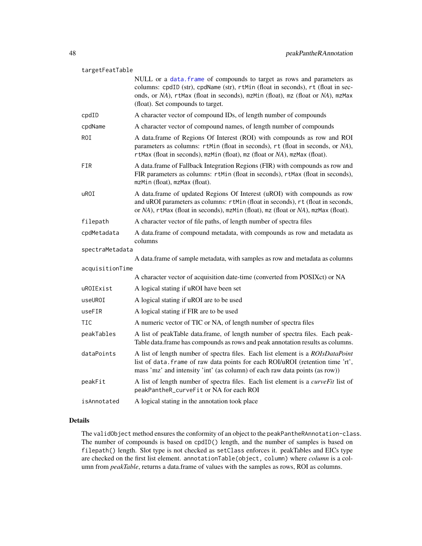## targetFeatTable

|                 | NULL or a data. frame of compounds to target as rows and parameters as<br>columns: cpdID (str), cpdName (str), rtMin (float in seconds), rt (float in sec-<br>onds, or NA), rtMax (float in seconds), mzMin (float), mz (float or NA), mzMax<br>(float). Set compounds to target. |
|-----------------|-----------------------------------------------------------------------------------------------------------------------------------------------------------------------------------------------------------------------------------------------------------------------------------|
| cpdID           | A character vector of compound IDs, of length number of compounds                                                                                                                                                                                                                 |
| cpdName         | A character vector of compound names, of length number of compounds                                                                                                                                                                                                               |
| ROI             | A data.frame of Regions Of Interest (ROI) with compounds as row and ROI<br>parameters as columns: rtMin (float in seconds), rt (float in seconds, or NA),<br>rtMax (float in seconds), mzMin (float), mz (float or NA), mzMax (float).                                            |
| FIR             | A data.frame of Fallback Integration Regions (FIR) with compounds as row and<br>FIR parameters as columns: rtMin (float in seconds), rtMax (float in seconds),<br>mzMin (float), mzMax (float).                                                                                   |
| uROI            | A data.frame of updated Regions Of Interest (uROI) with compounds as row<br>and uROI parameters as columns: rtMin (float in seconds), rt (float in seconds,<br>or NA), rtMax (float in seconds), mzMin (float), mz (float or NA), mzMax (float).                                  |
| filepath        | A character vector of file paths, of length number of spectra files                                                                                                                                                                                                               |
| cpdMetadata     | A data.frame of compound metadata, with compounds as row and metadata as<br>columns                                                                                                                                                                                               |
| spectraMetadata |                                                                                                                                                                                                                                                                                   |
|                 | A data.frame of sample metadata, with samples as row and metadata as columns                                                                                                                                                                                                      |
| acquisitionTime | A character vector of acquisition date-time (converted from POSIXct) or NA                                                                                                                                                                                                        |
| uROIExist       | A logical stating if uROI have been set                                                                                                                                                                                                                                           |
| useUROI         | A logical stating if uROI are to be used                                                                                                                                                                                                                                          |
| useFIR          | A logical stating if FIR are to be used                                                                                                                                                                                                                                           |
| TIC             | A numeric vector of TIC or NA, of length number of spectra files                                                                                                                                                                                                                  |
|                 |                                                                                                                                                                                                                                                                                   |
| peakTables      | A list of peakTable data.frame, of length number of spectra files. Each peak-<br>Table data.frame has compounds as rows and peak annotation results as columns.                                                                                                                   |
| dataPoints      | A list of length number of spectra files. Each list element is a ROIsDataPoint<br>list of data. frame of raw data points for each ROI/uROI (retention time 'rt',<br>mass 'mz' and intensity 'int' (as column) of each raw data points (as row))                                   |
| peakFit         | A list of length number of spectra files. Each list element is a curveFit list of<br>peakPantheR_curveFit or NA for each ROI                                                                                                                                                      |
| isAnnotated     | A logical stating in the annotation took place                                                                                                                                                                                                                                    |

#### Details

The validObject method ensures the conformity of an object to the peakPantheRAnnotation-class. The number of compounds is based on cpdID() length, and the number of samples is based on filepath() length. Slot type is not checked as setClass enforces it. peakTables and EICs type are checked on the first list element. annotationTable(object, column) where *column* is a column from *peakTable*, returns a data.frame of values with the samples as rows, ROI as columns.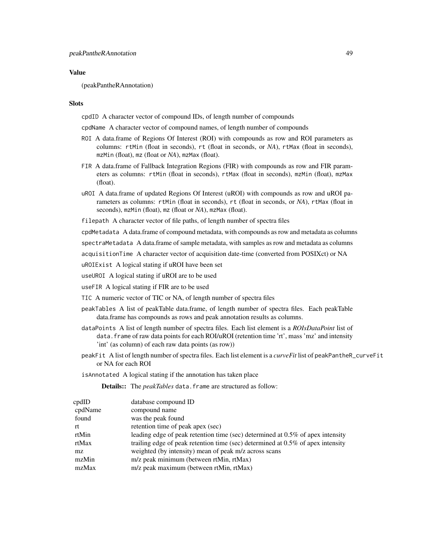## Value

(peakPantheRAnnotation)

## Slots

cpdID A character vector of compound IDs, of length number of compounds

cpdName A character vector of compound names, of length number of compounds

- ROI A data.frame of Regions Of Interest (ROI) with compounds as row and ROI parameters as columns: rtMin (float in seconds), rt (float in seconds, or *NA*), rtMax (float in seconds), mzMin (float), mz (float or *NA*), mzMax (float).
- FIR A data.frame of Fallback Integration Regions (FIR) with compounds as row and FIR parameters as columns: rtMin (float in seconds), rtMax (float in seconds), mzMin (float), mzMax (float).
- uROI A data.frame of updated Regions Of Interest (uROI) with compounds as row and uROI parameters as columns: rtMin (float in seconds), rt (float in seconds, or *NA*), rtMax (float in seconds), mzMin (float), mz (float or *NA*), mzMax (float).

filepath A character vector of file paths, of length number of spectra files

cpdMetadata A data.frame of compound metadata, with compounds as row and metadata as columns

spectraMetadata A data.frame of sample metadata, with samples as row and metadata as columns

acquisitionTime A character vector of acquisition date-time (converted from POSIXct) or NA

uROIExist A logical stating if uROI have been set

useUROI A logical stating if uROI are to be used

useFIR A logical stating if FIR are to be used

TIC A numeric vector of TIC or NA, of length number of spectra files

- peakTables A list of peakTable data.frame, of length number of spectra files. Each peakTable data.frame has compounds as rows and peak annotation results as columns.
- dataPoints A list of length number of spectra files. Each list element is a *ROIsDataPoint* list of data.frame of raw data points for each ROI/uROI (retention time 'rt', mass 'mz' and intensity 'int' (as column) of each raw data points (as row))
- peakFit A list of length number of spectra files. Each list element is a *curveFit* list of peakPantheR\_curveFit or NA for each ROI

isAnnotated A logical stating if the annotation has taken place

Details:: The *peakTables* data.frame are structured as follow:

| cpdID   | database compound ID                                                               |
|---------|------------------------------------------------------------------------------------|
| cpdName | compound name                                                                      |
| found   | was the peak found                                                                 |
| rt      | retention time of peak apex (sec)                                                  |
| rtMin   | leading edge of peak retention time (sec) determined at 0.5% of apex intensity     |
| rtMax   | trailing edge of peak retention time (sec) determined at $0.5\%$ of apex intensity |
| mz.     | weighted (by intensity) mean of peak m/z across scans                              |
| mzMin   | m/z peak minimum (between rtMin, rtMax)                                            |
| mzMax   | m/z peak maximum (between rtMin, rtMax)                                            |
|         |                                                                                    |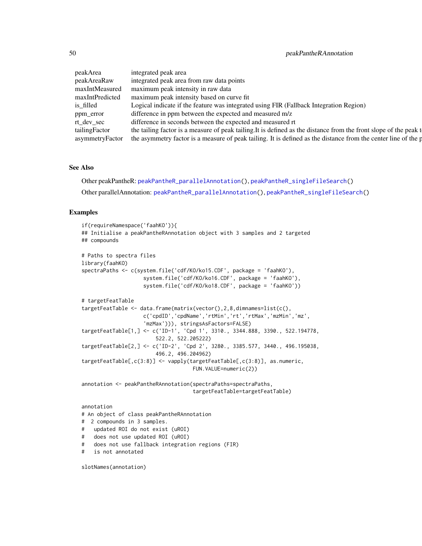| peakArea      | integrated peak area                                                                                                           |
|---------------|--------------------------------------------------------------------------------------------------------------------------------|
| peakAreaRaw   | integrated peak area from raw data points                                                                                      |
|               | maxIntMeasured maximum peak intensity in raw data                                                                              |
|               | maxIntPredicted maximum peak intensity based on curve fit                                                                      |
| is filled     | Logical indicate if the feature was integrated using FIR (Fallback Integration Region)                                         |
| ppm_error     | difference in ppm between the expected and measured m/z                                                                        |
| rt dev sec    | difference in seconds between the expected and measured rt                                                                     |
| tailingFactor | the tailing factor is a measure of peak tailing. It is defined as the distance from the front slope of the peak t              |
|               | asymmetryFactor the asymmetry factor is a measure of peak tailing. It is defined as the distance from the center line of the p |

#### See Also

Other peakPantheR: [peakPantheR\\_parallelAnnotation\(](#page-53-0)), [peakPantheR\\_singleFileSearch\(](#page-61-0)) Other parallelAnnotation: [peakPantheR\\_parallelAnnotation\(](#page-53-0)), [peakPantheR\\_singleFileSearch\(](#page-61-0))

### Examples

```
if(requireNamespace('faahKO')){
## Initialise a peakPantheRAnnotation object with 3 samples and 2 targeted
## compounds
# Paths to spectra files
library(faahKO)
spectraPaths <- c(system.file('cdf/KO/ko15.CDF', package = 'faahKO'),
                    system.file('cdf/KO/ko16.CDF', package = 'faahKO'),
                    system.file('cdf/KO/ko18.CDF', package = 'faahKO'))
# targetFeatTable
targetFeatTable <- data.frame(matrix(vector(),2,8,dimnames=list(c(),
                    c('cpdID','cpdName','rtMin','rt','rtMax','mzMin','mz',
                    'mzMax'))), stringsAsFactors=FALSE)
targetFeatTable[1,] <- c('ID-1', 'Cpd 1', 3310., 3344.888, 3390., 522.194778,
                        522.2, 522.205222)
targetFeatTable[2,] <- c('ID-2', 'Cpd 2', 3280., 3385.577, 3440., 496.195038,
                        496.2, 496.204962)
targetFeatTable[,c(3:8)] <- vapply(targetFeatTable[,c(3:8)], as.numeric,
                                   FUN.VALUE=numeric(2))
annotation <- peakPantheRAnnotation(spectraPaths=spectraPaths,
                                    targetFeatTable=targetFeatTable)
annotation
# An object of class peakPantheRAnnotation
# 2 compounds in 3 samples.
# updated ROI do not exist (uROI)
# does not use updated ROI (uROI)
# does not use fallback integration regions (FIR)
# is not annotated
```
slotNames(annotation)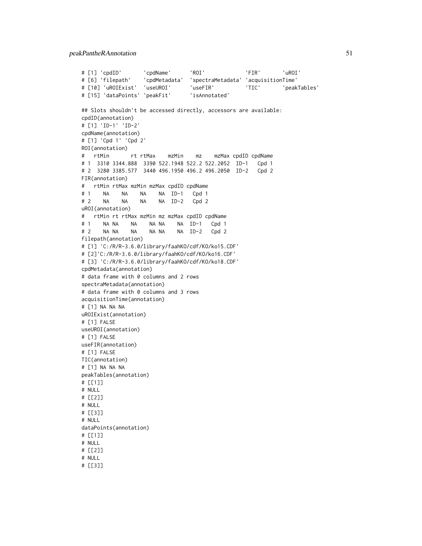## peakPantheRAnnotation 51

```
# [1] 'cpdID' 'cpdName' 'ROI' 'FIR' 'uROI'
# [6] 'filepath' 'cpdMetadata' 'spectraMetadata' 'acquisitionTime'
# [10] 'uROIExist' 'useUROI' 'useFIR' 'TIC' 'peakTables'
# [15] 'dataPoints' 'peakFit' 'isAnnotated'
## Slots shouldn't be accessed directly, accessors are available:
cpdID(annotation)
# [1] 'ID-1' 'ID-2'
cpdName(annotation)
# [1] 'Cpd 1' 'Cpd 2'
ROI(annotation)
# rtMin rt rtMax mzMin mz mzMax cpdID cpdName
# 1 3310 3344.888 3390 522.1948 522.2 522.2052 ID-1 Cpd 1
# 2 3280 3385.577 3440 496.1950 496.2 496.2050 ID-2 Cpd 2
FIR(annotation)
# rtMin rtMax mzMin mzMax cpdID cpdName
# 1 NA NA NA NA ID-1 Cpd 1
# 2 NA NA NA NA ID-2 Cpd 2
uROI(annotation)
# rtMin rt rtMax mzMin mz mzMax cpdID cpdName
# 1 NA NA NA NA NA NA ID-1 Cpd 1
# 2 NA NA NA NA NA NA ID-2 Cpd 2
filepath(annotation)
# [1] 'C:/R/R-3.6.0/library/faahKO/cdf/KO/ko15.CDF'
# [2]'C:/R/R-3.6.0/library/faahKO/cdf/KO/ko16.CDF'
# [3] 'C:/R/R-3.6.0/library/faahKO/cdf/KO/ko18.CDF'
cpdMetadata(annotation)
# data frame with 0 columns and 2 rows
spectraMetadata(annotation)
# data frame with 0 columns and 3 rows
acquisitionTime(annotation)
# [1] NA NA NA
uROIExist(annotation)
# [1] FALSE
useUROI(annotation)
# [1] FALSE
useFIR(annotation)
# [1] FALSE
TIC(annotation)
# [1] NA NA NA
peakTables(annotation)
# [[1]]
# NULL
# [[2]]
# NULL
# [[3]]
# NULL
dataPoints(annotation)
# [[1]]
# NULL
# [[2]]
# NULL
# [[3]]
```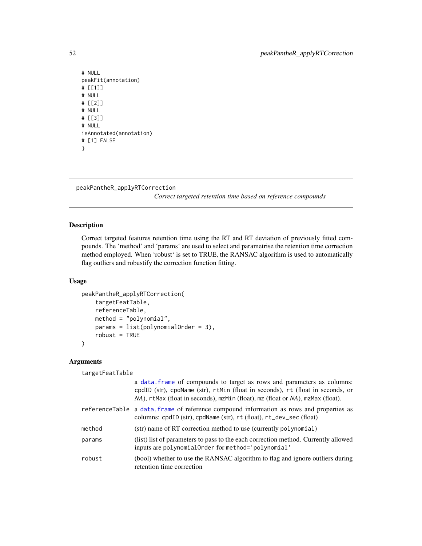```
# NULL
peakFit(annotation)
# [[1]]
# NULL
# [[2]]
# NULL
# [[3]]
# NULL
isAnnotated(annotation)
# [1] FALSE
}
```

```
peakPantheR_applyRTCorrection
```
*Correct targeted retention time based on reference compounds*

## Description

Correct targeted features retention time using the RT and RT deviation of previously fitted compounds. The 'method' and 'params' are used to select and parametrise the retention time correction method employed. When 'robust' is set to TRUE, the RANSAC algorithm is used to automatically flag outliers and robustify the correction function fitting.

## Usage

```
peakPantheR_applyRTCorrection(
    targetFeatTable,
    referenceTable,
   method = "polynomial",
   params = list(polynomialOrder = 3),
    robust = TRUE)
```
#### Arguments

targetFeatTable

|        | a data. frame of compounds to target as rows and parameters as columns:<br>cpdID (str), cpdName (str), rtMin (float in seconds), rt (float in seconds, or<br>$NA$ ), rtMax (float in seconds), mzMin (float), mz (float or $NA$ ), mzMax (float). |
|--------|---------------------------------------------------------------------------------------------------------------------------------------------------------------------------------------------------------------------------------------------------|
|        | referenceTable a data. frame of reference compound information as rows and properties as<br>columns: cpdID (str), cpdName (str), rt (float), rt_dev_sec (float)                                                                                   |
| method | (str) name of RT correction method to use (currently polynomial)                                                                                                                                                                                  |
| params | (list) list of parameters to pass to the each correction method. Currently allowed<br>inputs are polynomialOrder for method='polynomial'                                                                                                          |
| robust | (bool) whether to use the RANSAC algorithm to flag and ignore outliers during<br>retention time correction                                                                                                                                        |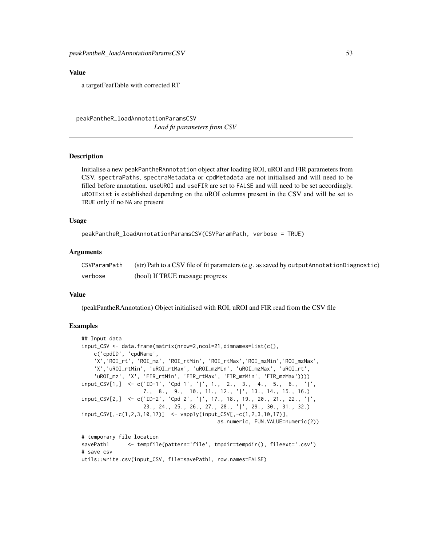#### Value

a targetFeatTable with corrected RT

peakPantheR\_loadAnnotationParamsCSV *Load fit parameters from CSV*

#### Description

Initialise a new peakPantheRAnnotation object after loading ROI, uROI and FIR parameters from CSV. spectraPaths, spectraMetadata or cpdMetadata are not initialised and will need to be filled before annotation. useUROI and useFIR are set to FALSE and will need to be set accordingly. uROIExist is established depending on the uROI columns present in the CSV and will be set to TRUE only if no NA are present

#### Usage

```
peakPantheR_loadAnnotationParamsCSV(CSVParamPath, verbose = TRUE)
```
#### Arguments

| CSVParamPath | $(\text{str})$ Path to a CSV file of fit parameters (e.g. as saved by output Annotation Diagnostic) |
|--------------|-----------------------------------------------------------------------------------------------------|
| verbose      | (bool) If TRUE message progress                                                                     |

## Value

(peakPantheRAnnotation) Object initialised with ROI, uROI and FIR read from the CSV file

```
## Input data
input_CSV <- data.frame(matrix(nrow=2,ncol=21,dimnames=list(c(),
   c('cpdID', 'cpdName',
    'X','ROI_rt', 'ROI_mz', 'ROI_rtMin', 'ROI_rtMax','ROI_mzMin','ROI_mzMax',
    'X','uROI_rtMin', 'uROI_rtMax', 'uROI_mzMin', 'uROI_mzMax', 'uROI_rt',
    'uROI_mz', 'X', 'FIR_rtMin', 'FIR_rtMax', 'FIR_mzMin', 'FIR_mzMax'))))
input_CSV[1,] \leq C('ID-1', 'Cpd 1', '|', 1., 2., 3., 4., 5., 6., '|',7., 8., 9., 10., 11., 12., '|', 13., 14., 15., 16.)
input_CSV[2,] <- c('ID-2', 'Cpd 2', '|', 17., 18., 19., 20., 21., 22., '|',
                   23., 24., 25., 26., 27., 28., '|', 29., 30., 31., 32.)
input_CSV[,-c(1,2,3,10,17)] <- vapply(input_CSV[,-c(1,2,3,10,17)],
                                           as.numeric, FUN.VALUE=numeric(2))
# temporary file location
savePath1 <- tempfile(pattern='file', tmpdir=tempdir(), fileext='.csv')
# save csv
utils::write.csv(input_CSV, file=savePath1, row.names=FALSE)
```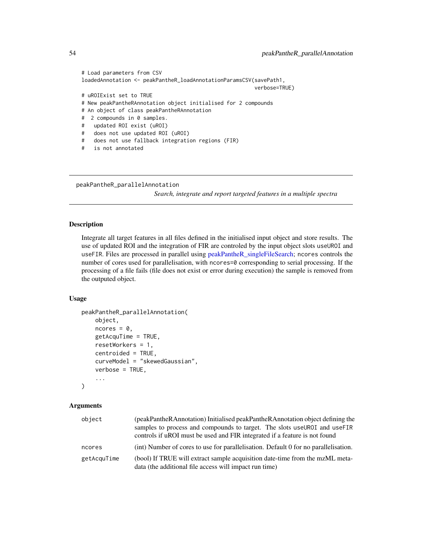```
# Load parameters from CSV
loadedAnnotation <- peakPantheR_loadAnnotationParamsCSV(savePath1,
                                                       verbose=TRUE)
# uROIExist set to TRUE
# New peakPantheRAnnotation object initialised for 2 compounds
# An object of class peakPantheRAnnotation
# 2 compounds in 0 samples.
# updated ROI exist (uROI)
# does not use updated ROI (uROI)
# does not use fallback integration regions (FIR)
# is not annotated
```
<span id="page-53-0"></span>peakPantheR\_parallelAnnotation

*Search, integrate and report targeted features in a multiple spectra*

## Description

Integrate all target features in all files defined in the initialised input object and store results. The use of updated ROI and the integration of FIR are controled by the input object slots useUROI and useFIR. Files are processed in parallel using [peakPantheR\\_singleFileSearch;](#page-61-0) ncores controls the number of cores used for parallelisation, with ncores=0 corresponding to serial processing. If the processing of a file fails (file does not exist or error during execution) the sample is removed from the outputed object.

#### Usage

```
peakPantheR_parallelAnnotation(
    object,
    ncores = 0,
    getAcquTime = TRUE,
    resetWorkers = 1,
    centroided = TRUE,
    curveModel = "skewedGaussian",
    verbose = TRUE,
    ...
)
```
## Arguments

| object      | (peakPantheRAnnotation) Initialised peakPantheRAnnotation object defining the<br>samples to process and compounds to target. The slots use UROI and use FIR<br>controls if uROI must be used and FIR integrated if a feature is not found |
|-------------|-------------------------------------------------------------------------------------------------------------------------------------------------------------------------------------------------------------------------------------------|
| ncores      | (int) Number of cores to use for parallelisation. Default 0 for no parallelisation.                                                                                                                                                       |
| getAcquTime | (bool) If TRUE will extract sample acquisition date-time from the mzML meta-<br>data (the additional file access will impact run time)                                                                                                    |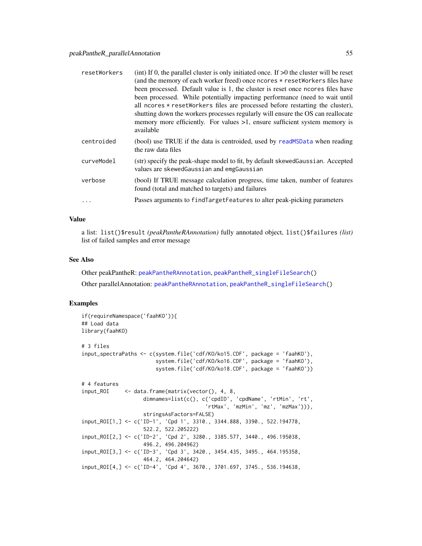| resetWorkers | (int) If 0, the parallel cluster is only initiated once. If $>0$ the cluster will be reset<br>(and the memory of each worker freed) once ncores * resetWorkers files have<br>been processed. Default value is 1, the cluster is reset once ncores files have<br>been processed. While potentially impacting performance (need to wait until<br>all ncores * resetWorkers files are processed before restarting the cluster),<br>shutting down the workers processes regularly will ensure the OS can reallocate<br>memory more efficiently. For values $>1$ , ensure sufficient system memory is<br>available |
|--------------|---------------------------------------------------------------------------------------------------------------------------------------------------------------------------------------------------------------------------------------------------------------------------------------------------------------------------------------------------------------------------------------------------------------------------------------------------------------------------------------------------------------------------------------------------------------------------------------------------------------|
| centroided   | (bool) use TRUE if the data is centroided, used by readMSData when reading<br>the raw data files                                                                                                                                                                                                                                                                                                                                                                                                                                                                                                              |
| curveModel   | (str) specify the peak-shape model to fit, by default skewed Gaussian. Accepted<br>values are skewedGaussian and emgGaussian                                                                                                                                                                                                                                                                                                                                                                                                                                                                                  |
| verbose      | (bool) If TRUE message calculation progress, time taken, number of features<br>found (total and matched to targets) and failures                                                                                                                                                                                                                                                                                                                                                                                                                                                                              |
|              | Passes arguments to findTargetFeatures to alter peak-picking parameters                                                                                                                                                                                                                                                                                                                                                                                                                                                                                                                                       |

#### Value

a list: list()\$result *(peakPantheRAnnotation)* fully annotated object, list()\$failures *(list)* list of failed samples and error message

## See Also

Other peakPantheR: [peakPantheRAnnotation](#page-46-0), [peakPantheR\\_singleFileSearch\(](#page-61-0)) Other parallelAnnotation: [peakPantheRAnnotation](#page-46-0), [peakPantheR\\_singleFileSearch\(](#page-61-0))

```
if(requireNamespace('faahKO')){
## Load data
library(faahKO)
# 3 files
input_spectraPaths <- c(system.file('cdf/KO/ko15.CDF', package = 'faahKO'),
                        system.file('cdf/KO/ko16.CDF', package = 'faahKO'),
                        system.file('cdf/KO/ko18.CDF', package = 'faahKO'))
# 4 features
input_ROI <- data.frame(matrix(vector(), 4, 8,
                    dimnames=list(c(), c('cpdID', 'cpdName', 'rtMin', 'rt',
                                        'rtMax', 'mzMin', 'mz', 'mzMax'))),
                    stringsAsFactors=FALSE)
input_ROI[1,] <- c('ID-1', 'Cpd 1', 3310., 3344.888, 3390., 522.194778,
                    522.2, 522.205222)
input_ROI[2,] <- c('ID-2', 'Cpd 2', 3280., 3385.577, 3440., 496.195038,
                    496.2, 496.204962)
input_ROI[3,] <- c('ID-3', 'Cpd 3', 3420., 3454.435, 3495., 464.195358,
                    464.2, 464.204642)
input_ROI[4,] <- c('ID-4', 'Cpd 4', 3670., 3701.697, 3745., 536.194638,
```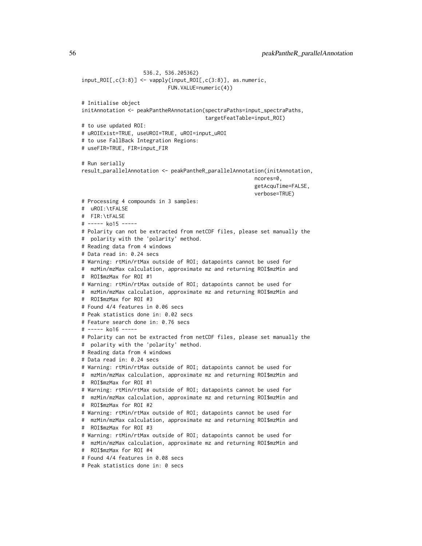536.2, 536.205362) input\_ROI[,c(3:8)] <- vapply(input\_ROI[,c(3:8)], as.numeric, FUN.VALUE=numeric(4)) # Initialise object initAnnotation <- peakPantheRAnnotation(spectraPaths=input\_spectraPaths, targetFeatTable=input\_ROI) # to use updated ROI: # uROIExist=TRUE, useUROI=TRUE, uROI=input\_uROI # to use FallBack Integration Regions: # useFIR=TRUE, FIR=input\_FIR # Run serially result\_parallelAnnotation <- peakPantheR\_parallelAnnotation(initAnnotation, ncores=0, getAcquTime=FALSE, verbose=TRUE) # Processing 4 compounds in 3 samples: # uROI:\tFALSE # FIR:\tFALSE # ----- ko15 ----- # Polarity can not be extracted from netCDF files, please set manually the # polarity with the 'polarity' method. # Reading data from 4 windows # Data read in: 0.24 secs # Warning: rtMin/rtMax outside of ROI; datapoints cannot be used for # mzMin/mzMax calculation, approximate mz and returning ROI\$mzMin and # ROI\$mzMax for ROI #1 # Warning: rtMin/rtMax outside of ROI; datapoints cannot be used for # mzMin/mzMax calculation, approximate mz and returning ROI\$mzMin and # ROI\$mzMax for ROI #3 # Found 4/4 features in 0.06 secs # Peak statistics done in: 0.02 secs # Feature search done in: 0.76 secs # ----- ko16 ----- # Polarity can not be extracted from netCDF files, please set manually the # polarity with the 'polarity' method. # Reading data from 4 windows # Data read in: 0.24 secs # Warning: rtMin/rtMax outside of ROI; datapoints cannot be used for # mzMin/mzMax calculation, approximate mz and returning ROI\$mzMin and # ROI\$mzMax for ROI #1 # Warning: rtMin/rtMax outside of ROI; datapoints cannot be used for # mzMin/mzMax calculation, approximate mz and returning ROI\$mzMin and # ROI\$mzMax for ROI #2 # Warning: rtMin/rtMax outside of ROI; datapoints cannot be used for # mzMin/mzMax calculation, approximate mz and returning ROI\$mzMin and # ROI\$mzMax for ROI #3 # Warning: rtMin/rtMax outside of ROI; datapoints cannot be used for # mzMin/mzMax calculation, approximate mz and returning ROI\$mzMin and # ROI\$mzMax for ROI #4 # Found 4/4 features in 0.08 secs # Peak statistics done in: 0 secs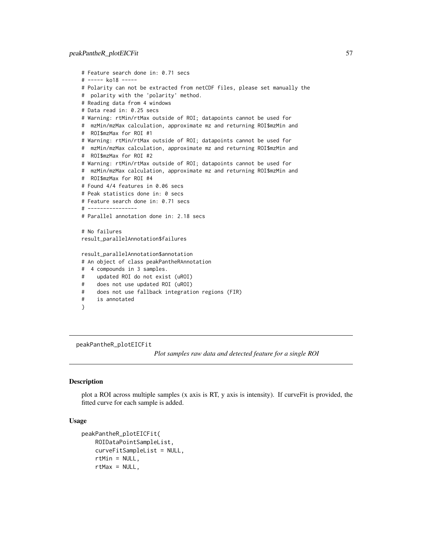```
# Feature search done in: 0.71 secs
# ----- ko18 -----
# Polarity can not be extracted from netCDF files, please set manually the
# polarity with the 'polarity' method.
# Reading data from 4 windows
# Data read in: 0.25 secs
# Warning: rtMin/rtMax outside of ROI; datapoints cannot be used for
# mzMin/mzMax calculation, approximate mz and returning ROI$mzMin and
# ROI$mzMax for ROI #1
# Warning: rtMin/rtMax outside of ROI; datapoints cannot be used for
# mzMin/mzMax calculation, approximate mz and returning ROI$mzMin and
# ROI$mzMax for ROI #2
# Warning: rtMin/rtMax outside of ROI; datapoints cannot be used for
# mzMin/mzMax calculation, approximate mz and returning ROI$mzMin and
# ROI$mzMax for ROI #4
# Found 4/4 features in 0.06 secs
# Peak statistics done in: 0 secs
# Feature search done in: 0.71 secs
# ----------------
# Parallel annotation done in: 2.18 secs
# No failures
result_parallelAnnotation$failures
result_parallelAnnotation$annotation
# An object of class peakPantheRAnnotation
# 4 compounds in 3 samples.
# updated ROI do not exist (uROI)
# does not use updated ROI (uROI)
# does not use fallback integration regions (FIR)
# is annotated
}
```
peakPantheR\_plotEICFit

*Plot samples raw data and detected feature for a single ROI*

## Description

plot a ROI across multiple samples (x axis is RT, y axis is intensity). If curveFit is provided, the fitted curve for each sample is added.

## Usage

```
peakPantheR_plotEICFit(
    ROIDataPointSampleList,
    curveFitSampleList = NULL,
    rtMin = NULL,
    rtMax = NULL,
```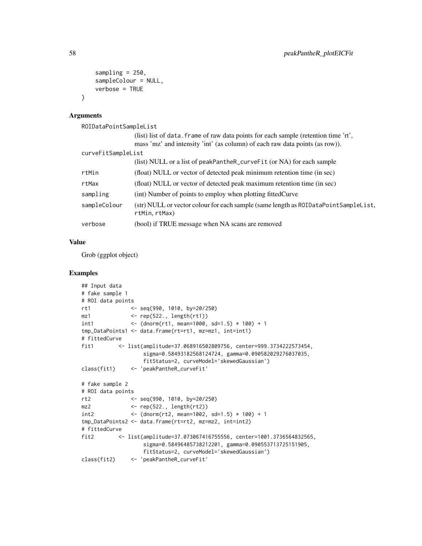```
sampling = 250,
    sampleColour = NULL,
    verbose = TRUE
\lambda
```
## Arguments

```
ROIDataPointSampleList
```

|                    | (list) list of data. frame of raw data points for each sample (retention time 'rt',                  |
|--------------------|------------------------------------------------------------------------------------------------------|
|                    | mass 'mz' and intensity 'int' (as column) of each raw data points (as row)).                         |
| curveFitSampleList |                                                                                                      |
|                    | (list) NULL or a list of peakPantheR_curveFit (or NA) for each sample                                |
| rtMin              | (float) NULL or vector of detected peak minimum retention time (in sec)                              |
| rtMax              | (float) NULL or vector of detected peak maximum retention time (in sec)                              |
| sampling           | (int) Number of points to employ when plotting fitted Curve                                          |
| sampleColour       | (str) NULL or vector colour for each sample (same length as ROIDataPointSampleList,<br>rtMin, rtMax) |
| verbose            | (bool) if TRUE message when NA scans are removed                                                     |

## Value

Grob (ggplot object)

```
## Input data
# fake sample 1
# ROI data points
rt1 <- seq(990, 1010, by=20/250)
mz1 <- rep(522., length(rt1))
int1 <- (dnorm(rt1, mean=1000, sd=1.5) * 100) + 1
tmp_DataPoints1 <- data.frame(rt=rt1, mz=mz1, int=int1)
# fittedCurve
fit1 <- list(amplitude=37.068916502809756, center=999.3734222573454,
                  sigma=0.58493182568124724, gamma=0.090582029276037035,
                  fitStatus=2, curveModel='skewedGaussian')
class(fit1) <- 'peakPantheR_curveFit'
# fake sample 2
# ROI data points
rt2 <- seq(990, 1010, by=20/250)
mz2 <- rep(522., length(rt2))
int2 <- (dnorm(rt2, mean=1002, sd=1.5) * 100) + 1
tmp_DataPoints2 <- data.frame(rt=rt2, mz=mz2, int=int2)
# fittedCurve
fit2 <- list(amplitude=37.073067416755556, center=1001.3736564832565,
                  sigma=0.58496485738212201, gamma=0.090553713725151905,
                  fitStatus=2, curveModel='skewedGaussian')
class(fit2) <- 'peakPantheR_curveFit'
```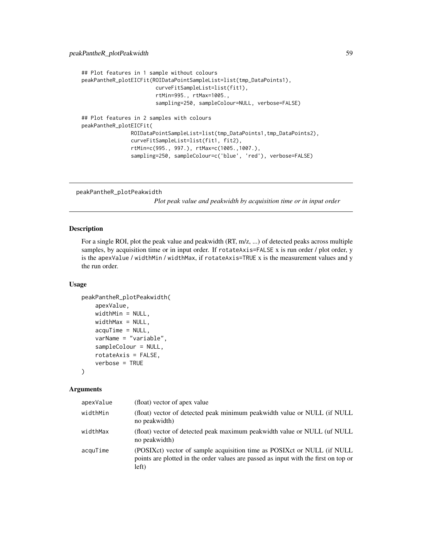```
## Plot features in 1 sample without colours
peakPantheR_plotEICFit(ROIDataPointSampleList=list(tmp_DataPoints1),
                        curveFitSampleList=list(fit1),
                        rtMin=995., rtMax=1005.,
                        sampling=250, sampleColour=NULL, verbose=FALSE)
## Plot features in 2 samples with colours
peakPantheR_plotEICFit(
                ROIDataPointSampleList=list(tmp_DataPoints1,tmp_DataPoints2),
                curveFitSampleList=list(fit1, fit2),
                rtMin=c(995., 997.), rtMax=c(1005.,1007.),
                sampling=250, sampleColour=c('blue', 'red'), verbose=FALSE)
```
peakPantheR\_plotPeakwidth

*Plot peak value and peakwidth by acquisition time or in input order*

#### Description

For a single ROI, plot the peak value and peakwidth (RT, m/z, ...) of detected peaks across multiple samples, by acquisition time or in input order. If rotateAxis=FALSE x is run order / plot order, y is the apexValue / widthMin / widthMax, if rotateAxis=TRUE x is the measurement values and y the run order.

## Usage

```
peakPantheR_plotPeakwidth(
    apexValue,
    widthMin = NULL,
    widthMax = NULL,acquTime = NULL,
    varName = "variable",
    sampleColour = NULL,
    rotateAxis = FALSE,
    verbose = TRUE
)
```
## Arguments

| apexValue | (float) vector of apex value                                                                                                                                            |
|-----------|-------------------------------------------------------------------------------------------------------------------------------------------------------------------------|
| widthMin  | (float) vector of detected peak minimum peakwidth value or NULL (if NULL<br>no peakwidth)                                                                               |
| widthMax  | (float) vector of detected peak maximum peakwidth value or NULL (uf NULL)<br>no peakwidth)                                                                              |
| acquTime  | (POSIXct) vector of sample acquisition time as POSIXct or NULL (if NULL<br>points are plotted in the order values are passed as input with the first on top or<br>left) |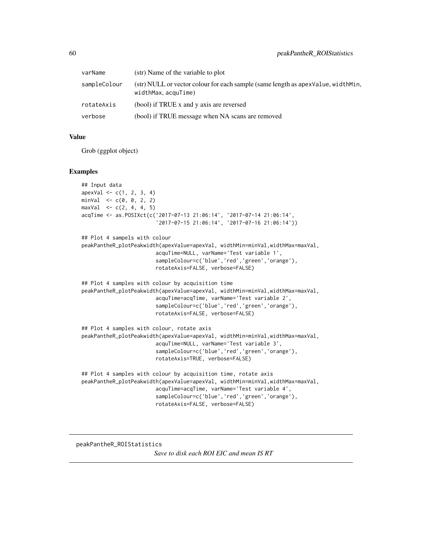| varName      | (str) Name of the variable to plot                                                                        |
|--------------|-----------------------------------------------------------------------------------------------------------|
| sampleColour | (str) NULL or vector colour for each sample (same length as apex Value, width Min,<br>widthMax, acquTime) |
| rotateAxis   | (bool) if TRUE x and y axis are reversed                                                                  |
| verbose      | (bool) if TRUE message when NA scans are removed                                                          |

## Value

Grob (ggplot object)

#### Examples

```
## Input data
apexVal \leftarrow c(1, 2, 3, 4)minVal < -c(0, 0, 2, 2)maxVal < c(2, 4, 4, 5)acqTime <- as.POSIXct(c('2017-07-13 21:06:14', '2017-07-14 21:06:14',
                        '2017-07-15 21:06:14', '2017-07-16 21:06:14'))
## Plot 4 sampels with colour
peakPantheR_plotPeakwidth(apexValue=apexVal, widthMin=minVal,widthMax=maxVal,
                        acquTime=NULL, varName='Test variable 1',
                        sampleColour=c('blue','red','green','orange'),
                        rotateAxis=FALSE, verbose=FALSE)
## Plot 4 samples with colour by acquisition time
peakPantheR_plotPeakwidth(apexValue=apexVal, widthMin=minVal,widthMax=maxVal,
                        acquTime=acqTime, varName='Test variable 2',
                        sampleColour=c('blue','red','green','orange'),
                        rotateAxis=FALSE, verbose=FALSE)
## Plot 4 samples with colour, rotate axis
peakPantheR_plotPeakwidth(apexValue=apexVal, widthMin=minVal,widthMax=maxVal,
                        acquTime=NULL, varName='Test variable 3',
                        sampleColour=c('blue','red','green','orange'),
                        rotateAxis=TRUE, verbose=FALSE)
## Plot 4 samples with colour by acquisition time, rotate axis
peakPantheR_plotPeakwidth(apexValue=apexVal, widthMin=minVal,widthMax=maxVal,
                        acquTime=acqTime, varName='Test variable 4',
                        sampleColour=c('blue','red','green','orange'),
                        rotateAxis=FALSE, verbose=FALSE)
```
peakPantheR\_ROIStatistics

*Save to disk each ROI EIC and mean IS RT*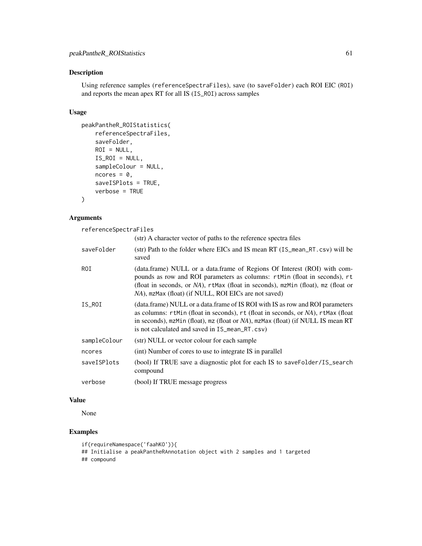## Description

Using reference samples (referenceSpectraFiles), save (to saveFolder) each ROI EIC (ROI) and reports the mean apex RT for all IS (IS\_ROI) across samples

## Usage

```
peakPantheR_ROIStatistics(
    referenceSpectraFiles,
    saveFolder,
   ROI = NULL,IS_ROI = NULL,sampleColour = NULL,
    ncores = 0,
    saveISPlots = TRUE,
    verbose = TRUE
\mathcal{L}
```
## Arguments

referenceSpectraFiles

|              | (str) A character vector of paths to the reference spectra files                                                                                                                                                                                                                                       |
|--------------|--------------------------------------------------------------------------------------------------------------------------------------------------------------------------------------------------------------------------------------------------------------------------------------------------------|
| saveFolder   | (str) Path to the folder where EICs and IS mean RT (IS_mean_RT.csv) will be<br>saved                                                                                                                                                                                                                   |
| ROI          | (data.frame) NULL or a data.frame of Regions Of Interest (ROI) with com-<br>pounds as row and ROI parameters as columns: rtMin (float in seconds), rt<br>(float in seconds, or NA), rtMax (float in seconds), mzMin (float), mz (float or<br>NA), mzMax (float) (if NULL, ROI EICs are not saved)      |
| IS_ROI       | (data.frame) NULL or a data.frame of IS ROI with IS as row and ROI parameters<br>as columns: rtMin (float in seconds), rt (float in seconds, or NA), rtMax (float<br>in seconds), mzMin (float), mz (float or NA), mzMax (float) (if NULL IS mean RT<br>is not calculated and saved in IS_mean_RT.csv) |
| sampleColour | (str) NULL or vector colour for each sample                                                                                                                                                                                                                                                            |
| ncores       | (int) Number of cores to use to integrate IS in parallel                                                                                                                                                                                                                                               |
| saveISPlots  | (bool) If TRUE save a diagnostic plot for each IS to saveFolder/IS_search<br>compound                                                                                                                                                                                                                  |
| verbose      | (bool) If TRUE message progress                                                                                                                                                                                                                                                                        |

# Value

None

```
if(requireNamespace('faahKO')){
## Initialise a peakPantheRAnnotation object with 2 samples and 1 targeted
```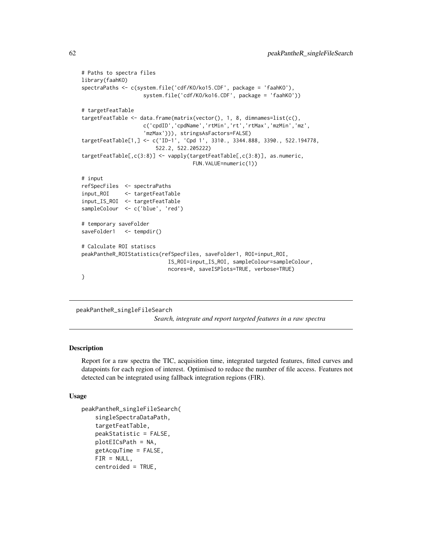```
# Paths to spectra files
library(faahKO)
spectraPaths <- c(system.file('cdf/KO/ko15.CDF', package = 'faahKO'),
                    system.file('cdf/KO/ko16.CDF', package = 'faahKO'))
# targetFeatTable
targetFeatTable <- data.frame(matrix(vector(), 1, 8, dimnames=list(c(),
                    c('cpdID','cpdName','rtMin','rt','rtMax','mzMin','mz',
                    'mzMax'))), stringsAsFactors=FALSE)
targetFeatTable[1,] <- c('ID-1', 'Cpd 1', 3310., 3344.888, 3390., 522.194778,
                        522.2, 522.205222)
targetFeatTable[,c(3:8)] <- vapply(targetFeatTable[,c(3:8)], as.numeric,
                                    FUN.VALUE=numeric(1))
# input
refSpecFiles <- spectraPaths
input_ROI <- targetFeatTable
input_IS_ROI <- targetFeatTable
sampleColour <- c('blue', 'red')
# temporary saveFolder
saveFolder1 <- tempdir()
# Calculate ROI statiscs
peakPantheR_ROIStatistics(refSpecFiles, saveFolder1, ROI=input_ROI,
                            IS_ROI=input_IS_ROI, sampleColour=sampleColour,
                            ncores=0, saveISPlots=TRUE, verbose=TRUE)
}
```
#### <span id="page-61-0"></span>peakPantheR\_singleFileSearch

*Search, integrate and report targeted features in a raw spectra*

## Description

Report for a raw spectra the TIC, acquisition time, integrated targeted features, fitted curves and datapoints for each region of interest. Optimised to reduce the number of file access. Features not detected can be integrated using fallback integration regions (FIR).

## Usage

```
peakPantheR_singleFileSearch(
    singleSpectraDataPath,
    targetFeatTable,
   peakStatistic = FALSE,
   plotEICsPath = NA,
   getAcquTime = FALSE,
   FIR = NULL,centroided = TRUE,
```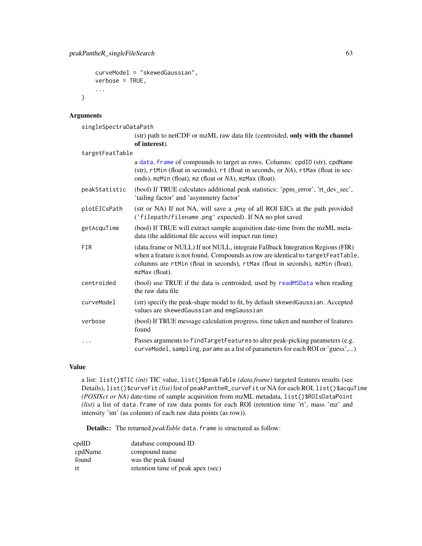```
curveModel = "skewedGaussian",
verbose = TRUE,
...
```
# Arguments

)

singleSpectraDataPath

| (str) path to netCDF or mzML raw data file (centroided, only with the channel |  |  |  |
|-------------------------------------------------------------------------------|--|--|--|
| of interest).                                                                 |  |  |  |

| targetFeatTable |                                                                                                                                                                                                                                                                       |  |  |
|-----------------|-----------------------------------------------------------------------------------------------------------------------------------------------------------------------------------------------------------------------------------------------------------------------|--|--|
|                 | a data. frame of compounds to target as rows. Columns: cpdID (str), cpdName<br>(str), rtMin (float in seconds), rt (float in seconds, or NA), rtMax (float in sec-<br>onds), mzMin (float), mz (float or NA), mzMax (float).                                          |  |  |
| peakStatistic   | (bool) If TRUE calculates additional peak statistics: 'ppm_error', 'rt_dev_sec',<br>'tailing factor' and 'asymmetry factor'                                                                                                                                           |  |  |
| plotEICsPath    | (str or NA) If not NA, will save a .png of all ROI EICs at the path provided<br>('filepath/filename.png' expected). If NA no plot saved                                                                                                                               |  |  |
| getAcquTime     | (bool) If TRUE will extract sample acquisition date-time from the mzML meta-<br>data (the additional file access will impact run time)                                                                                                                                |  |  |
| FIR             | (data.frame or NULL) If not NULL, integrate Fallback Integration Regions (FIR)<br>when a feature is not found. Compounds as row are identical to targetFeatTable,<br>columns are rtMin (float in seconds), rtMax (float in seconds), mzMin (float),<br>mzMax (float). |  |  |
| centroided      | (bool) use TRUE if the data is centroided, used by readMSData when reading<br>the raw data file                                                                                                                                                                       |  |  |
| curveModel      | (str) specify the peak-shape model to fit, by default skewed Gaussian. Accepted<br>values are skewedGaussian and emgGaussian                                                                                                                                          |  |  |
| verbose         | (bool) If TRUE message calculation progress, time taken and number of features<br>found                                                                                                                                                                               |  |  |
| .               | Passes arguments to findTargetFeatures to alter peak-picking parameters (e.g.<br>curveModel, sampling, params as a list of parameters for each ROI or 'guess',)                                                                                                       |  |  |

# Value

a list: list()\$TIC *(int)* TIC value, list()\$peakTable *(data.frame)* targeted features results (see Details), list()\$curveFit *(list)* list of peakPantheR\_curveFit or NA for each ROI, list()\$acquTime *(POSIXct or NA)* date-time of sample acquisition from mzML metadata, list()\$ROIsDataPoint *(list)* a list of data.frame of raw data points for each ROI (retention time 'rt', mass 'mz' and intensity 'int' (as column) of each raw data points (as row)).

Details:: The returned *peakTable* data.frame is structured as follow:

| cpdID   | database compound ID              |
|---------|-----------------------------------|
| cpdName | compound name                     |
| found   | was the peak found                |
| rt      | retention time of peak apex (sec) |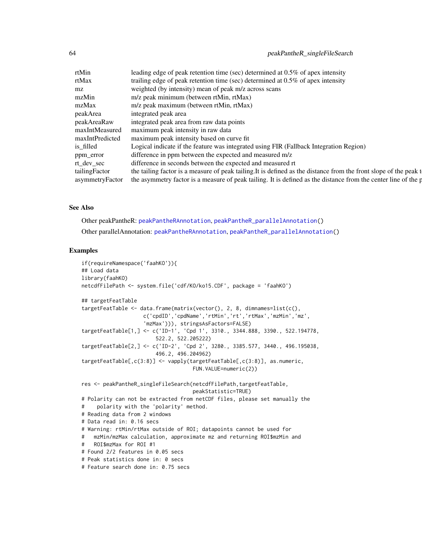| rtMin         | leading edge of peak retention time (sec) determined at $0.5\%$ of apex intensity                                              |
|---------------|--------------------------------------------------------------------------------------------------------------------------------|
| rtMax         | trailing edge of peak retention time (sec) determined at $0.5\%$ of apex intensity                                             |
| mz            | weighted (by intensity) mean of peak m/z across scans                                                                          |
| mzMin         | m/z peak minimum (between rtMin, rtMax)                                                                                        |
| mzMax         | m/z peak maximum (between rtMin, rtMax)                                                                                        |
| peakArea      | integrated peak area                                                                                                           |
| peakAreaRaw   | integrated peak area from raw data points                                                                                      |
|               | maxIntMeasured maximum peak intensity in raw data                                                                              |
|               | maxIntPredicted maximum peak intensity based on curve fit                                                                      |
| is_filled     | Logical indicate if the feature was integrated using FIR (Fallback Integration Region)                                         |
| ppm_error     | difference in ppm between the expected and measured m/z                                                                        |
| rt_dev_sec    | difference in seconds between the expected and measured rt                                                                     |
| tailingFactor | the tailing factor is a measure of peak tailing. It is defined as the distance from the front slope of the peak t              |
|               | asymmetryFactor the asymmetry factor is a measure of peak tailing. It is defined as the distance from the center line of the p |

## See Also

Other peakPantheR: [peakPantheRAnnotation](#page-46-0), [peakPantheR\\_parallelAnnotation\(](#page-53-0)) Other parallelAnnotation: [peakPantheRAnnotation](#page-46-0), [peakPantheR\\_parallelAnnotation\(](#page-53-0))

```
if(requireNamespace('faahKO')){
## Load data
library(faahKO)
netcdfFilePath <- system.file('cdf/KO/ko15.CDF', package = 'faahKO')
## targetFeatTable
targetFeatTable <- data.frame(matrix(vector(), 2, 8, dimnames=list(c(),
                    c('cpdID','cpdName','rtMin','rt','rtMax','mzMin','mz',
                    'mzMax'))), stringsAsFactors=FALSE)
targetFeatTable[1,] <- c('ID-1', 'Cpd 1', 3310., 3344.888, 3390., 522.194778,
                        522.2, 522.205222)
targetFeatTable[2,] <- c('ID-2', 'Cpd 2', 3280., 3385.577, 3440., 496.195038,
                        496.2, 496.204962)
targetFeatTable[,c(3:8)] <- vapply(targetFeatTable[,c(3:8)], as.numeric,
                                   FUN.VALUE=numeric(2))
res <- peakPantheR_singleFileSearch(netcdfFilePath,targetFeatTable,
                                   peakStatistic=TRUE)
# Polarity can not be extracted from netCDF files, please set manually the
# polarity with the 'polarity' method.
# Reading data from 2 windows
# Data read in: 0.16 secs
# Warning: rtMin/rtMax outside of ROI; datapoints cannot be used for
# mzMin/mzMax calculation, approximate mz and returning ROI$mzMin and
# ROI$mzMax for ROI #1
# Found 2/2 features in 0.05 secs
# Peak statistics done in: 0 secs
# Feature search done in: 0.75 secs
```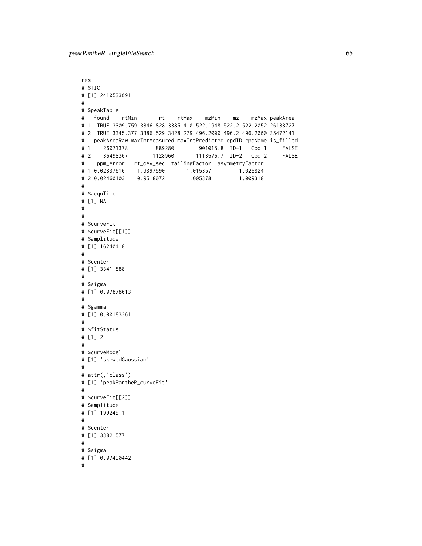```
res
# $TIC
# [1] 2410533091
#
# $peakTable
# found rtMin rt rtMax mzMin mz mzMax peakArea
# 1 TRUE 3309.759 3346.828 3385.410 522.1948 522.2 522.2052 26133727
# 2 TRUE 3345.377 3386.529 3428.279 496.2000 496.2 496.2000 35472141
# peakAreaRaw maxIntMeasured maxIntPredicted cpdID cpdName is_filled
# 1 26071378 889280 901015.8 ID-1 Cpd 1 FALSE
# 2 36498367 1128960 1113576.7 ID-2 Cpd 2 FALSE
# ppm_error rt_dev_sec tailingFactor asymmetryFactor
# 1 0.02337616 1.9397590 1.015357 1.026824
# 2 0.02460103 0.9518072 1.005378 1.009318
#
# $acquTime
# [1] NA
#
#
# $curveFit
# $curveFit[[1]]
# $amplitude
# [1] 162404.8
#
# $center
# [1] 3341.888
#
# $sigma
# [1] 0.07878613
#
# $gamma
# [1] 0.00183361
#
# $fitStatus
# [1] 2
#
# $curveModel
# [1] 'skewedGaussian'
#
# attr(,'class')
# [1] 'peakPantheR_curveFit'
#
# $curveFit[[2]]
# $amplitude
# [1] 199249.1
#
# $center
# [1] 3382.577
#
# $sigma
# [1] 0.07490442
#
```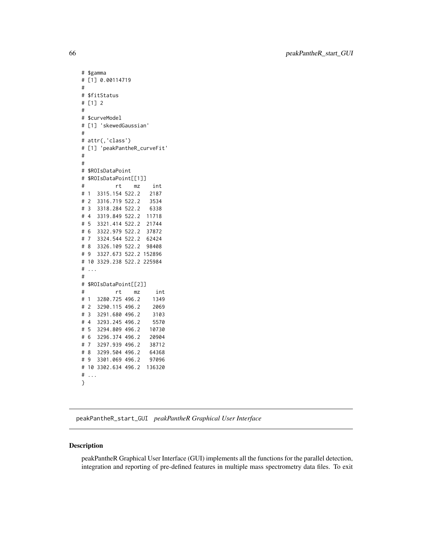```
# $gamma
# [1] 0.00114719
#
# $fitStatus
# [1] 2
#
# $curveModel
# [1] 'skewedGaussian'
#
# attr(,'class')
# [1] 'peakPantheR_curveFit'
#
#
# $ROIsDataPoint
# $ROIsDataPoint[[1]]
# rt mz int
# 1 3315.154 522.2 2187
# 2 3316.719 522.2 3534
# 3 3318.284 522.2 6338
# 4 3319.849 522.2 11718
# 5 3321.414 522.2 21744
# 6 3322.979 522.2 37872
# 7 3324.544 522.2 62424
# 8 3326.109 522.2 98408
# 9 3327.673 522.2 152896
# 10 3329.238 522.2 225984
# ...
#
# $ROIsDataPoint[[2]]
# rt mz int
# 1 3280.725 496.2 1349
# 2 3290.115 496.2 2069
# 3 3291.680 496.2 3103
# 4 3293.245 496.2 5570
# 5 3294.809 496.2 10730
# 6 3296.374 496.2 20904
# 7 3297.939 496.2 38712
# 8 3299.504 496.2 64368
# 9 3301.069 496.2 97096
# 10 3302.634 496.2 136320
# \dots}
```
peakPantheR\_start\_GUI *peakPantheR Graphical User Interface*

## Description

peakPantheR Graphical User Interface (GUI) implements all the functions for the parallel detection, integration and reporting of pre-defined features in multiple mass spectrometry data files. To exit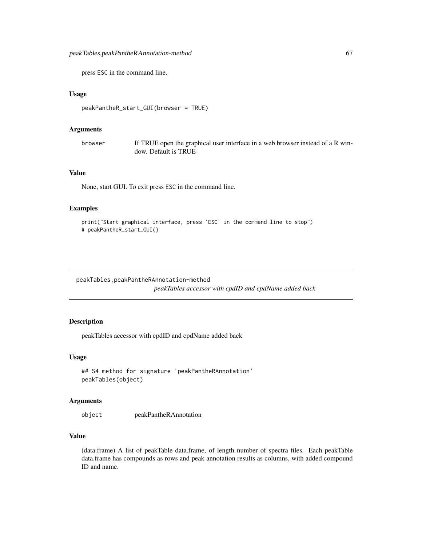press ESC in the command line.

#### Usage

```
peakPantheR_start_GUI(browser = TRUE)
```
#### **Arguments**

browser If TRUE open the graphical user interface in a web browser instead of a R window. Default is TRUE

#### Value

None, start GUI. To exit press ESC in the command line.

## Examples

```
print("Start graphical interface, press 'ESC' in the command line to stop")
# peakPantheR_start_GUI()
```
peakTables,peakPantheRAnnotation-method *peakTables accessor with cpdID and cpdName added back*

## Description

peakTables accessor with cpdID and cpdName added back

## Usage

```
## S4 method for signature 'peakPantheRAnnotation'
peakTables(object)
```
#### Arguments

object peakPantheRAnnotation

## Value

(data.frame) A list of peakTable data.frame, of length number of spectra files. Each peakTable data.frame has compounds as rows and peak annotation results as columns, with added compound ID and name.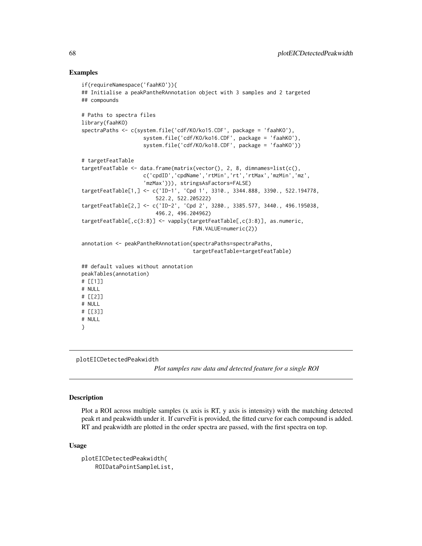## Examples

```
if(requireNamespace('faahKO')){
## Initialise a peakPantheRAnnotation object with 3 samples and 2 targeted
## compounds
# Paths to spectra files
library(faahKO)
spectraPaths <- c(system.file('cdf/KO/ko15.CDF', package = 'faahKO'),
                    system.file('cdf/KO/ko16.CDF', package = 'faahKO'),
                    system.file('cdf/KO/ko18.CDF', package = 'faahKO'))
# targetFeatTable
targetFeatTable <- data.frame(matrix(vector(), 2, 8, dimnames=list(c(),
                    c('cpdID','cpdName','rtMin','rt','rtMax','mzMin','mz',
                    'mzMax'))), stringsAsFactors=FALSE)
targetFeatTable[1,] <- c('ID-1', 'Cpd 1', 3310., 3344.888, 3390., 522.194778,
                        522.2, 522.205222)
targetFeatTable[2,] <- c('ID-2', 'Cpd 2', 3280., 3385.577, 3440., 496.195038,
                        496.2, 496.204962)
targetFeatTable[,c(3:8)] <- vapply(targetFeatTable[,c(3:8)], as.numeric,
                                    FUN.VALUE=numeric(2))
annotation <- peakPantheRAnnotation(spectraPaths=spectraPaths,
                                    targetFeatTable=targetFeatTable)
## default values without annotation
peakTables(annotation)
# [[1]]
# NULL
# [[2]]
# NULL
# [[3]]
# NULL
}
```
plotEICDetectedPeakwidth

*Plot samples raw data and detected feature for a single ROI*

## Description

Plot a ROI across multiple samples (x axis is RT, y axis is intensity) with the matching detected peak rt and peakwidth under it. If curveFit is provided, the fitted curve for each compound is added. RT and peakwidth are plotted in the order spectra are passed, with the first spectra on top.

#### Usage

```
plotEICDetectedPeakwidth(
   ROIDataPointSampleList,
```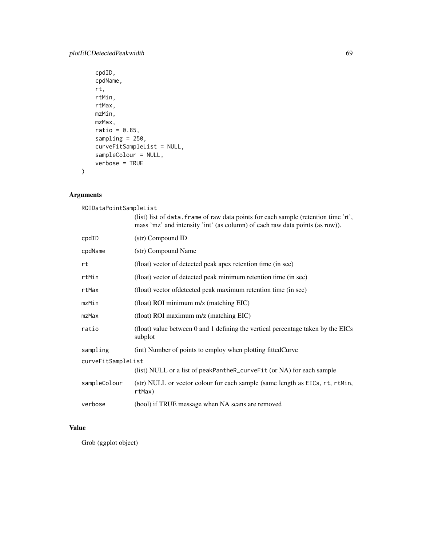```
cpdID,
cpdName,
rt,
rtMin,
rtMax,
mzMin,
mzMax,
ratio = 0.85,
sampling = 250,
curveFitSampleList = NULL,
sampleColour = NULL,
verbose = TRUE
```
# Arguments

 $\mathcal{L}$ 

| ROIDataPointSampleList |                                                                                                                                                                     |  |
|------------------------|---------------------------------------------------------------------------------------------------------------------------------------------------------------------|--|
|                        | (list) list of data. frame of raw data points for each sample (retention time 'rt',<br>mass 'mz' and intensity 'int' (as column) of each raw data points (as row)). |  |
| cpdID                  | (str) Compound ID                                                                                                                                                   |  |
| cpdName                | (str) Compound Name                                                                                                                                                 |  |
| rt                     | (float) vector of detected peak apex retention time (in sec)                                                                                                        |  |
| rtMin                  | (float) vector of detected peak minimum retention time (in sec)                                                                                                     |  |
| rtMax                  | (float) vector of detected peak maximum retention time (in sec)                                                                                                     |  |
| mzMin                  | (float) ROI minimum m/z (matching EIC)                                                                                                                              |  |
| $mz$ Max               | (float) ROI maximum m/z (matching EIC)                                                                                                                              |  |
| ratio                  | (float) value between 0 and 1 defining the vertical percentage taken by the EICs<br>subplot                                                                         |  |
| sampling               | (int) Number of points to employ when plotting fittedCurve                                                                                                          |  |
| curveFitSampleList     |                                                                                                                                                                     |  |
|                        | (list) NULL or a list of peakPantheR_curveFit (or NA) for each sample                                                                                               |  |
| sampleColour           | (str) NULL or vector colour for each sample (same length as EICs, rt, rtMin,<br>rtMax)                                                                              |  |
| verbose                | (bool) if TRUE message when NA scans are removed                                                                                                                    |  |

# Value

Grob (ggplot object)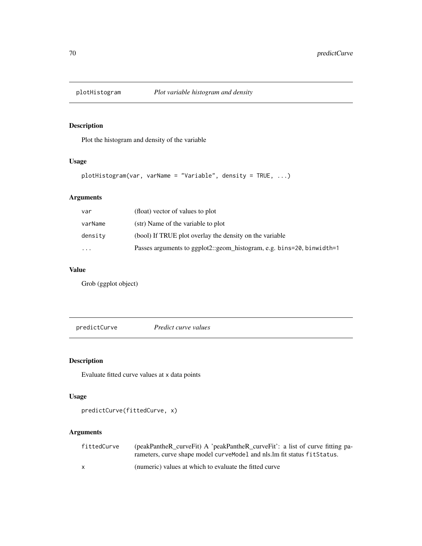# Description

Plot the histogram and density of the variable

## Usage

```
plotHistogram(var, varName = "Variable", density = TRUE, ...)
```
# Arguments

| var      | (float) vector of values to plot                                      |
|----------|-----------------------------------------------------------------------|
| varName  | (str) Name of the variable to plot                                    |
| density  | (bool) If TRUE plot overlay the density on the variable               |
| $\cdots$ | Passes arguments to ggplot2::geom_histogram, e.g. bins=20, binwidth=1 |

# Value

Grob (ggplot object)

predictCurve *Predict curve values*

# Description

Evaluate fitted curve values at x data points

# Usage

predictCurve(fittedCurve, x)

# Arguments

| fittedCurve | (peakPantheR_curveFit) A 'peakPantheR_curveFit': a list of curve fitting pa- |
|-------------|------------------------------------------------------------------------------|
|             | rameters, curve shape model curve Model and nls. Im fit status fit Status.   |
|             | (numeric) values at which to evaluate the fitted curve                       |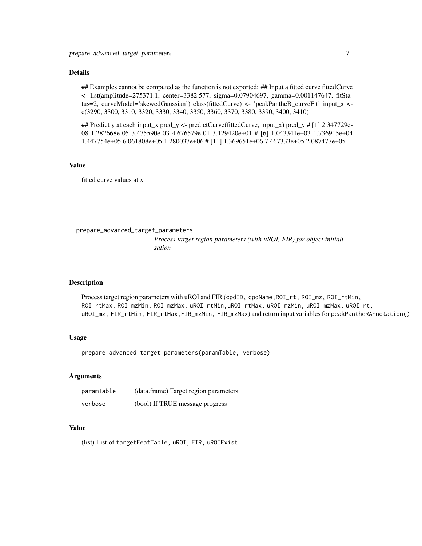## Details

## Examples cannot be computed as the function is not exported: ## Input a fitted curve fittedCurve <- list(amplitude=275371.1, center=3382.577, sigma=0.07904697, gamma=0.001147647, fitStatus=2, curveModel='skewedGaussian') class(fittedCurve) <- 'peakPantheR\_curveFit' input\_x < c(3290, 3300, 3310, 3320, 3330, 3340, 3350, 3360, 3370, 3380, 3390, 3400, 3410)

## Predict y at each input\_x pred\_y <- predictCurve(fittedCurve, input\_x) pred\_y # [1] 2.347729e-08 1.282668e-05 3.475590e-03 4.676579e-01 3.129420e+01 # [6] 1.043341e+03 1.736915e+04 1.447754e+05 6.061808e+05 1.280037e+06 # [11] 1.369651e+06 7.467333e+05 2.087477e+05

#### Value

fitted curve values at x

prepare\_advanced\_target\_parameters *Process target region parameters (with uROI, FIR) for object initialisation*

## Description

Process target region parameters with uROI and FIR (cpdID, cpdName, ROI\_rt, ROI\_mz, ROI\_rtMin, ROI\_rtMax, ROI\_mzMin, ROI\_mzMax, uROI\_rtMin,uROI\_rtMax, uROI\_mzMin, uROI\_mzMax, uROI\_rt, uROI\_mz, FIR\_rtMin, FIR\_rtMax,FIR\_mzMin, FIR\_mzMax) and return input variables for peakPantheRAnnotation()

# Usage

prepare\_advanced\_target\_parameters(paramTable, verbose)

#### Arguments

| paramTable | (data.frame) Target region parameters |
|------------|---------------------------------------|
| verbose    | (bool) If TRUE message progress       |

## Value

(list) List of targetFeatTable, uROI, FIR, uROIExist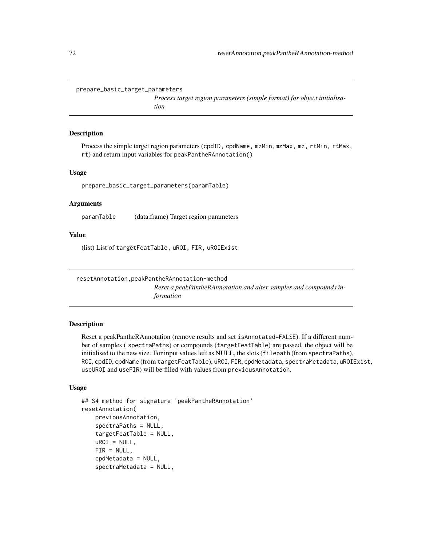```
prepare_basic_target_parameters
```
*Process target region parameters (simple format) for object initialisation*

#### Description

Process the simple target region parameters (cpdID, cpdName, mzMin,mzMax, mz, rtMin, rtMax, rt) and return input variables for peakPantheRAnnotation()

#### Usage

prepare\_basic\_target\_parameters(paramTable)

#### Arguments

paramTable (data.frame) Target region parameters

#### Value

(list) List of targetFeatTable, uROI, FIR, uROIExist

resetAnnotation,peakPantheRAnnotation-method *Reset a peakPantheRAnnotation and alter samples and compounds information*

## Description

Reset a peakPantheRAnnotation (remove results and set isAnnotated=FALSE). If a different number of samples ( spectraPaths) or compounds (targetFeatTable) are passed, the object will be initialised to the new size. For input values left as NULL, the slots (filepath (from spectraPaths), ROI, cpdID, cpdName (from targetFeatTable), uROI, FIR, cpdMetadata, spectraMetadata, uROIExist, useUROI and useFIR) will be filled with values from previousAnnotation.

## Usage

```
## S4 method for signature 'peakPantheRAnnotation'
resetAnnotation(
    previousAnnotation,
    spectraPaths = NULL,
    targetFeatTable = NULL,
    uROI = NULL,
    FIR = NULL,cpdMetadata = NULL,
    spectraMetadata = NULL,
```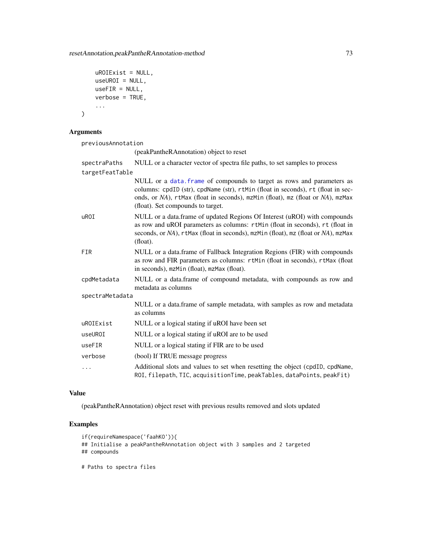```
uROIExist = NULL,
useUROI = NULL,
useFIR = NULL,
verbose = TRUE,
...
```
)

previousAnnotation

(peakPantheRAnnotation) object to reset

| spectraPaths    | NULL or a character vector of spectra file paths, to set samples to process                                                                                                                                                                                                       |
|-----------------|-----------------------------------------------------------------------------------------------------------------------------------------------------------------------------------------------------------------------------------------------------------------------------------|
| targetFeatTable |                                                                                                                                                                                                                                                                                   |
|                 | NULL or a data. frame of compounds to target as rows and parameters as<br>columns: cpdID (str), cpdName (str), rtMin (float in seconds), rt (float in sec-<br>onds, or NA), rtMax (float in seconds), mzMin (float), mz (float or NA), mzMax<br>(float). Set compounds to target. |
| uROI            | NULL or a data.frame of updated Regions Of Interest (uROI) with compounds<br>as row and uROI parameters as columns: rtMin (float in seconds), rt (float in<br>seconds, or NA), rtMax (float in seconds), mzMin (float), mz (float or NA), mzMax<br>(float).                       |
| <b>FIR</b>      | NULL or a data.frame of Fallback Integration Regions (FIR) with compounds<br>as row and FIR parameters as columns: rtMin (float in seconds), rtMax (float<br>in seconds), mzMin (float), mzMax (float).                                                                           |
| cpdMetadata     | NULL or a data.frame of compound metadata, with compounds as row and<br>metadata as columns                                                                                                                                                                                       |
| spectraMetadata |                                                                                                                                                                                                                                                                                   |
|                 | NULL or a data.frame of sample metadata, with samples as row and metadata<br>as columns                                                                                                                                                                                           |
| uROIExist       | NULL or a logical stating if uROI have been set                                                                                                                                                                                                                                   |
| useUROI         | NULL or a logical stating if uROI are to be used                                                                                                                                                                                                                                  |
| useFIR          | NULL or a logical stating if FIR are to be used                                                                                                                                                                                                                                   |
| verbose         | (bool) If TRUE message progress                                                                                                                                                                                                                                                   |
| $\cdots$        | Additional slots and values to set when resetting the object (cpdID, cpdName,<br>ROI, filepath, TIC, acquisitionTime, peakTables, dataPoints, peakFit)                                                                                                                            |

## Value

(peakPantheRAnnotation) object reset with previous results removed and slots updated

# Examples

```
if(requireNamespace('faahKO')){
## Initialise a peakPantheRAnnotation object with 3 samples and 2 targeted
## compounds
```
# Paths to spectra files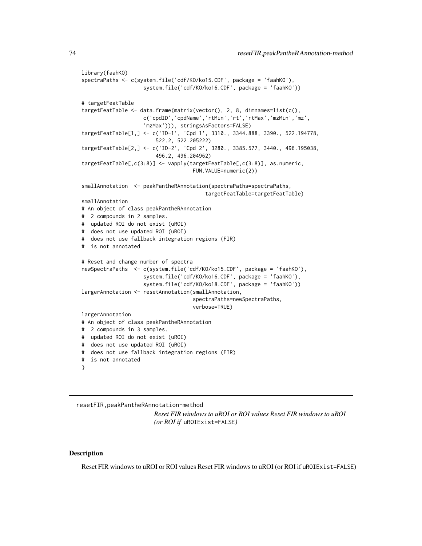```
library(faahKO)
spectraPaths <- c(system.file('cdf/KO/ko15.CDF', package = 'faahKO'),
                    system.file('cdf/KO/ko16.CDF', package = 'faahKO'))
# targetFeatTable
targetFeatTable <- data.frame(matrix(vector(), 2, 8, dimnames=list(c(),
                    c('cpdID','cpdName','rtMin','rt','rtMax','mzMin','mz',
                    'mzMax'))), stringsAsFactors=FALSE)
targetFeatTable[1,] <- c('ID-1', 'Cpd 1', 3310., 3344.888, 3390., 522.194778,
                        522.2, 522.205222)
targetFeatTable[2,] <- c('ID-2', 'Cpd 2', 3280., 3385.577, 3440., 496.195038,
                        496.2, 496.204962)
targetFeatTable[,c(3:8)] <- vapply(targetFeatTable[,c(3:8)], as.numeric,
                                    FUN.VALUE=numeric(2))
smallAnnotation <- peakPantheRAnnotation(spectraPaths=spectraPaths,
                                        targetFeatTable=targetFeatTable)
smallAnnotation
# An object of class peakPantheRAnnotation
# 2 compounds in 2 samples.
# updated ROI do not exist (uROI)
# does not use updated ROI (uROI)
# does not use fallback integration regions (FIR)
# is not annotated
# Reset and change number of spectra
newSpectraPaths <- c(system.file('cdf/KO/ko15.CDF', package = 'faahKO'),
                    system.file('cdf/KO/ko16.CDF', package = 'faahKO'),
                    system.file('cdf/KO/ko18.CDF', package = 'faahKO'))
largerAnnotation <- resetAnnotation(smallAnnotation,
                                    spectraPaths=newSpectraPaths,
                                    verbose=TRUE)
largerAnnotation
# An object of class peakPantheRAnnotation
# 2 compounds in 3 samples.
# updated ROI do not exist (uROI)
# does not use updated ROI (uROI)
# does not use fallback integration regions (FIR)
# is not annotated
}
```
resetFIR,peakPantheRAnnotation-method *Reset FIR windows to uROI or ROI values Reset FIR windows to uROI (or ROI if* uROIExist=FALSE*)*

#### **Description**

Reset FIR windows to uROI or ROI values Reset FIR windows to uROI (or ROI if uROIExist=FALSE)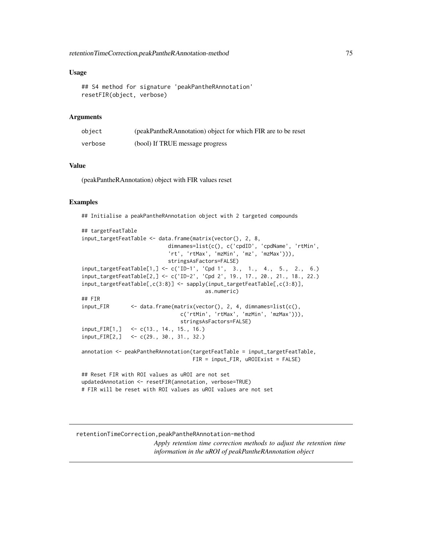#### <span id="page-74-0"></span>Usage

```
## S4 method for signature 'peakPantheRAnnotation'
resetFIR(object, verbose)
```
# Arguments

| object  | (peakPantheRAnnotation) object for which FIR are to be reset |
|---------|--------------------------------------------------------------|
| verbose | (bool) If TRUE message progress                              |

#### Value

(peakPantheRAnnotation) object with FIR values reset

#### Examples

## Initialise a peakPantheRAnnotation object with 2 targeted compounds

```
## targetFeatTable
input_targetFeatTable <- data.frame(matrix(vector(), 2, 8,
                           dimnames=list(c(), c('cpdID', 'cpdName', 'rtMin',
                           'rt', 'rtMax', 'mzMin', 'mz', 'mzMax'))stringsAsFactors=FALSE)
input_targetFeatTable[1,] <- c('ID-1', 'Cpd 1', 3., 1., 4., 5., 2., 6.)
input_targetFeatTable[2,] <- c('ID-2', 'Cpd 2', 19., 17., 20., 21., 18., 22.)
input_targetFeatTable[,c(3:8)] <- sapply(input_targetFeatTable[,c(3:8)],
                                       as.numeric)
## FIR
input_FIR <- data.frame(matrix(vector(), 2, 4, dimnames=list(c(),
                               c('rtMin', 'rtMax', 'mzMin', 'mzMax'))),
                               stringsAsFactors=FALSE)
input_FIR[1,] <- c(13., 14., 15., 16.)
input_FIR[2,] <- c(29., 30., 31., 32.)
annotation <- peakPantheRAnnotation(targetFeatTable = input_targetFeatTable,
                                   FIR = input_FIR, uROIExist = FALSE)
## Reset FIR with ROI values as uROI are not set
updatedAnnotation <- resetFIR(annotation, verbose=TRUE)
# FIR will be reset with ROI values as uROI values are not set
```
#### retentionTimeCorrection,peakPantheRAnnotation-method

*Apply retention time correction methods to adjust the retention time information in the uROI of peakPantheRAnnotation object*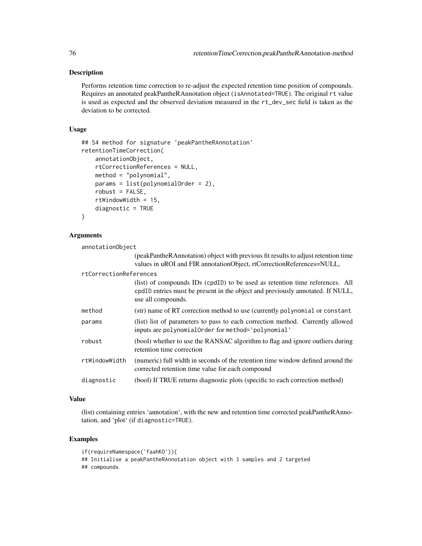### Description

Performs retention time correction to re-adjust the expected retention time position of compounds. Requires an annotated peakPantheRAnnotation object (isAnnotated=TRUE). The original rt value is used as expected and the observed deviation measured in the rt\_dev\_sec field is taken as the deviation to be corrected.

#### Usage

```
## S4 method for signature 'peakPantheRAnnotation'
retentionTimeCorrection(
    annotationObject,
    rtCorrectionReferences = NULL,
   method = "polynomial",
    params = list(polynomialOrder = 2),
    robust = FALSE,rtWindowWidth = 15,
   diagnostic = TRUE
\mathcal{L}
```
#### Arguments

| annotationObject       |                                                                                                                                                                                      |
|------------------------|--------------------------------------------------------------------------------------------------------------------------------------------------------------------------------------|
|                        | (peakPantheRAnnotation) object with previous fit results to adjust retention time<br>values in uROI and FIR annotationObject, rtCorrectionReferences=NULL,                           |
| rtCorrectionReferences |                                                                                                                                                                                      |
|                        | (list) of compounds IDs (cpdID) to be used as retention time references. All<br>cpdID entries must be present in the object and previously annotated. If NULL,<br>use all compounds. |
| method                 | (str) name of RT correction method to use (currently polynomial or constant                                                                                                          |
| params                 | (list) list of parameters to pass to each correction method. Currently allowed<br>inputs are polynomial Order for method='polynomial'                                                |
| robust                 | (bool) whether to use the RANSAC algorithm to flag and ignore outliers during<br>retention time correction                                                                           |
| rtWindowWidth          | (numeric) full width in seconds of the retention time window defined around the<br>corrected retention time value for each compound                                                  |
| diagnostic             | (bool) If TRUE returns diagnostic plots (specific to each correction method)                                                                                                         |

# Value

(list) containing entries 'annotation', with the new and retention time corrected peakPantheRAnnotation, and 'plot' (if diagnostic=TRUE).

# Examples

if(requireNamespace('faahKO')){ ## Initialise a peakPantheRAnnotation object with 3 samples and 2 targeted ## compounds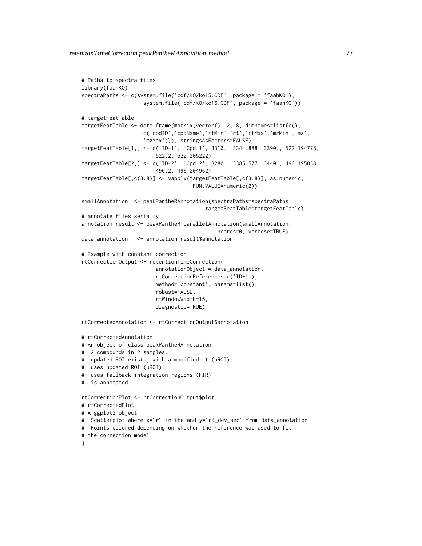```
# Paths to spectra files
library(faahKO)
spectraPaths <- c(system.file('cdf/KO/ko15.CDF', package = 'faahKO'),
                    system.file('cdf/KO/ko16.CDF', package = 'faahKO'))
# targetFeatTable
targetFeatTable <- data.frame(matrix(vector(), 2, 8, dimnames=list(c(),
                    c('cpdID','cpdName','rtMin','rt','rtMax','mzMin','mz',
                    'mzMax'))), stringsAsFactors=FALSE)
targetFeatTable[1,] <- c('ID-1', 'Cpd 1', 3310., 3344.888, 3390., 522.194778,
                        522.2, 522.205222)
targetFeatTable[2,] <- c('ID-2', 'Cpd 2', 3280., 3385.577, 3440., 496.195038,
                        496.2, 496.204962)
targetFeatTable[,c(3:8)] <- vapply(targetFeatTable[,c(3:8)], as.numeric,
                                    FUN.VALUE=numeric(2))
smallAnnotation <- peakPantheRAnnotation(spectraPaths=spectraPaths,
                                        targetFeatTable=targetFeatTable)
# annotate files serially
annotation_result <- peakPantheR_parallelAnnotation(smallAnnotation,
                                            ncores=0, verbose=TRUE)
data_annotation <- annotation_result$annotation
# Example with constant correction
rtCorrectionOutput <- retentionTimeCorrection(
                        annotationObject = data_annotation,
                        rtCorrectionReferences=c('ID-1'),
                        method='constant', params=list(),
                        robust=FALSE,
                        rtWindowWidth=15,
                        diagnostic=TRUE)
rtCorrectedAnnotation <- rtCorrectionOutput$annotation
# rtCorrectedAnnotation
# An object of class peakPantheRAnnotation
# 2 compounds in 2 samples.
# updated ROI exists, with a modified rt (uROI)
# uses updated ROI (uROI)
# uses fallback integration regions (FIR)
# is annotated
rtCorrectionPlot <- rtCorrectionOutput$plot
# rtCorrectedPlot
# A ggplot2 object
# Scatterplot where x=`r` in the and y=`rt_dev_sec` from data_annotation
# Points colored depending on whether the reference was used to fit
# the correction model
\lambda
```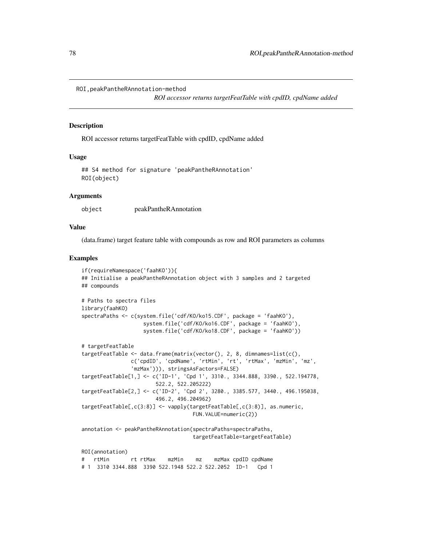```
ROI,peakPantheRAnnotation-method
```
*ROI accessor returns targetFeatTable with cpdID, cpdName added*

#### Description

ROI accessor returns targetFeatTable with cpdID, cpdName added

#### Usage

```
## S4 method for signature 'peakPantheRAnnotation'
ROI(object)
```
#### Arguments

object peakPantheRAnnotation

#### Value

(data.frame) target feature table with compounds as row and ROI parameters as columns

#### Examples

```
if(requireNamespace('faahKO')){
## Initialise a peakPantheRAnnotation object with 3 samples and 2 targeted
## compounds
# Paths to spectra files
library(faahKO)
spectraPaths <- c(system.file('cdf/KO/ko15.CDF', package = 'faahKO'),
                   system.file('cdf/KO/ko16.CDF', package = 'faahKO'),
                   system.file('cdf/KO/ko18.CDF', package = 'faahKO'))
# targetFeatTable
targetFeatTable <- data.frame(matrix(vector(), 2, 8, dimnames=list(c(),
               c('cpdID', 'cpdName', 'rtMin', 'rt', 'rtMax', 'mzMin', 'mz',
               'mzMax'))), stringsAsFactors=FALSE)
targetFeatTable[1,] <- c('ID-1', 'Cpd 1', 3310., 3344.888, 3390., 522.194778,
                       522.2, 522.205222)
targetFeatTable[2,] <- c('ID-2', 'Cpd 2', 3280., 3385.577, 3440., 496.195038,
                       496.2, 496.204962)
targetFeatTable[,c(3:8)] <- vapply(targetFeatTable[,c(3:8)], as.numeric,
                                   FUN.VALUE=numeric(2))
annotation <- peakPantheRAnnotation(spectraPaths=spectraPaths,
                                   targetFeatTable=targetFeatTable)
ROI(annotation)
# rtMin rt rtMax mzMin mz mzMax cpdID cpdName
# 1 3310 3344.888 3390 522.1948 522.2 522.2052 ID-1 Cpd 1
```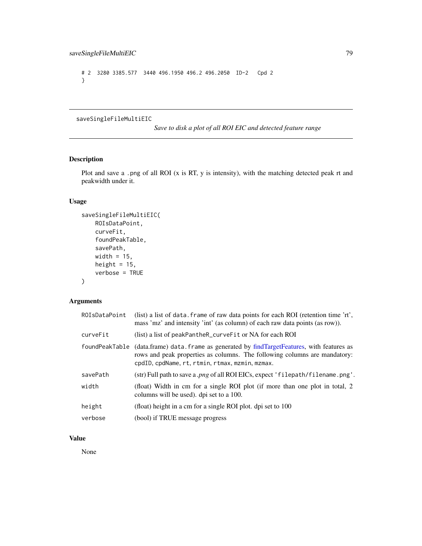```
# 2 3280 3385.577 3440 496.1950 496.2 496.2050 ID-2 Cpd 2
}
```
saveSingleFileMultiEIC

*Save to disk a plot of all ROI EIC and detected feature range*

# Description

Plot and save a .png of all ROI (x is RT, y is intensity), with the matching detected peak rt and peakwidth under it.

# Usage

```
saveSingleFileMultiEIC(
   ROIsDataPoint,
   curveFit,
    foundPeakTable,
   savePath,
   width = 15,
   height = 15,
   verbose = TRUE
)
```
# Arguments

| ROIsDataPoint  | (list) a list of data. frame of raw data points for each ROI (retention time 'rt',<br>mass 'mz' and intensity 'int' (as column) of each raw data points (as row)).                                           |
|----------------|--------------------------------------------------------------------------------------------------------------------------------------------------------------------------------------------------------------|
| curveFit       | (list) a list of peakPantheR_curveFit or NA for each ROI                                                                                                                                                     |
| foundPeakTable | (data.frame) data.frame as generated by findTargetFeatures, with features as<br>rows and peak properties as columns. The following columns are mandatory:<br>cpdID, cpdName, rt, rtmin, rtmax, mzmin, mzmax. |
| savePath       | (str) Full path to save a.png of all ROI EICs, expect 'filepath/filename.png'.                                                                                                                               |
| width          | (float) Width in cm for a single ROI plot (if more than one plot in total, 2<br>columns will be used). dpi set to a 100.                                                                                     |
| height         | (float) height in a cm for a single ROI plot. dpi set to 100                                                                                                                                                 |
| verbose        | (bool) if TRUE message progress                                                                                                                                                                              |

# Value

None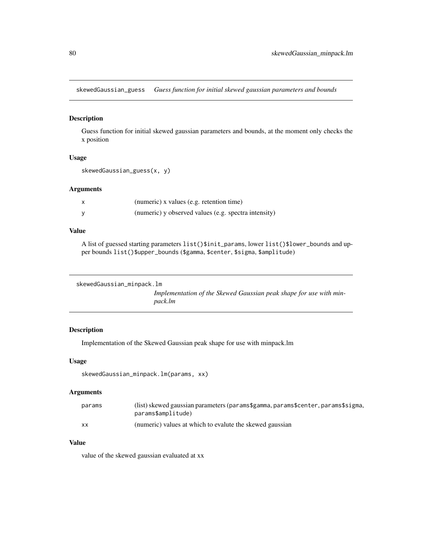<span id="page-79-0"></span>skewedGaussian\_guess *Guess function for initial skewed gaussian parameters and bounds*

#### Description

Guess function for initial skewed gaussian parameters and bounds, at the moment only checks the x position

#### Usage

```
skewedGaussian_guess(x, y)
```
# Arguments

| X | (numeric) x values (e.g. retention time)             |
|---|------------------------------------------------------|
|   | (numeric) y observed values (e.g. spectra intensity) |

# Value

A list of guessed starting parameters list()\$init\_params, lower list()\$lower\_bounds and upper bounds list()\$upper\_bounds (\$gamma, \$center, \$sigma, \$amplitude)

```
skewedGaussian_minpack.lm
```
*Implementation of the Skewed Gaussian peak shape for use with minpack.lm*

# Description

Implementation of the Skewed Gaussian peak shape for use with minpack.lm

#### Usage

```
skewedGaussian_minpack.lm(params, xx)
```
#### Arguments

| params | (list) skewed gaussian parameters (params\$gamma, params\$center, params\$sigma,<br>params\$amplitude) |
|--------|--------------------------------------------------------------------------------------------------------|
|        |                                                                                                        |
| XX     | (numeric) values at which to evalute the skewed gaussian                                               |

#### Value

value of the skewed gaussian evaluated at xx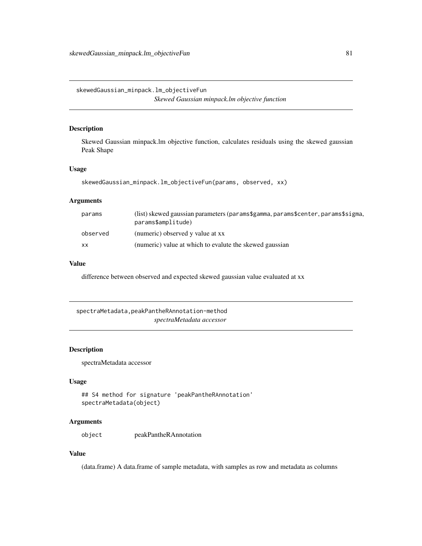<span id="page-80-0"></span>skewedGaussian\_minpack.lm\_objectiveFun *Skewed Gaussian minpack.lm objective function*

# Description

Skewed Gaussian minpack.lm objective function, calculates residuals using the skewed gaussian Peak Shape

#### Usage

```
skewedGaussian_minpack.lm_objectiveFun(params, observed, xx)
```
# Arguments

| params    | (list) skewed gaussian parameters (params\$gamma, params\$center, params\$sigma,<br>params\$amplitude) |
|-----------|--------------------------------------------------------------------------------------------------------|
| observed  | (numeric) observed y value at xx                                                                       |
| <b>XX</b> | (numeric) value at which to evalute the skewed gaussian                                                |

#### Value

difference between observed and expected skewed gaussian value evaluated at xx

spectraMetadata,peakPantheRAnnotation-method *spectraMetadata accessor*

# Description

spectraMetadata accessor

#### Usage

```
## S4 method for signature 'peakPantheRAnnotation'
spectraMetadata(object)
```
# Arguments

object peakPantheRAnnotation

# Value

(data.frame) A data.frame of sample metadata, with samples as row and metadata as columns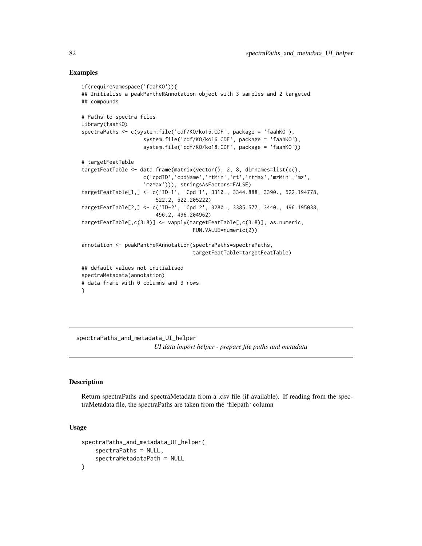### Examples

```
if(requireNamespace('faahKO')){
## Initialise a peakPantheRAnnotation object with 3 samples and 2 targeted
## compounds
# Paths to spectra files
library(faahKO)
spectraPaths <- c(system.file('cdf/KO/ko15.CDF', package = 'faahKO'),
                    system.file('cdf/KO/ko16.CDF', package = 'faahKO'),
                    system.file('cdf/KO/ko18.CDF', package = 'faahKO'))
# targetFeatTable
targetFeatTable <- data.frame(matrix(vector(), 2, 8, dimnames=list(c(),
                    c('cpdID','cpdName','rtMin','rt','rtMax','mzMin','mz',
                    'mzMax'))), stringsAsFactors=FALSE)
targetFeatTable[1,] <- c('ID-1', 'Cpd 1', 3310., 3344.888, 3390., 522.194778,
                        522.2, 522.205222)
targetFeatTable[2,] <- c('ID-2', 'Cpd 2', 3280., 3385.577, 3440., 496.195038,
                        496.2, 496.204962)
targetFeatTable[,c(3:8)] <- vapply(targetFeatTable[,c(3:8)], as.numeric,
                                    FUN.VALUE=numeric(2))
annotation <- peakPantheRAnnotation(spectraPaths=spectraPaths,
                                    targetFeatTable=targetFeatTable)
## default values not initialised
spectraMetadata(annotation)
# data frame with 0 columns and 3 rows
}
```
spectraPaths\_and\_metadata\_UI\_helper *UI data import helper - prepare file paths and metadata*

#### Description

Return spectraPaths and spectraMetadata from a .csv file (if available). If reading from the spectraMetadata file, the spectraPaths are taken from the 'filepath' column

```
spectraPaths_and_metadata_UI_helper(
    spectraPaths = NULL,
    spectraMetadataPath = NULL
)
```
<span id="page-81-0"></span>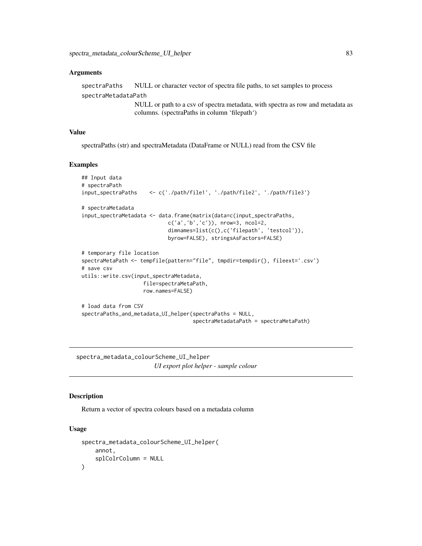<span id="page-82-0"></span>spectraPaths NULL or character vector of spectra file paths, to set samples to process spectraMetadataPath

> NULL or path to a csv of spectra metadata, with spectra as row and metadata as columns. (spectraPaths in column 'filepath')

# Value

spectraPaths (str) and spectraMetadata (DataFrame or NULL) read from the CSV file

#### Examples

```
## Input data
# spectraPath
input_spectraPaths <- c('./path/file1', './path/file2', './path/file3')
# spectraMetadata
input_spectraMetadata <- data.frame(matrix(data=c(input_spectraPaths,
                            c('a','b','c')), nrow=3, ncol=2,
                            dimnames=list(c(),c('filepath', 'testcol')),
                            byrow=FALSE), stringsAsFactors=FALSE)
# temporary file location
spectraMetaPath <- tempfile(pattern="file", tmpdir=tempdir(), fileext='.csv')
# save csv
utils::write.csv(input_spectraMetadata,
                    file=spectraMetaPath,
                    row.names=FALSE)
# load data from CSV
spectraPaths_and_metadata_UI_helper(spectraPaths = NULL,
                                    spectraMetadataPath = spectraMetaPath)
```
spectra\_metadata\_colourScheme\_UI\_helper *UI export plot helper - sample colour*

# Description

Return a vector of spectra colours based on a metadata column

```
spectra_metadata_colourScheme_UI_helper(
    annot,
    splColrColumn = NULL
)
```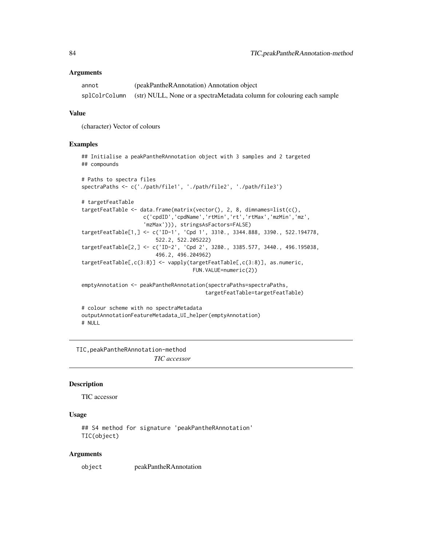<span id="page-83-0"></span>

| annot | (peakPantheRAnnotation) Annotation object                                            |
|-------|--------------------------------------------------------------------------------------|
|       | splColrColumn (str) NULL, None or a spectraMetadata column for colouring each sample |

# Value

(character) Vector of colours

#### Examples

```
## compounds
# Paths to spectra files
spectraPaths <- c('./path/file1', './path/file2', './path/file3')
# targetFeatTable
targetFeatTable <- data.frame(matrix(vector(), 2, 8, dimnames=list(c(),
                    c('cpdID','cpdName','rtMin','rt','rtMax','mzMin','mz',
                    'mzMax'))), stringsAsFactors=FALSE)
targetFeatTable[1,] <- c('ID-1', 'Cpd 1', 3310., 3344.888, 3390., 522.194778,
                        522.2, 522.205222)
targetFeatTable[2,] <- c('ID-2', 'Cpd 2', 3280., 3385.577, 3440., 496.195038,
                        496.2, 496.204962)
targetFeatTable[,c(3:8)] <- vapply(targetFeatTable[,c(3:8)], as.numeric,
                                    FUN.VALUE=numeric(2))
emptyAnnotation <- peakPantheRAnnotation(spectraPaths=spectraPaths,
                                        targetFeatTable=targetFeatTable)
# colour scheme with no spectraMetadata
outputAnnotationFeatureMetadata_UI_helper(emptyAnnotation)
```
## Initialise a peakPantheRAnnotation object with 3 samples and 2 targeted

# NULL

TIC,peakPantheRAnnotation-method *TIC accessor*

#### Description

TIC accessor

#### Usage

```
## S4 method for signature 'peakPantheRAnnotation'
TIC(object)
```
#### Arguments

object peakPantheRAnnotation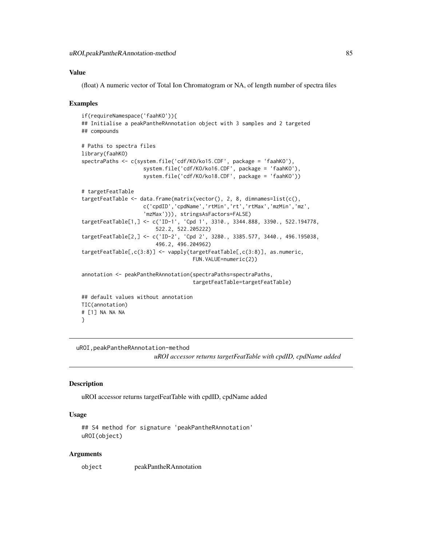# <span id="page-84-0"></span>Value

(float) A numeric vector of Total Ion Chromatogram or NA, of length number of spectra files

#### Examples

```
if(requireNamespace('faahKO')){
## Initialise a peakPantheRAnnotation object with 3 samples and 2 targeted
## compounds
# Paths to spectra files
library(faahKO)
spectraPaths <- c(system.file('cdf/KO/ko15.CDF', package = 'faahKO'),
                    system.file('cdf/KO/ko16.CDF', package = 'faahKO'),
                    system.file('cdf/KO/ko18.CDF', package = 'faahKO'))
# targetFeatTable
targetFeatTable <- data.frame(matrix(vector(), 2, 8, dimnames=list(c(),
                    c('cpdID','cpdName','rtMin','rt','rtMax','mzMin','mz',
                    'mzMax'))), stringsAsFactors=FALSE)
targetFeatTable[1,] <- c('ID-1', 'Cpd 1', 3310., 3344.888, 3390., 522.194778,
                        522.2, 522.205222)
targetFeatTable[2,] <- c('ID-2', 'Cpd 2', 3280., 3385.577, 3440., 496.195038,
                        496.2, 496.204962)
targetFeatTable[,c(3:8)] <- vapply(targetFeatTable[,c(3:8)], as.numeric,
                                    FUN.VALUE=numeric(2))
annotation <- peakPantheRAnnotation(spectraPaths=spectraPaths,
                                    targetFeatTable=targetFeatTable)
## default values without annotation
TIC(annotation)
# [1] NA NA NA
}
```
uROI,peakPantheRAnnotation-method

*uROI accessor returns targetFeatTable with cpdID, cpdName added*

#### **Description**

uROI accessor returns targetFeatTable with cpdID, cpdName added

#### Usage

```
## S4 method for signature 'peakPantheRAnnotation'
uROI(object)
```
#### Arguments

object peakPantheRAnnotation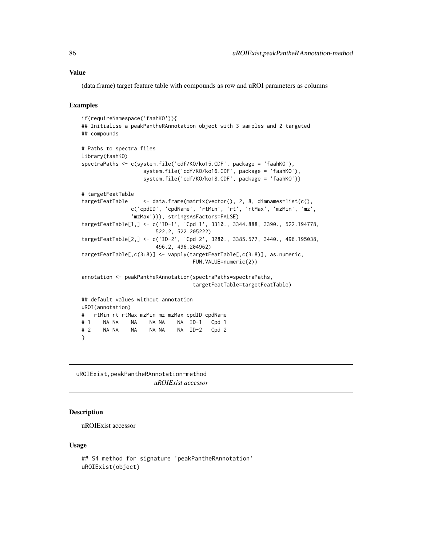#### <span id="page-85-0"></span>Value

(data.frame) target feature table with compounds as row and uROI parameters as columns

#### Examples

```
if(requireNamespace('faahKO')){
## Initialise a peakPantheRAnnotation object with 3 samples and 2 targeted
## compounds
# Paths to spectra files
library(faahKO)
spectraPaths <- c(system.file('cdf/KO/ko15.CDF', package = 'faahKO'),
                   system.file('cdf/KO/ko16.CDF', package = 'faahKO'),
                   system.file('cdf/KO/ko18.CDF', package = 'faahKO'))
# targetFeatTable
targetFeatTable <- data.frame(matrix(vector(), 2, 8, dimnames=list(c(),
               c('cpdID', 'cpdName', 'rtMin', 'rt', 'rtMax', 'mzMin', 'mz',
               'mzMax'))), stringsAsFactors=FALSE)
targetFeatTable[1,] <- c('ID-1', 'Cpd 1', 3310., 3344.888, 3390., 522.194778,
                       522.2, 522.205222)
targetFeatTable[2,] <- c('ID-2', 'Cpd 2', 3280., 3385.577, 3440., 496.195038,
                       496.2, 496.204962)
targetFeatTable[,c(3:8)] <- vapply(targetFeatTable[,c(3:8)], as.numeric,
                                   FUN.VALUE=numeric(2))
annotation <- peakPantheRAnnotation(spectraPaths=spectraPaths,
                                   targetFeatTable=targetFeatTable)
## default values without annotation
uROI(annotation)
# rtMin rt rtMax mzMin mz mzMax cpdID cpdName
# 1 NA NA NA NA NA NA ID-1 Cpd 1
# 2 NA NA NA NA NA NA ID-2 Cpd 2
}
```
uROIExist,peakPantheRAnnotation-method *uROIExist accessor*

#### Description

uROIExist accessor

```
## S4 method for signature 'peakPantheRAnnotation'
uROIExist(object)
```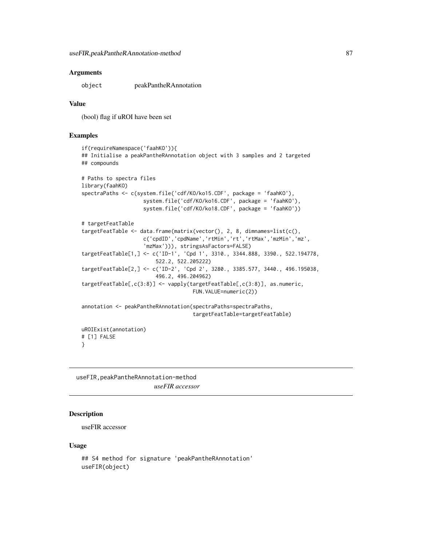<span id="page-86-0"></span>object peakPantheRAnnotation

#### Value

(bool) flag if uROI have been set

#### Examples

```
if(requireNamespace('faahKO')){
## Initialise a peakPantheRAnnotation object with 3 samples and 2 targeted
## compounds
# Paths to spectra files
library(faahKO)
spectraPaths <- c(system.file('cdf/KO/ko15.CDF', package = 'faahKO'),
                    system.file('cdf/KO/ko16.CDF', package = 'faahKO'),
                    system.file('cdf/KO/ko18.CDF', package = 'faahKO'))
# targetFeatTable
targetFeatTable <- data.frame(matrix(vector(), 2, 8, dimnames=list(c(),
                    c('cpdID','cpdName','rtMin','rt','rtMax','mzMin','mz',
                    'mzMax'))), stringsAsFactors=FALSE)
targetFeatTable[1,] <- c('ID-1', 'Cpd 1', 3310., 3344.888, 3390., 522.194778,
                        522.2, 522.205222)
targetFeatTable[2,] <- c('ID-2', 'Cpd 2', 3280., 3385.577, 3440., 496.195038,
                        496.2, 496.204962)
targetFeatTable[,c(3:8)] <- vapply(targetFeatTable[,c(3:8)], as.numeric,
                                    FUN.VALUE=numeric(2))
annotation <- peakPantheRAnnotation(spectraPaths=spectraPaths,
                                    targetFeatTable=targetFeatTable)
uROIExist(annotation)
# [1] FALSE
}
```
useFIR,peakPantheRAnnotation-method *useFIR accessor*

# **Description**

useFIR accessor

```
## S4 method for signature 'peakPantheRAnnotation'
useFIR(object)
```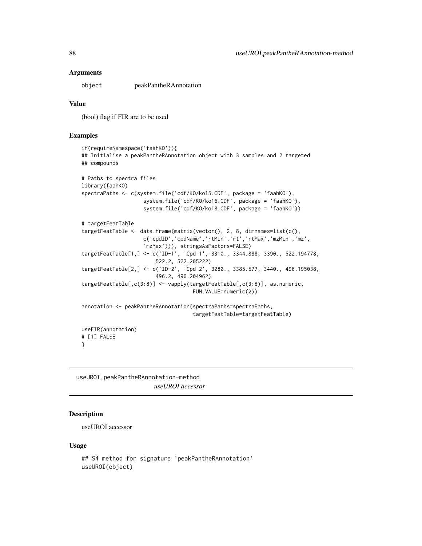<span id="page-87-0"></span>object peakPantheRAnnotation

#### Value

(bool) flag if FIR are to be used

#### Examples

```
if(requireNamespace('faahKO')){
## Initialise a peakPantheRAnnotation object with 3 samples and 2 targeted
## compounds
# Paths to spectra files
library(faahKO)
spectraPaths <- c(system.file('cdf/KO/ko15.CDF', package = 'faahKO'),
                    system.file('cdf/KO/ko16.CDF', package = 'faahKO'),
                    system.file('cdf/KO/ko18.CDF', package = 'faahKO'))
# targetFeatTable
targetFeatTable <- data.frame(matrix(vector(), 2, 8, dimnames=list(c(),
                    c('cpdID','cpdName','rtMin','rt','rtMax','mzMin','mz',
                    'mzMax'))), stringsAsFactors=FALSE)
targetFeatTable[1,] <- c('ID-1', 'Cpd 1', 3310., 3344.888, 3390., 522.194778,
                        522.2, 522.205222)
targetFeatTable[2,] <- c('ID-2', 'Cpd 2', 3280., 3385.577, 3440., 496.195038,
                        496.2, 496.204962)
targetFeatTable[,c(3:8)] <- vapply(targetFeatTable[,c(3:8)], as.numeric,
                                    FUN.VALUE=numeric(2))
annotation <- peakPantheRAnnotation(spectraPaths=spectraPaths,
                                    targetFeatTable=targetFeatTable)
useFIR(annotation)
# [1] FALSE
}
```
useUROI,peakPantheRAnnotation-method *useUROI accessor*

# **Description**

useUROI accessor

```
## S4 method for signature 'peakPantheRAnnotation'
useUROI(object)
```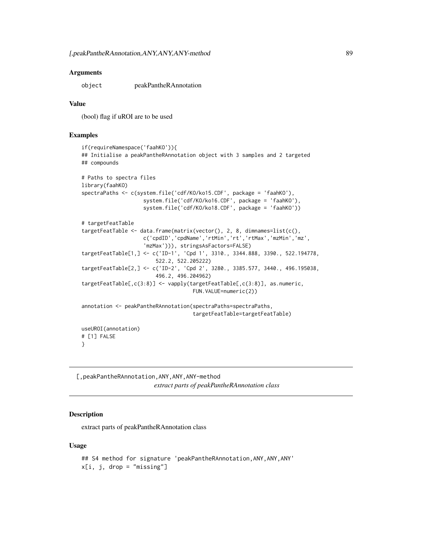<span id="page-88-0"></span>object peakPantheRAnnotation

#### Value

(bool) flag if uROI are to be used

#### Examples

```
if(requireNamespace('faahKO')){
## Initialise a peakPantheRAnnotation object with 3 samples and 2 targeted
## compounds
# Paths to spectra files
library(faahKO)
spectraPaths <- c(system.file('cdf/KO/ko15.CDF', package = 'faahKO'),
                    system.file('cdf/KO/ko16.CDF', package = 'faahKO'),
                    system.file('cdf/KO/ko18.CDF', package = 'faahKO'))
# targetFeatTable
targetFeatTable <- data.frame(matrix(vector(), 2, 8, dimnames=list(c(),
                    c('cpdID','cpdName','rtMin','rt','rtMax','mzMin','mz',
                    'mzMax'))), stringsAsFactors=FALSE)
targetFeatTable[1,] <- c('ID-1', 'Cpd 1', 3310., 3344.888, 3390., 522.194778,
                        522.2, 522.205222)
targetFeatTable[2,] <- c('ID-2', 'Cpd 2', 3280., 3385.577, 3440., 496.195038,
                        496.2, 496.204962)
targetFeatTable[,c(3:8)] <- vapply(targetFeatTable[,c(3:8)], as.numeric,
                                    FUN.VALUE=numeric(2))
annotation <- peakPantheRAnnotation(spectraPaths=spectraPaths,
                                    targetFeatTable=targetFeatTable)
useUROI(annotation)
# [1] FALSE
}
```
[,peakPantheRAnnotation,ANY,ANY,ANY-method *extract parts of peakPantheRAnnotation class*

#### Description

extract parts of peakPantheRAnnotation class

```
## S4 method for signature 'peakPantheRAnnotation, ANY, ANY, ANY'
x[i, j, drop = "missing"]
```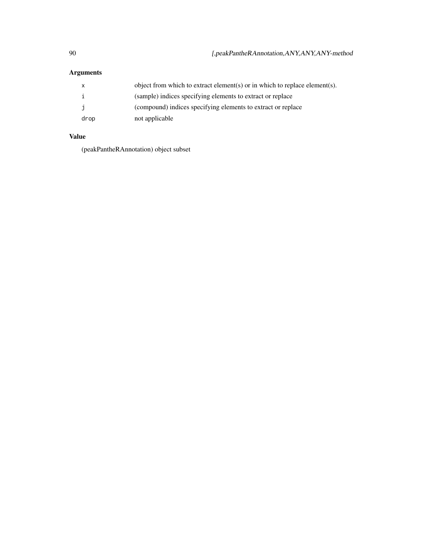|      | object from which to extract element(s) or in which to replace element(s). |
|------|----------------------------------------------------------------------------|
|      | (sample) indices specifying elements to extract or replace                 |
|      | (compound) indices specifying elements to extract or replace               |
| drop | not applicable                                                             |

# Value

(peakPantheRAnnotation) object subset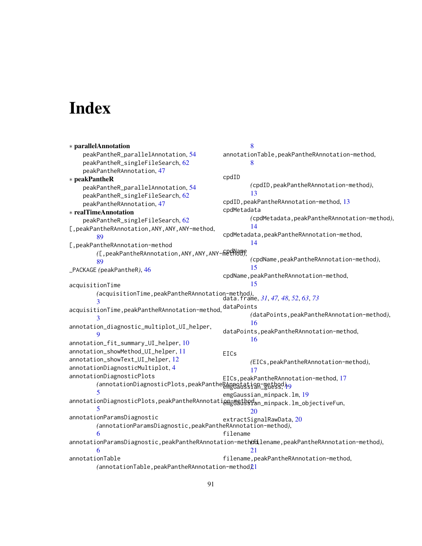# Index

∗ parallelAnnotation peakPantheR\_parallelAnnotation, [54](#page-53-0) peakPantheR\_singleFileSearch, [62](#page-61-0) peakPantheRAnnotation, [47](#page-46-0) ∗ peakPantheR peakPantheR\_parallelAnnotation, [54](#page-53-0) peakPantheR\_singleFileSearch, [62](#page-61-0) peakPantheRAnnotation, [47](#page-46-0) ∗ realTimeAnnotation peakPantheR\_singleFileSearch, [62](#page-61-0) [,peakPantheRAnnotation,ANY,ANY,ANY-method, [89](#page-88-0) [,peakPantheRAnnotation-method *(*[,peakPantheRAnnotation,ANY,ANY,ANY-method*)*, cpdName [89](#page-88-0) \_PACKAGE *(*peakPantheR*)*, [46](#page-45-0) acquisitionTime *(*acquisitionTime,peakPantheRAnnotation-method*)*, data.frame, *[31](#page-30-0)*, *[47,](#page-46-0) [48](#page-47-0)*, *[52](#page-51-0)*, *[63](#page-62-0)*, *[73](#page-72-0)* [3](#page-2-0) acquisitionTime,peakPantheRAnnotation-method, [3](#page-2-0) annotation\_diagnostic\_multiplot\_UI\_helper,  $\Omega$ annotation\_fit\_summary\_UI\_helper, [10](#page-9-0) annotation\_showMethod\_UI\_helper, [11](#page-10-0) annotation\_showText\_UI\_helper, [12](#page-11-0) annotationDiagnosticMultiplot, [4](#page-3-0) annotationDiagnosticPlots /annotationDiagnosticPlots,peakPanthe<u>RAnggitation-method</u>),<br>\_ [5](#page-4-0) annotationDiagnosticPlots,peakPantheRAnnotation=mathod.n\_minpack.lm\_objectiveFun, [5](#page-4-0) annotationParamsDiagnostic *(*annotationParamsDiagnostic,peakPantheRAnnotation-method*)*, [6](#page-5-0) annotationParamsDiagnostic,peakPantheRAnnotation-method, *(*filename,peakPantheRAnnotation-method*)*, [6](#page-5-0) annotationTable *(*annotationTable,peakPantheRAnnotation-method*)*, [21](#page-20-0) [8](#page-7-0) annotationTable,peakPantheRAnnotation-method, [8](#page-7-0) cpdID *(*cpdID,peakPantheRAnnotation-method*)*, [13](#page-12-0) cpdID, peakPantheRAnnotation-method, [13](#page-12-0) cpdMetadata *(*cpdMetadata,peakPantheRAnnotation-method*)*, [14](#page-13-0) cpdMetadata,peakPantheRAnnotation-method, [14](#page-13-0) *(*cpdName,peakPantheRAnnotation-method*)*, [15](#page-14-0) cpdName, peakPantheRAnnotation-method, [15](#page-14-0) dataPoints *(*dataPoints,peakPantheRAnnotation-method*)*, [16](#page-15-0) dataPoints,peakPantheRAnnotation-method, [16](#page-15-0) EICs *(*EICs,peakPantheRAnnotation-method*)*, [17](#page-16-0) EICs,peakPantheRAnnotation-method, [17](#page-16-0) emgGaussian\_minpack.lm, [19](#page-18-0) [20](#page-19-0) extractSignalRawData, [20](#page-19-0) filename  $21$ filename,peakPantheRAnnotation-method,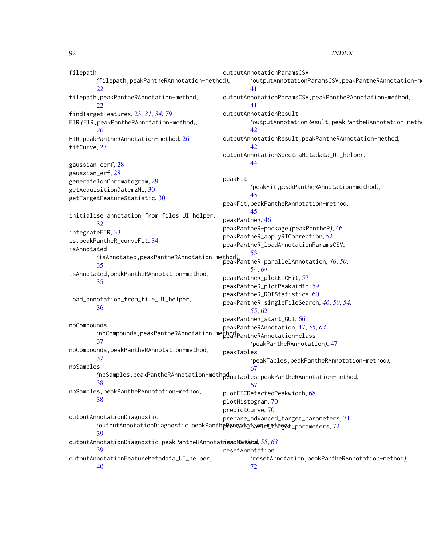#### 92 **INDEX**

filepath *(*filepath,peakPantheRAnnotation-method*)*, [22](#page-21-0) filepath,peakPantheRAnnotation-method,  $22$ findTargetFeatures, [23,](#page-22-1) *[31](#page-30-0)*, *[34](#page-33-0)*, *[79](#page-78-0)* FIR *(*FIR,peakPantheRAnnotation-method*)*, [26](#page-25-0) FIR,peakPantheRAnnotation-method, [26](#page-25-0) fitCurve, [27](#page-26-0) gaussian\_cerf, [28](#page-27-0) gaussian\_erf, [28](#page-27-0) generateIonChromatogram, [29](#page-28-0) getAcquisitionDatemzML, [30](#page-29-0) getTargetFeatureStatistic, [30](#page-29-0) initialise\_annotation\_from\_files\_UI\_helper, [32](#page-31-0) integrateFIR, [33](#page-32-0) is.peakPantheR\_curveFit, [34](#page-33-0) isAnnotated *(*isAnnotated,peakPantheRAnnotation-method*)*, [53](#page-52-0) [35](#page-34-0) isAnnotated,peakPantheRAnnotation-method, [35](#page-34-0) load\_annotation\_from\_file\_UI\_helper, [36](#page-35-0) nbCompounds *(*nbCompounds,peakPantheRAnnotation-method*)*, peakPantheRAnnotation-class [37](#page-36-0) nbCompounds,peakPantheRAnnotation-method, [37](#page-36-0) nbSamples *(*nbSamples,peakPantheRAnnotation-method*)*, peakTables,peakPantheRAnnotation-method, [38](#page-37-0) nbSamples,peakPantheRAnnotation-method, [38](#page-37-0) outputAnnotationDiagnostic /outputAnnotationDiagnostic,peakPanth**eRepaのta\_bashcmethogel,\_**parameters,[72](#page-71-0) [39](#page-38-0) outputAnnotationDiagnostic,peakPantheRAnnotat**ieadMSData,** [55](#page-54-0), [63](#page-62-0) [39](#page-38-0) outputAnnotationFeatureMetadata\_UI\_helper, [40](#page-39-0) outputAnnotationParamsCSV *(*outputAnnotationParamsCSV,peakPantheRAnnotation-method*)*, [41](#page-40-0) outputAnnotationParamsCSV,peakPantheRAnnotation-method, [41](#page-40-0) outputAnnotationResult *(*outputAnnotationResult,peakPantheRAnnotation-method*)*, [42](#page-41-0) outputAnnotationResult,peakPantheRAnnotation-method, [42](#page-41-0) outputAnnotationSpectraMetadata\_UI\_helper, [44](#page-43-0) peakFit *(*peakFit,peakPantheRAnnotation-method*)*, [45](#page-44-0) peakFit,peakPantheRAnnotation-method, [45](#page-44-0) peakPantheR, [46](#page-45-0) peakPantheR-package *(*peakPantheR*)*, [46](#page-45-0) peakPantheR\_applyRTCorrection, [52](#page-51-0) peakPantheR\_loadAnnotationParamsCSV, peakPantheR\_parallelAnnotation, *[46](#page-45-0)*, *[50](#page-49-0)*, [54,](#page-53-0) *[64](#page-63-0)* peakPantheR\_plotEICFit, [57](#page-56-0) peakPantheR\_plotPeakwidth, [59](#page-58-0) peakPantheR\_ROIStatistics, [60](#page-59-0) peakPantheR\_singleFileSearch, *[46](#page-45-0)*, *[50](#page-49-0)*, *[54,](#page-53-0) [55](#page-54-0)*, [62](#page-61-0) peakPantheR\_start\_GUI, [66](#page-65-0) peakPantheRAnnotation, [47,](#page-46-0) *[55](#page-54-0)*, *[64](#page-63-0) (*peakPantheRAnnotation*)*, [47](#page-46-0) peakTables *(*peakTables,peakPantheRAnnotation-method*)*, [67](#page-66-0) [67](#page-66-0) plotEICDetectedPeakwidth, [68](#page-67-0) plotHistogram, [70](#page-69-0) predictCurve, [70](#page-69-0) prepare\_advanced\_target\_parameters, [71](#page-70-0) resetAnnotation *(*resetAnnotation,peakPantheRAnnotation-method*)*, [72](#page-71-0)